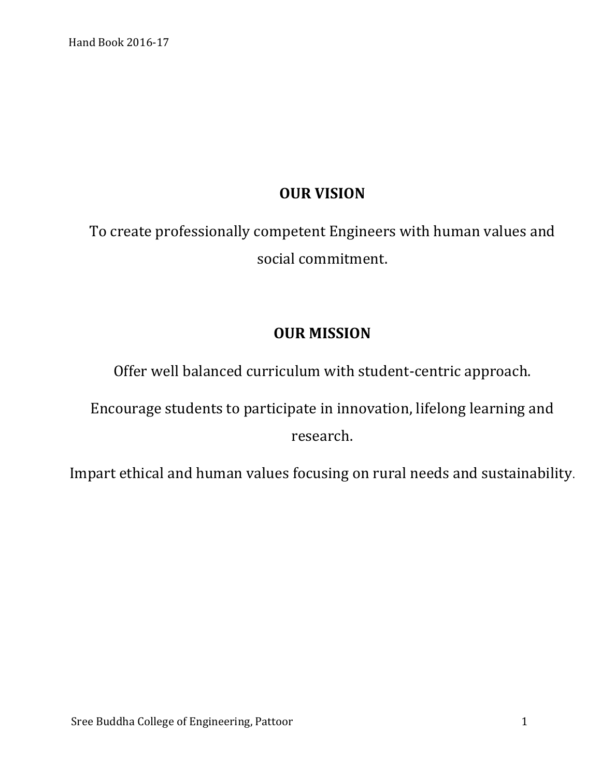# **OUR VISION**

To create professionally competent Engineers with human values and social commitment.

# **OUR MISSION**

Offer well balanced curriculum with student-centric approach.

Encourage students to participate in innovation, lifelong learning and research.

Impart ethical and human values focusing on rural needs and sustainability.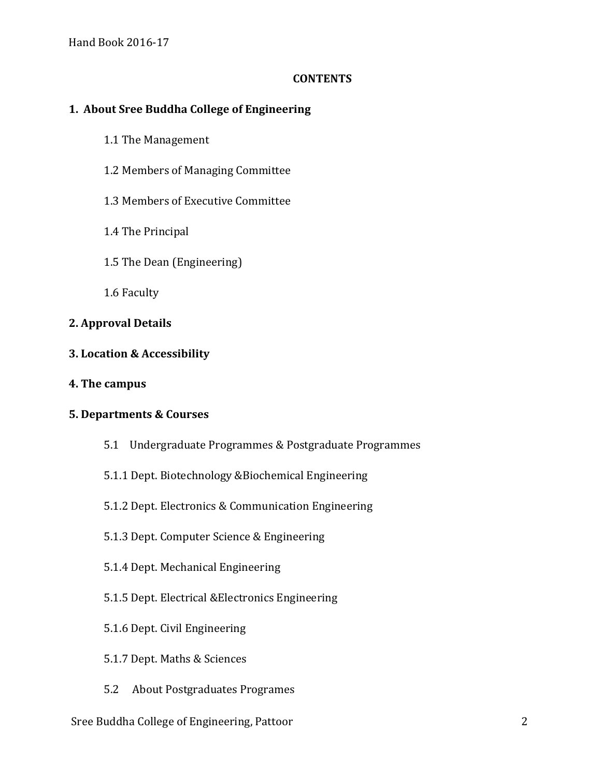#### **CONTENTS**

# **1. About Sree Buddha College of Engineering**

- 1.1 The Management
- 1.2 Members of Managing Committee
- 1.3 Members of Executive Committee
- 1.4 The Principal
- 1.5 The Dean (Engineering)
- 1.6 Faculty

## **2. Approval Details**

#### **3. Location & Accessibility**

**4. The campus**

#### **5. Departments & Courses**

- 5.1 Undergraduate Programmes & Postgraduate Programmes
- 5.1.1 Dept. Biotechnology &Biochemical Engineering
- 5.1.2 Dept. Electronics & Communication Engineering
- 5.1.3 Dept. Computer Science & Engineering
- 5.1.4 Dept. Mechanical Engineering
- 5.1.5 Dept. Electrical &Electronics Engineering
- 5.1.6 Dept. Civil Engineering
- 5.1.7 Dept. Maths & Sciences
- 5.2 About Postgraduates Programes

#### Sree Buddha College of Engineering, Pattoor 2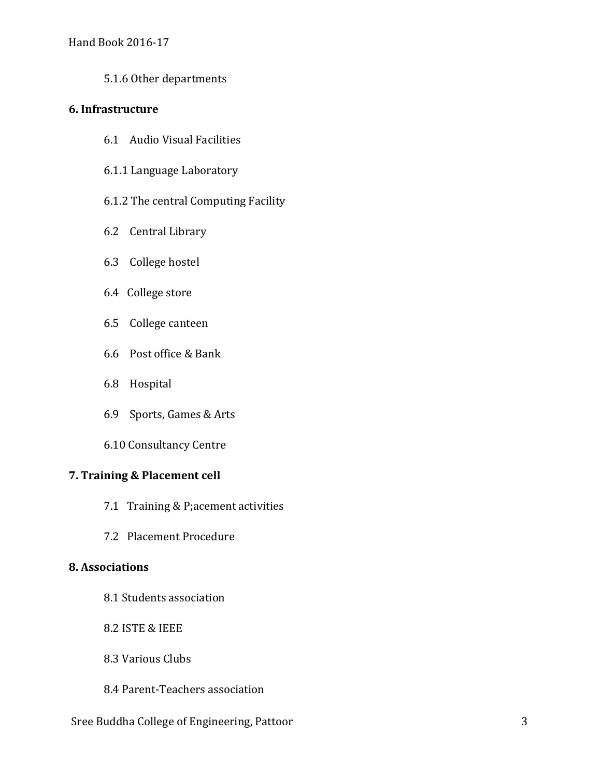5.1.6 Other departments

### **6. Infrastructure**

- 6.1 Audio Visual Facilities
- 6.1.1 Language Laboratory
- 6.1.2 The central Computing Facility
- 6.2 Central Library
- 6.3 College hostel
- 6.4 College store
- 6.5 College canteen
- 6.6 Post office & Bank
- 6.8 Hospital
- 6.9 Sports, Games & Arts
- 6.10 Consultancy Centre

# **7. Training & Placement cell**

- 7.1 Training & P;acement activities
- 7.2 Placement Procedure

# **8. Associations**

- 8.1 Students association
- 8.2 ISTE & IEEE
- 8.3 Various Clubs
- 8.4 Parent-Teachers association

## Sree Buddha College of Engineering, Pattoor 3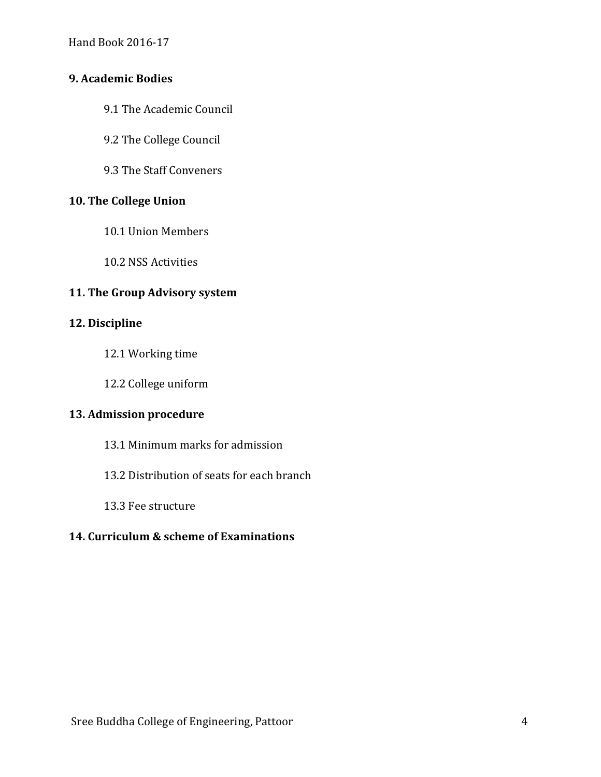### **9. Academic Bodies**

- 9.1 The Academic Council
- 9.2 The College Council
- 9.3 The Staff Conveners

## **10. The College Union**

- 10.1 Union Members
- 10.2 NSS Activities

# **11. The Group Advisory system**

### **12. Discipline**

- 12.1 Working time
- 12.2 College uniform

# **13. Admission procedure**

- 13.1 Minimum marks for admission
- 13.2 Distribution of seats for each branch
- 13.3 Fee structure

# **14. Curriculum & scheme of Examinations**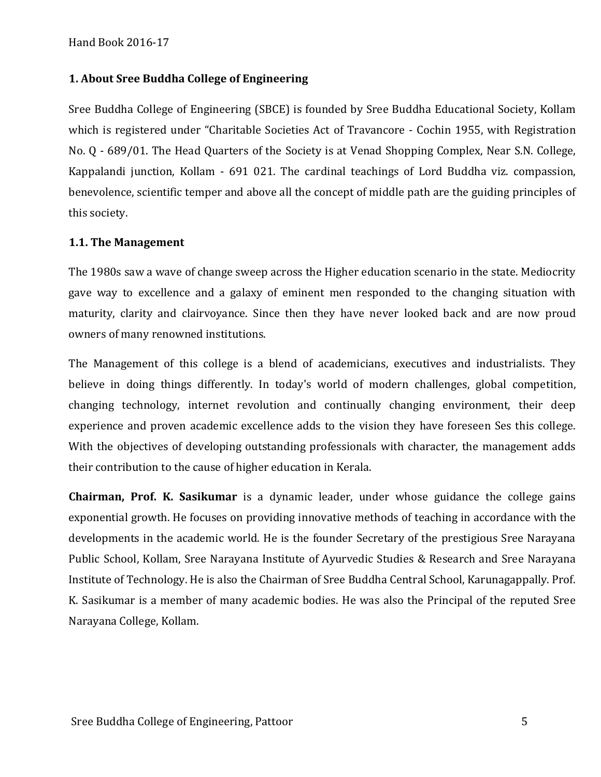## **1. About Sree Buddha College of Engineering**

Sree Buddha College of Engineering (SBCE) is founded by Sree Buddha Educational Society, Kollam which is registered under "Charitable Societies Act of Travancore - Cochin 1955, with Registration No. Q - 689/01. The Head Quarters of the Society is at Venad Shopping Complex, Near S.N. College, Kappalandi junction, Kollam - 691 021. The cardinal teachings of Lord Buddha viz. compassion, benevolence, scientific temper and above all the concept of middle path are the guiding principles of this society.

#### **1.1. The Management**

The 1980s saw a wave of change sweep across the Higher education scenario in the state. Mediocrity gave way to excellence and a galaxy of eminent men responded to the changing situation with maturity, clarity and clairvoyance. Since then they have never looked back and are now proud owners of many renowned institutions.

The Management of this college is a blend of academicians, executives and industrialists. They believe in doing things differently. In today's world of modern challenges, global competition, changing technology, internet revolution and continually changing environment, their deep experience and proven academic excellence adds to the vision they have foreseen Ses this college. With the objectives of developing outstanding professionals with character, the management adds their contribution to the cause of higher education in Kerala.

**Chairman, Prof. K. Sasikumar** is a dynamic leader, under whose guidance the college gains exponential growth. He focuses on providing innovative methods of teaching in accordance with the developments in the academic world. He is the founder Secretary of the prestigious Sree Narayana Public School, Kollam, Sree Narayana Institute of Ayurvedic Studies & Research and Sree Narayana Institute of Technology. He is also the Chairman of Sree Buddha Central School, Karunagappally. Prof. K. Sasikumar is a member of many academic bodies. He was also the Principal of the reputed Sree Narayana College, Kollam.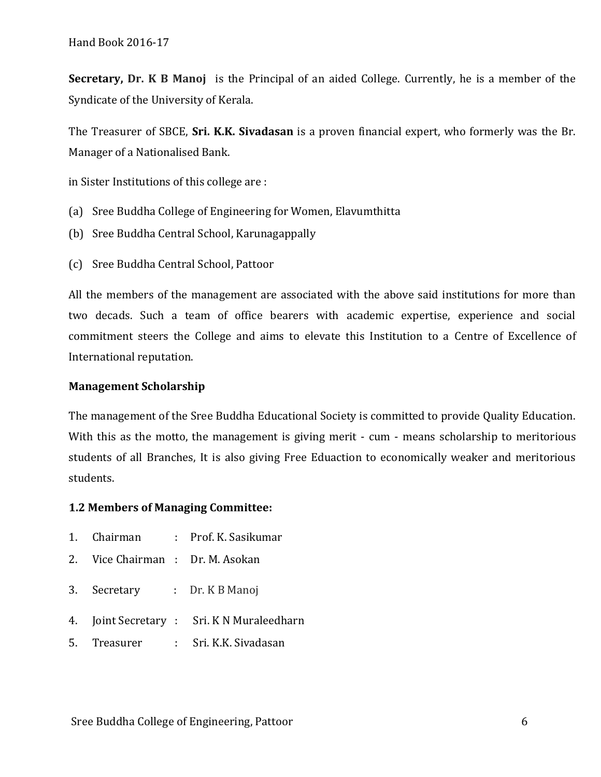**Secretary, Dr. K B Manoj** is the Principal of an aided College. Currently, he is a member of the Syndicate of the University of Kerala.

The Treasurer of SBCE, **Sri. K.K. Sivadasan** is a proven financial expert, who formerly was the Br. Manager of a Nationalised Bank.

in Sister Institutions of this college are :

- (a) Sree Buddha College of Engineering for Women, Elavumthitta
- (b) Sree Buddha Central School, Karunagappally
- (c) Sree Buddha Central School, Pattoor

All the members of the management are associated with the above said institutions for more than two decads. Such a team of office bearers with academic expertise, experience and social commitment steers the College and aims to elevate this Institution to a Centre of Excellence of International reputation.

#### **Management Scholarship**

The management of the Sree Buddha Educational Society is committed to provide Quality Education. With this as the motto, the management is giving merit - cum - means scholarship to meritorious students of all Branches, It is also giving Free Eduaction to economically weaker and meritorious students.

#### **1.2 Members of Managing Committee:**

- 1. Chairman : Prof. K. Sasikumar
- 2. Vice Chairman : Dr. M. Asokan
- 3. Secretary : Dr. K B Manoj
- 4. Joint Secretary : Sri. K N Muraleedharn
- 5. Treasurer : Sri. K.K. Sivadasan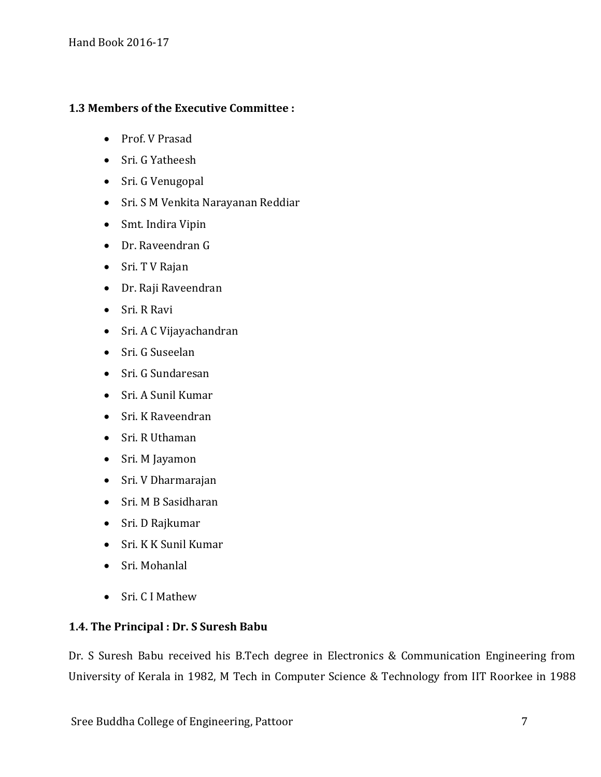# **1.3 Members of the Executive Committee :**

- Prof. V Prasad
- Sri. G Yatheesh
- Sri. G Venugopal
- Sri. S M Venkita Narayanan Reddiar
- Smt. Indira Vipin
- Dr. Raveendran G
- Sri. T V Rajan
- Dr. Raji Raveendran
- Sri. R Ravi
- Sri. A C Vijayachandran
- Sri. G Suseelan
- Sri. G Sundaresan
- Sri. A Sunil Kumar
- Sri. K Raveendran
- Sri. R Uthaman
- Sri. M Jayamon
- Sri. V Dharmarajan
- Sri. M B Sasidharan
- Sri. D Rajkumar
- Sri. K K Sunil Kumar
- Sri. Mohanlal
- Sri. C I Mathew

# **1.4. The Principal : Dr. S Suresh Babu**

Dr. S Suresh Babu received his B.Tech degree in Electronics & Communication Engineering from University of Kerala in 1982, M Tech in Computer Science & Technology from IIT Roorkee in 1988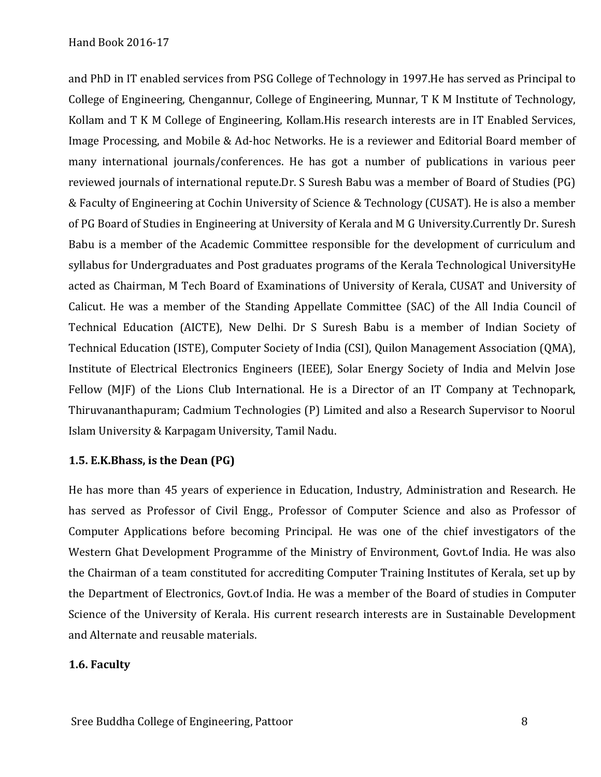and PhD in IT enabled services from PSG College of Technology in 1997.He has served as Principal to College of Engineering, Chengannur, College of Engineering, Munnar, T K M Institute of Technology, Kollam and T K M College of Engineering, Kollam.His research interests are in IT Enabled Services, Image Processing, and Mobile & Ad-hoc Networks. He is a reviewer and Editorial Board member of many international journals/conferences. He has got a number of publications in various peer reviewed journals of international repute.Dr. S Suresh Babu was a member of Board of Studies (PG) & Faculty of Engineering at Cochin University of Science & Technology (CUSAT). He is also a member of PG Board of Studies in Engineering at University of Kerala and M G University.Currently Dr. Suresh Babu is a member of the Academic Committee responsible for the development of curriculum and syllabus for Undergraduates and Post graduates programs of the Kerala Technological UniversityHe acted as Chairman, M Tech Board of Examinations of University of Kerala, CUSAT and University of Calicut. He was a member of the Standing Appellate Committee (SAC) of the All India Council of Technical Education (AICTE), New Delhi. Dr S Suresh Babu is a member of Indian Society of Technical Education (ISTE), Computer Society of India (CSI), Quilon Management Association (QMA), Institute of Electrical Electronics Engineers (IEEE), Solar Energy Society of India and Melvin Jose Fellow (MJF) of the Lions Club International. He is a Director of an IT Company at Technopark, Thiruvananthapuram; Cadmium Technologies (P) Limited and also a Research Supervisor to Noorul Islam University & Karpagam University, Tamil Nadu.

# **1.5. E.K.Bhass, is the Dean (PG)**

He has more than 45 years of experience in Education, Industry, Administration and Research. He has served as Professor of Civil Engg., Professor of Computer Science and also as Professor of Computer Applications before becoming Principal. He was one of the chief investigators of the Western Ghat Development Programme of the Ministry of Environment, Govt.of India. He was also the Chairman of a team constituted for accrediting Computer Training Institutes of Kerala, set up by the Department of Electronics, Govt.of India. He was a member of the Board of studies in Computer Science of the University of Kerala. His current research interests are in Sustainable Development and Alternate and reusable materials.

# **1.6. Faculty**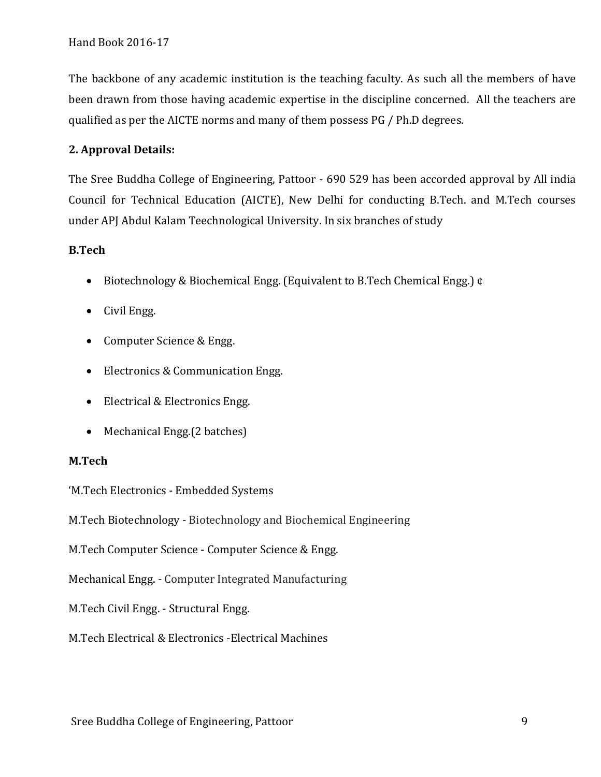The backbone of any academic institution is the teaching faculty. As such all the members of have been drawn from those having academic expertise in the discipline concerned. All the teachers are qualified as per the AICTE norms and many of them possess PG / Ph.D degrees.

# **2. Approval Details:**

The Sree Buddha College of Engineering, Pattoor - 690 529 has been accorded approval by All india Council for Technical Education (AICTE), New Delhi for conducting B.Tech. and M.Tech courses under APJ Abdul Kalam Teechnological University. In six branches of study

## **B.Tech**

- Biotechnology & Biochemical Engg. (Equivalent to B.Tech Chemical Engg.) ¢
- Civil Engg.
- Computer Science & Engg.
- Electronics & Communication Engg.
- Electrical & Electronics Engg.
- Mechanical Engg. (2 batches)

#### **M.Tech**

'M.Tech Electronics - Embedded Systems

M.Tech Biotechnology - Biotechnology and Biochemical Engineering

M.Tech Computer Science - Computer Science & Engg.

Mechanical Engg. - Computer Integrated Manufacturing

- M.Tech Civil Engg. Structural Engg.
- M.Tech Electrical & Electronics -Electrical Machines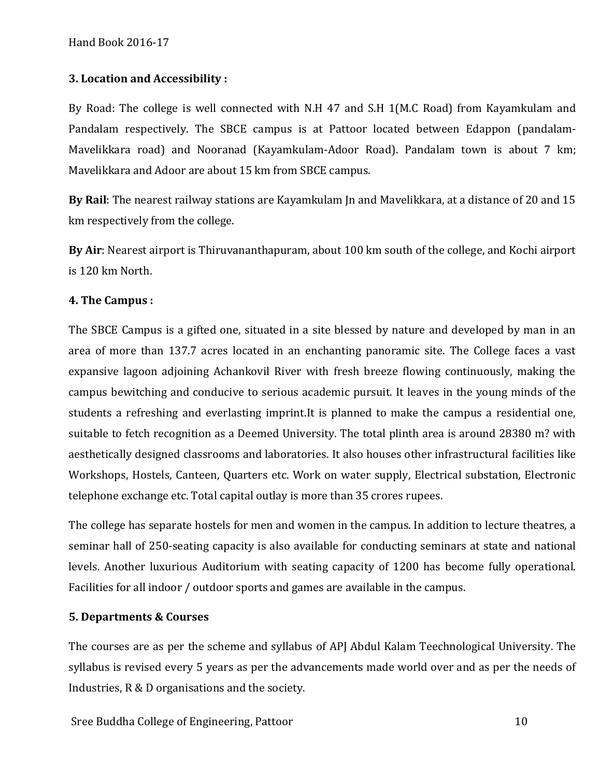## **3. Location and Accessibility :**

By Road: The college is well connected with N.H 47 and S.H 1(M.C Road) from Kayamkulam and Pandalam respectively. The SBCE campus is at Pattoor located between Edappon (pandalam-Mavelikkara road) and Nooranad (Kayamkulam-Adoor Road). Pandalam town is about 7 km; Mavelikkara and Adoor are about 15 km from SBCE campus.

**By Rail**: The nearest railway stations are Kayamkulam Jn and Mavelikkara, at a distance of 20 and 15 km respectively from the college.

**By Air**: Nearest airport is Thiruvananthapuram, about 100 km south of the college, and Kochi airport is 120 km North.

#### **4. The Campus :**

The SBCE Campus is a gifted one, situated in a site blessed by nature and developed by man in an area of more than 137.7 acres located in an enchanting panoramic site. The College faces a vast expansive lagoon adjoining Achankovil River with fresh breeze flowing continuously, making the campus bewitching and conducive to serious academic pursuit. It leaves in the young minds of the students a refreshing and everlasting imprint.It is planned to make the campus a residential one, suitable to fetch recognition as a Deemed University. The total plinth area is around 28380 m? with aesthetically designed classrooms and laboratories. It also houses other infrastructural facilities like Workshops, Hostels, Canteen, Quarters etc. Work on water supply, Electrical substation, Electronic telephone exchange etc. Total capital outlay is more than 35 crores rupees.

The college has separate hostels for men and women in the campus. In addition to lecture theatres, a seminar hall of 250-seating capacity is also available for conducting seminars at state and national levels. Another luxurious Auditorium with seating capacity of 1200 has become fully operational. Facilities for all indoor / outdoor sports and games are available in the campus.

#### **5. Departments & Courses**

The courses are as per the scheme and syllabus of APJ Abdul Kalam Teechnological University. The syllabus is revised every 5 years as per the advancements made world over and as per the needs of Industries, R & D organisations and the society.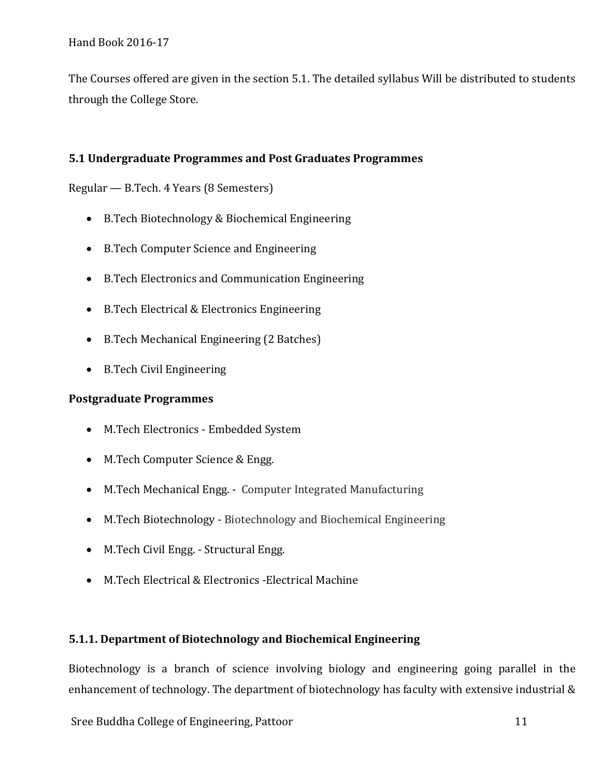The Courses offered are given in the section 5.1. The detailed syllabus Will be distributed to students through the College Store.

# **5.1 Undergraduate Programmes and Post Graduates Programmes**

Regular — B.Tech. 4 Years (8 Semesters)

- B.Tech Biotechnology & Biochemical Engineering
- B.Tech Computer Science and Engineering
- B.Tech Electronics and Communication Engineering
- B.Tech Electrical & Electronics Engineering
- B.Tech Mechanical Engineering (2 Batches)
- B.Tech Civil Engineering

# **Postgraduate Programmes**

- M.Tech Electronics Embedded System
- M.Tech Computer Science & Engg.
- M.Tech Mechanical Engg. Computer Integrated Manufacturing
- M.Tech Biotechnology Biotechnology and Biochemical Engineering
- M.Tech Civil Engg. Structural Engg.
- M.Tech Electrical & Electronics -Electrical Machine

# **5.1.1. Department of Biotechnology and Biochemical Engineering**

Biotechnology is a branch of science involving biology and engineering going parallel in the enhancement of technology. The department of biotechnology has faculty with extensive industrial &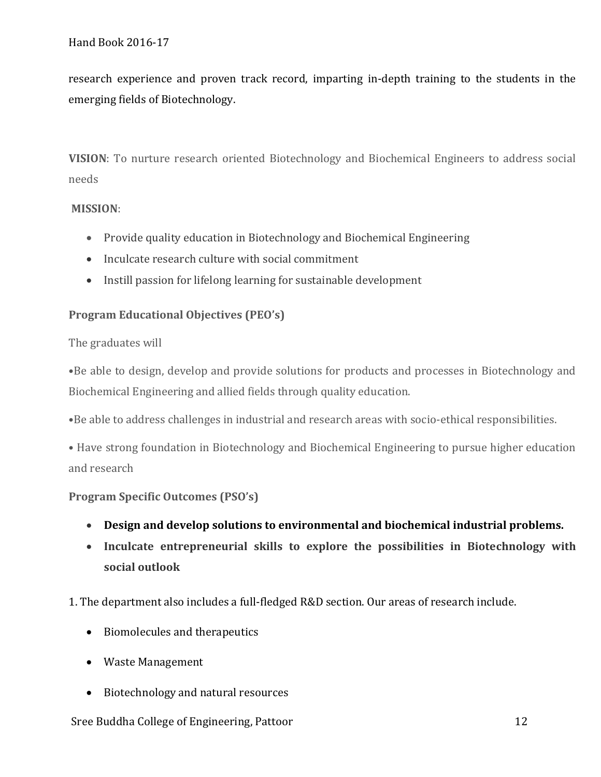research experience and proven track record, imparting in-depth training to the students in the emerging fields of Biotechnology.

**VISION**: To nurture research oriented Biotechnology and Biochemical Engineers to address social needs

## **MISSION**:

- Provide quality education in Biotechnology and Biochemical Engineering
- Inculcate research culture with social commitment
- Instill passion for lifelong learning for sustainable development

# **Program Educational Objectives (PEO's)**

# The graduates will

•Be able to design, develop and provide solutions for products and processes in Biotechnology and Biochemical Engineering and allied fields through quality education.

•Be able to address challenges in industrial and research areas with socio-ethical responsibilities.

• Have strong foundation in Biotechnology and Biochemical Engineering to pursue higher education and research

# **Program Specific Outcomes (PSO's)**

- **Design and develop solutions to environmental and biochemical industrial problems.**
- **Inculcate entrepreneurial skills to explore the possibilities in Biotechnology with social outlook**

1. The department also includes a full-fledged R&D section. Our areas of research include.

- Biomolecules and therapeutics
- Waste Management
- Biotechnology and natural resources

#### Sree Buddha College of Engineering, Pattoor 12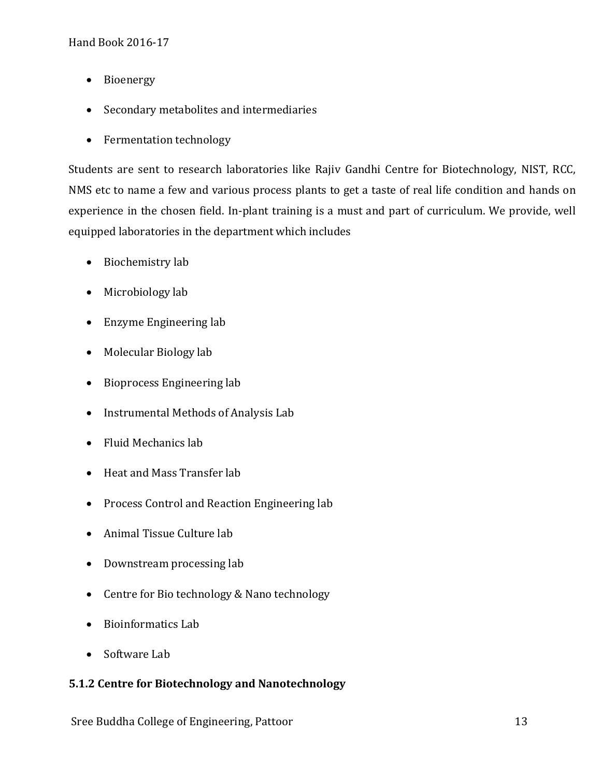- Bioenergy
- Secondary metabolites and intermediaries
- Fermentation technology

Students are sent to research laboratories like Rajiv Gandhi Centre for Biotechnology, NIST, RCC, NMS etc to name a few and various process plants to get a taste of real life condition and hands on experience in the chosen field. In-plant training is a must and part of curriculum. We provide, well equipped laboratories in the department which includes

- Biochemistry lab
- Microbiology lab
- Enzyme Engineering lab
- Molecular Biology lab
- Bioprocess Engineering lab
- Instrumental Methods of Analysis Lab
- Fluid Mechanics lab
- Heat and Mass Transfer lab
- Process Control and Reaction Engineering lab
- Animal Tissue Culture lab
- Downstream processing lab
- Centre for Bio technology & Nano technology
- Bioinformatics Lab
- Software Lab

# **5.1.2 Centre for Biotechnology and Nanotechnology**

Sree Buddha College of Engineering, Pattoor 13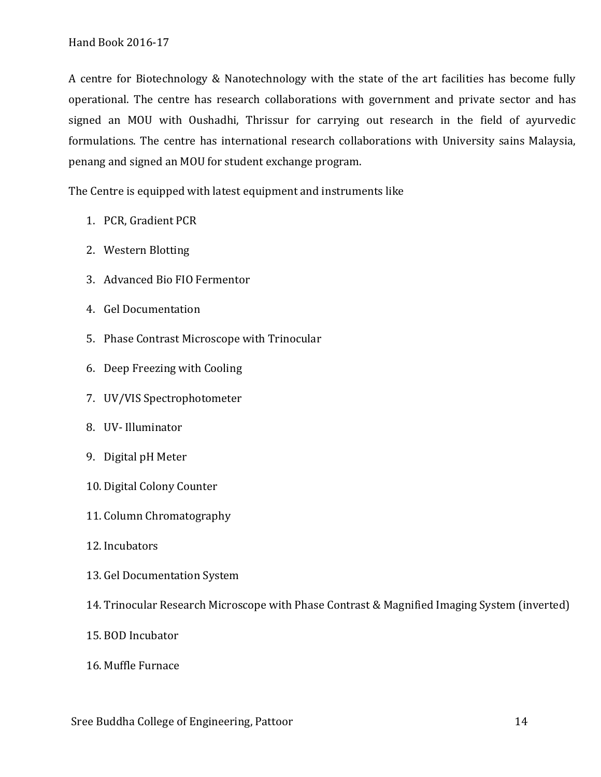A centre for Biotechnology & Nanotechnology with the state of the art facilities has become fully operational. The centre has research collaborations with government and private sector and has signed an MOU with Oushadhi, Thrissur for carrying out research in the field of ayurvedic formulations. The centre has international research collaborations with University sains Malaysia, penang and signed an MOU for student exchange program.

The Centre is equipped with latest equipment and instruments like

- 1. PCR, Gradient PCR
- 2. Western Blotting
- 3. Advanced Bio FIO Fermentor
- 4. Gel Documentation
- 5. Phase Contrast Microscope with Trinocular
- 6. Deep Freezing with Cooling
- 7. UV/VIS Spectrophotometer
- 8. UV- Illuminator
- 9. Digital pH Meter
- 10. Digital Colony Counter
- 11. Column Chromatography
- 12. Incubators
- 13. Gel Documentation System
- 14. Trinocular Research Microscope with Phase Contrast & Magnified Imaging System (inverted)
- 15. BOD Incubator
- 16. Muffle Furnace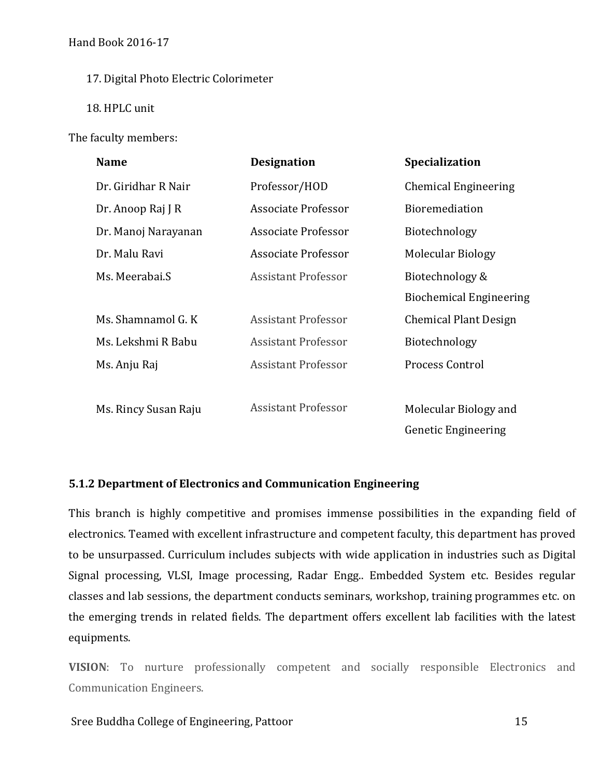#### 17. Digital Photo Electric Colorimeter

18. HPLC unit

The faculty members:

| <b>Name</b>          | <b>Designation</b>         | <b>Specialization</b>          |
|----------------------|----------------------------|--------------------------------|
| Dr. Giridhar R Nair  | Professor/HOD              | <b>Chemical Engineering</b>    |
| Dr. Anoop Raj J R    | Associate Professor        | <b>Bioremediation</b>          |
| Dr. Manoj Narayanan  | Associate Professor        | Biotechnology                  |
| Dr. Malu Ravi        | Associate Professor        | Molecular Biology              |
| Ms. Meerabai.S       | <b>Assistant Professor</b> | Biotechnology &                |
|                      |                            | <b>Biochemical Engineering</b> |
| Ms. Shamnamol G. K   | <b>Assistant Professor</b> | <b>Chemical Plant Design</b>   |
| Ms. Lekshmi R Babu   | <b>Assistant Professor</b> | Biotechnology                  |
| Ms. Anju Raj         | <b>Assistant Professor</b> | Process Control                |
|                      |                            |                                |
| Ms. Rincy Susan Raju | <b>Assistant Professor</b> | Molecular Biology and          |
|                      |                            | <b>Genetic Engineering</b>     |

# **5.1.2 Department of Electronics and Communication Engineering**

This branch is highly competitive and promises immense possibilities in the expanding field of electronics. Teamed with excellent infrastructure and competent faculty, this department has proved to be unsurpassed. Curriculum includes subjects with wide application in industries such as Digital Signal processing, VLSI, Image processing, Radar Engg.. Embedded System etc. Besides regular classes and lab sessions, the department conducts seminars, workshop, training programmes etc. on the emerging trends in related fields. The department offers excellent lab facilities with the latest equipments.

**VISION**: To nurture professionally competent and socially responsible Electronics and Communication Engineers.

#### Sree Buddha College of Engineering, Pattoor 15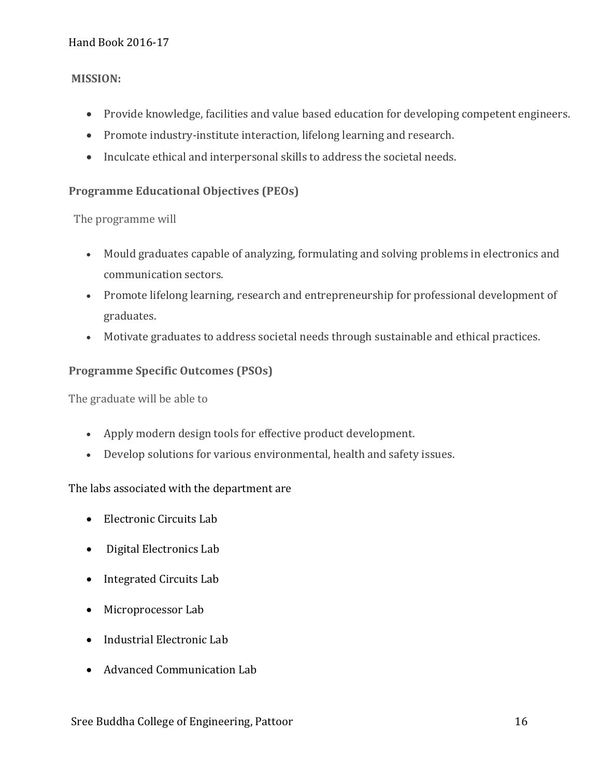## **MISSION:**

- Provide knowledge, facilities and value based education for developing competent engineers.
- Promote industry-institute interaction, lifelong learning and research.
- Inculcate ethical and interpersonal skills to address the societal needs.

## **Programme Educational Objectives (PEOs)**

The programme will

- Mould graduates capable of analyzing, formulating and solving problems in electronics and communication sectors.
- Promote lifelong learning, research and entrepreneurship for professional development of graduates.
- Motivate graduates to address societal needs through sustainable and ethical practices.

## **Programme Specific Outcomes (PSOs)**

The graduate will be able to

- Apply modern design tools for effective product development.
- Develop solutions for various environmental, health and safety issues.

#### The labs associated with the department are

- Electronic Circuits Lab
- Digital Electronics Lab
- Integrated Circuits Lab
- Microprocessor Lab
- Industrial Electronic Lab
- Advanced Communication Lab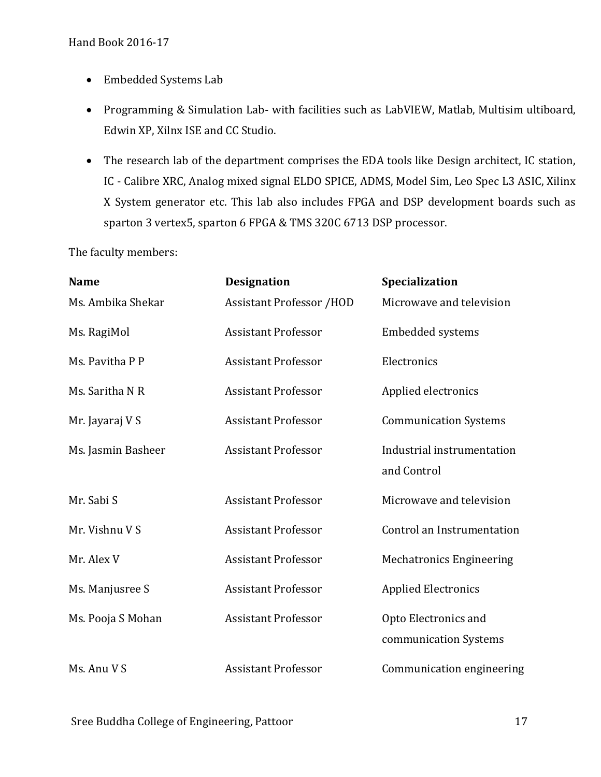- Embedded Systems Lab
- Programming & Simulation Lab- with facilities such as LabVIEW, Matlab, Multisim ultiboard, Edwin XP, Xilnx ISE and CC Studio.
- The research lab of the department comprises the EDA tools like Design architect, IC station, IC - Calibre XRC, Analog mixed signal ELDO SPICE, ADMS, Model Sim, Leo Spec L3 ASIC, Xilinx X System generator etc. This lab also includes FPGA and DSP development boards such as sparton 3 vertex5, sparton 6 FPGA & TMS 320C 6713 DSP processor.

The faculty members:

| <b>Name</b>        | <b>Designation</b>              | Specialization                                |
|--------------------|---------------------------------|-----------------------------------------------|
| Ms. Ambika Shekar  | <b>Assistant Professor /HOD</b> | Microwave and television                      |
| Ms. RagiMol        | <b>Assistant Professor</b>      | <b>Embedded systems</b>                       |
| Ms. Pavitha P P    | <b>Assistant Professor</b>      | Electronics                                   |
| Ms. Saritha N R    | <b>Assistant Professor</b>      | Applied electronics                           |
| Mr. Jayaraj V S    | <b>Assistant Professor</b>      | <b>Communication Systems</b>                  |
| Ms. Jasmin Basheer | <b>Assistant Professor</b>      | Industrial instrumentation<br>and Control     |
| Mr. Sabi S         | <b>Assistant Professor</b>      | Microwave and television                      |
| Mr. Vishnu V S     | <b>Assistant Professor</b>      | Control an Instrumentation                    |
| Mr. Alex V         | <b>Assistant Professor</b>      | <b>Mechatronics Engineering</b>               |
| Ms. Manjusree S    | <b>Assistant Professor</b>      | <b>Applied Electronics</b>                    |
| Ms. Pooja S Mohan  | <b>Assistant Professor</b>      | Opto Electronics and<br>communication Systems |
| Ms. Anu V S        | <b>Assistant Professor</b>      | Communication engineering                     |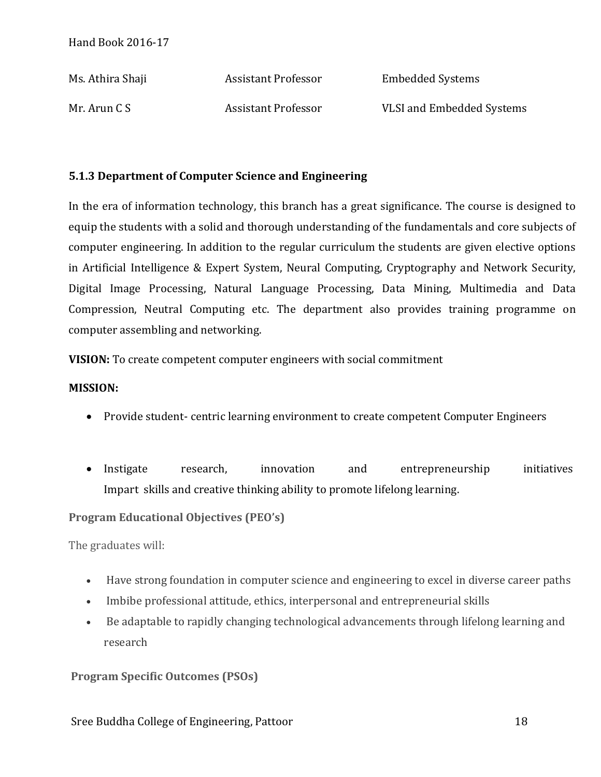| Ms. Athira Shaji | <b>Assistant Professor</b> | <b>Embedded Systems</b>          |
|------------------|----------------------------|----------------------------------|
| Mr. Arun C S     | Assistant Professor        | <b>VLSI and Embedded Systems</b> |

# **5.1.3 Department of Computer Science and Engineering**

In the era of information technology, this branch has a great significance. The course is designed to equip the students with a solid and thorough understanding of the fundamentals and core subjects of computer engineering. In addition to the regular curriculum the students are given elective options in Artificial Intelligence & Expert System, Neural Computing, Cryptography and Network Security, Digital Image Processing, Natural Language Processing, Data Mining, Multimedia and Data Compression, Neutral Computing etc. The department also provides training programme on computer assembling and networking.

**VISION:** To create competent computer engineers with social commitment

# **MISSION:**

- Provide student- centric learning environment to create competent Computer Engineers
- Instigate research, innovation and entrepreneurship initiatives Impart skills and creative thinking ability to promote lifelong learning.

# **Program Educational Objectives (PEO's)**

The graduates will:

- Have strong foundation in computer science and engineering to excel in diverse career paths
- Imbibe professional attitude, ethics, interpersonal and entrepreneurial skills
- Be adaptable to rapidly changing technological advancements through lifelong learning and research

# **Program Specific Outcomes (PSOs)**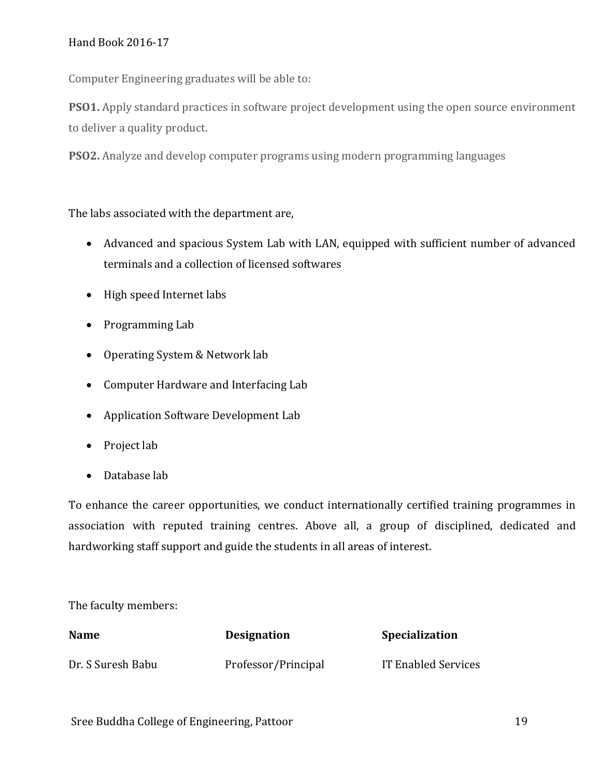Computer Engineering graduates will be able to:

**PSO1.** Apply standard practices in software project development using the open source environment to deliver a quality product.

**PSO2.** Analyze and develop computer programs using modern programming languages

The labs associated with the department are,

- Advanced and spacious System Lab with LAN, equipped with sufficient number of advanced terminals and a collection of licensed softwares
- High speed Internet labs
- Programming Lab
- Operating System & Network lab
- Computer Hardware and Interfacing Lab
- Application Software Development Lab
- Project lab
- Database lab

To enhance the career opportunities, we conduct internationally certified training programmes in association with reputed training centres. Above all, a group of disciplined, dedicated and hardworking staff support and guide the students in all areas of interest.

The faculty members:

| <b>Name</b>       | <b>Designation</b>  | <b>Specialization</b> |
|-------------------|---------------------|-----------------------|
| Dr. S Suresh Babu | Professor/Principal | IT Enabled Services   |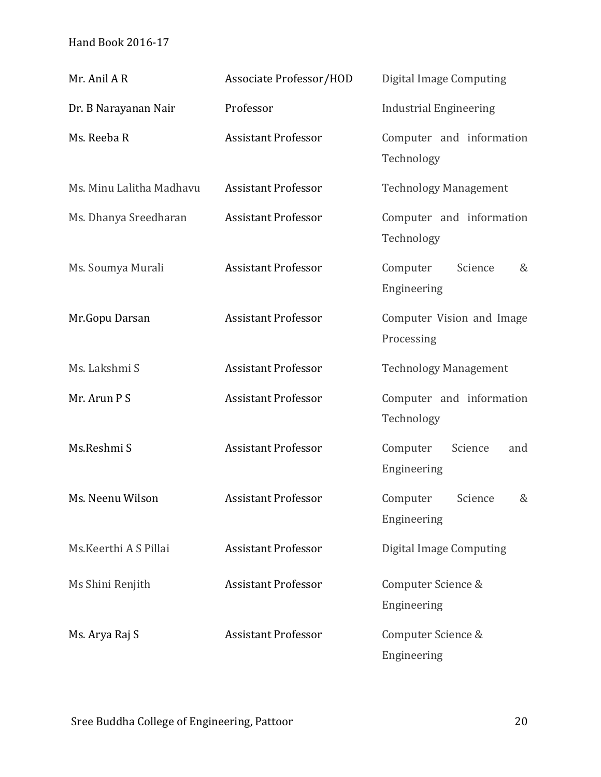| Mr. Anil AR              | <b>Associate Professor/HOD</b> | Digital Image Computing                   |
|--------------------------|--------------------------------|-------------------------------------------|
| Dr. B Narayanan Nair     | Professor                      | <b>Industrial Engineering</b>             |
| Ms. Reeba R              | <b>Assistant Professor</b>     | Computer and information<br>Technology    |
| Ms. Minu Lalitha Madhavu | <b>Assistant Professor</b>     | <b>Technology Management</b>              |
| Ms. Dhanya Sreedharan    | <b>Assistant Professor</b>     | Computer and information<br>Technology    |
| Ms. Soumya Murali        | <b>Assistant Professor</b>     | Computer<br>Science<br>&<br>Engineering   |
| Mr.Gopu Darsan           | <b>Assistant Professor</b>     | Computer Vision and Image<br>Processing   |
| Ms. Lakshmi S            | <b>Assistant Professor</b>     | <b>Technology Management</b>              |
| Mr. Arun P S             | <b>Assistant Professor</b>     | Computer and information<br>Technology    |
| Ms.Reshmi S              | <b>Assistant Professor</b>     | Computer<br>Science<br>and<br>Engineering |
| Ms. Neenu Wilson         | <b>Assistant Professor</b>     | Computer<br>Science<br>&<br>Engineering   |
| Ms. Keerthi A S Pillai   | <b>Assistant Professor</b>     | <b>Digital Image Computing</b>            |
| Ms Shini Renjith         | <b>Assistant Professor</b>     | Computer Science &<br>Engineering         |
| Ms. Arya Raj S           | <b>Assistant Professor</b>     | Computer Science &<br>Engineering         |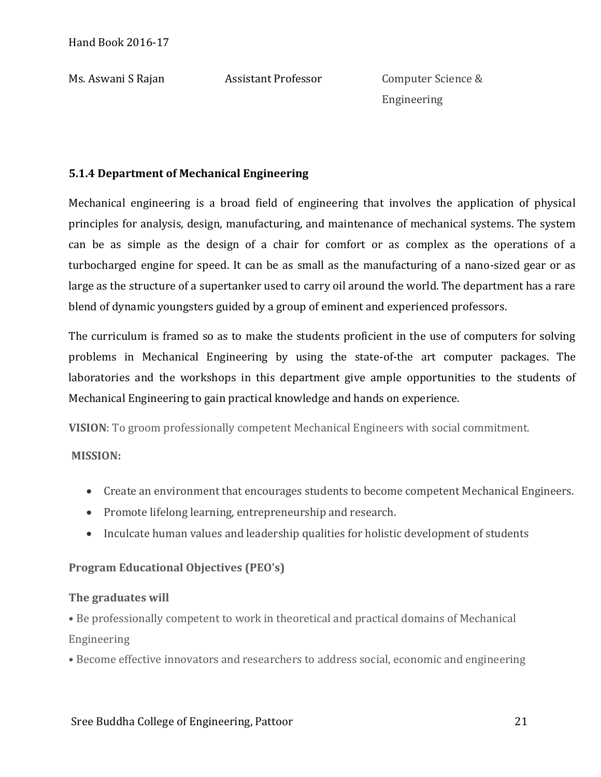Ms. Aswani S Rajan Assistant Professor Computer Science & Engineering

# **5.1.4 Department of Mechanical Engineering**

Mechanical engineering is a broad field of engineering that involves the application of physical principles for analysis, design, manufacturing, and maintenance of mechanical systems. The system can be as simple as the design of a chair for comfort or as complex as the operations of a turbocharged engine for speed. It can be as small as the manufacturing of a nano-sized gear or as large as the structure of a supertanker used to carry oil around the world. The department has a rare blend of dynamic youngsters guided by a group of eminent and experienced professors.

The curriculum is framed so as to make the students proficient in the use of computers for solving problems in Mechanical Engineering by using the state-of-the art computer packages. The laboratories and the workshops in this department give ample opportunities to the students of Mechanical Engineering to gain practical knowledge and hands on experience.

**VISION**: To groom professionally competent Mechanical Engineers with social commitment.

#### **MISSION:**

- Create an environment that encourages students to become competent Mechanical Engineers.
- Promote lifelong learning, entrepreneurship and research.
- Inculcate human values and leadership qualities for holistic development of students

#### **Program Educational Objectives (PEO's)**

#### **The graduates will**

• Be professionally competent to work in theoretical and practical domains of Mechanical Engineering

• Become effective innovators and researchers to address social, economic and engineering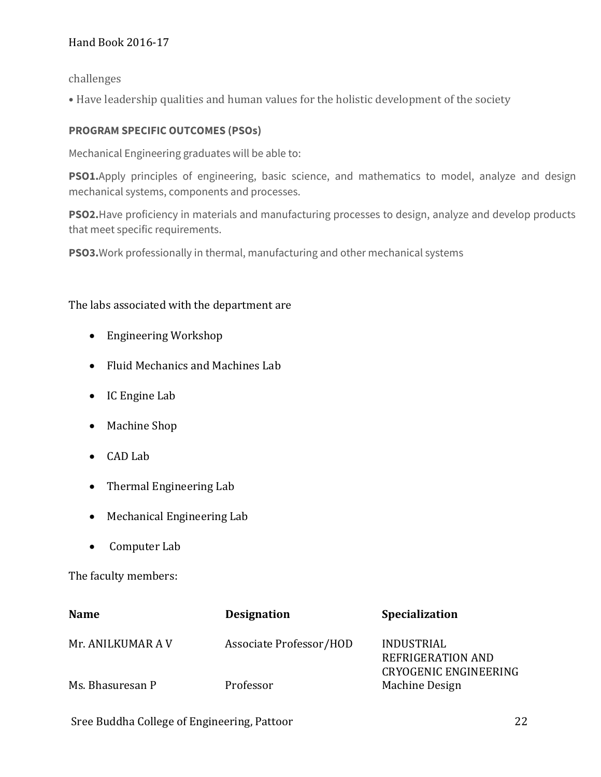challenges

• Have leadership qualities and human values for the holistic development of the society

# **PROGRAM SPECIFIC OUTCOMES (PSOs)**

Mechanical Engineering graduates will be able to:

**PSO1.**Apply principles of engineering, basic science, and mathematics to model, analyze and design mechanical systems, components and processes.

**PSO2.**Have proficiency in materials and manufacturing processes to design, analyze and develop products that meet specific requirements.

**PSO3.**Work professionally in thermal, manufacturing and other mechanical systems

## The labs associated with the department are

- Engineering Workshop
- Fluid Mechanics and Machines Lab
- IC Engine Lab
- Machine Shop
- CAD Lab
- Thermal Engineering Lab
- Mechanical Engineering Lab
- Computer Lab

The faculty members:

| <b>Name</b>       | <b>Designation</b>      | Specialization                                                  |
|-------------------|-------------------------|-----------------------------------------------------------------|
| Mr. ANILKUMAR A V | Associate Professor/HOD | INDUSTRIAL<br>REFRIGERATION AND<br><b>CRYOGENIC ENGINEERING</b> |
| Ms. Bhasuresan P  | Professor               | Machine Design                                                  |

Sree Buddha College of Engineering, Pattoor 22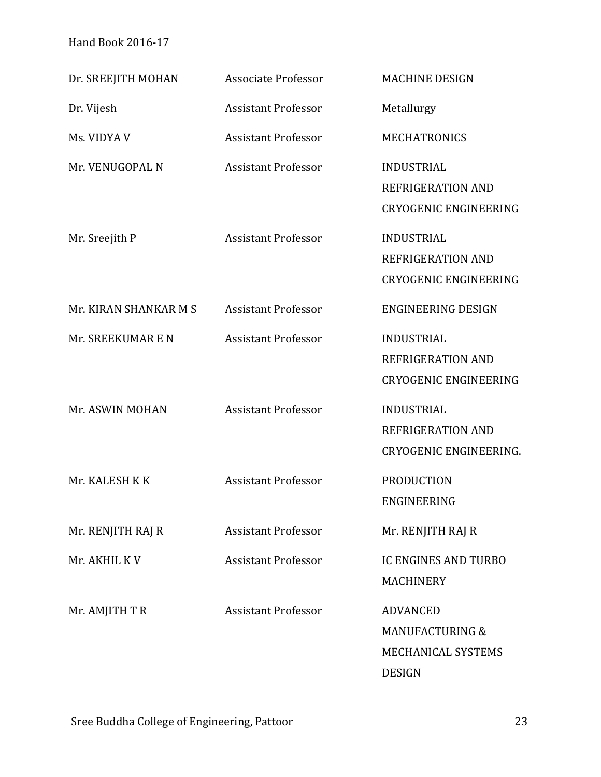| Dr. SREEJITH MOHAN    | <b>Associate Professor</b> | <b>MACHINE DESIGN</b>                                                                |
|-----------------------|----------------------------|--------------------------------------------------------------------------------------|
| Dr. Vijesh            | <b>Assistant Professor</b> | Metallurgy                                                                           |
| Ms. VIDYA V           | <b>Assistant Professor</b> | <b>MECHATRONICS</b>                                                                  |
| Mr. VENUGOPAL N       | <b>Assistant Professor</b> | <b>INDUSTRIAL</b><br>REFRIGERATION AND<br><b>CRYOGENIC ENGINEERING</b>               |
| Mr. Sreejith P        | <b>Assistant Professor</b> | <b>INDUSTRIAL</b><br>REFRIGERATION AND<br><b>CRYOGENIC ENGINEERING</b>               |
| Mr. KIRAN SHANKAR M S | <b>Assistant Professor</b> | <b>ENGINEERING DESIGN</b>                                                            |
| Mr. SREEKUMAR E N     | <b>Assistant Professor</b> | <b>INDUSTRIAL</b><br>REFRIGERATION AND<br><b>CRYOGENIC ENGINEERING</b>               |
| Mr. ASWIN MOHAN       | <b>Assistant Professor</b> | <b>INDUSTRIAL</b><br>REFRIGERATION AND<br>CRYOGENIC ENGINEERING.                     |
| Mr. KALESH K K        | <b>Assistant Professor</b> | PRODUCTION<br>ENGINEERING                                                            |
| Mr. RENJITH RAJ R     | <b>Assistant Professor</b> | Mr. RENJITH RAJ R                                                                    |
| Mr. AKHIL KV          | <b>Assistant Professor</b> | <b>IC ENGINES AND TURBO</b><br><b>MACHINERY</b>                                      |
| Mr. AMJITH TR         | <b>Assistant Professor</b> | <b>ADVANCED</b><br><b>MANUFACTURING &amp;</b><br>MECHANICAL SYSTEMS<br><b>DESIGN</b> |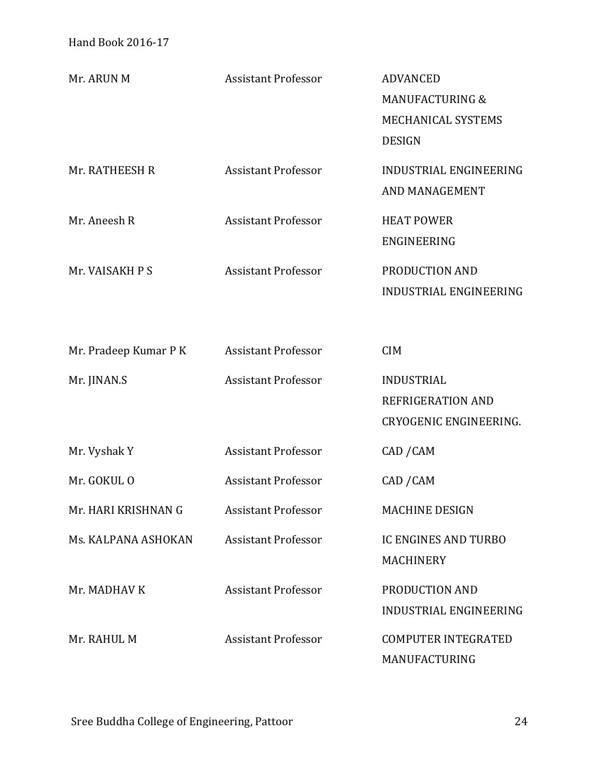| Mr. ARUN M            | <b>Assistant Professor</b> | <b>ADVANCED</b><br><b>MANUFACTURING &amp;</b><br>MECHANICAL SYSTEMS<br><b>DESIGN</b> |
|-----------------------|----------------------------|--------------------------------------------------------------------------------------|
| Mr. RATHEESH R        | <b>Assistant Professor</b> | INDUSTRIAL ENGINEERING<br>AND MANAGEMENT                                             |
| Mr. Aneesh R          | <b>Assistant Professor</b> | <b>HEAT POWER</b><br>ENGINEERING                                                     |
| Mr. VAISAKH P S       | <b>Assistant Professor</b> | PRODUCTION AND<br><b>INDUSTRIAL ENGINEERING</b>                                      |
| Mr. Pradeep Kumar P K | <b>Assistant Professor</b> | <b>CIM</b>                                                                           |
| Mr. JINAN.S           | <b>Assistant Professor</b> | <b>INDUSTRIAL</b><br>REFRIGERATION AND<br><b>CRYOGENIC ENGINEERING.</b>              |
| Mr. Vyshak Y          | <b>Assistant Professor</b> | CAD / CAM                                                                            |
| Mr. GOKUL O           | <b>Assistant Professor</b> | CAD / CAM                                                                            |
| Mr. HARI KRISHNAN G   | <b>Assistant Professor</b> | <b>MACHINE DESIGN</b>                                                                |
| Ms. KALPANA ASHOKAN   | <b>Assistant Professor</b> | <b>IC ENGINES AND TURBO</b><br><b>MACHINERY</b>                                      |
| Mr. MADHAV K          | <b>Assistant Professor</b> | PRODUCTION AND<br><b>INDUSTRIAL ENGINEERING</b>                                      |
| Mr. RAHUL M           | <b>Assistant Professor</b> | <b>COMPUTER INTEGRATED</b><br>MANUFACTURING                                          |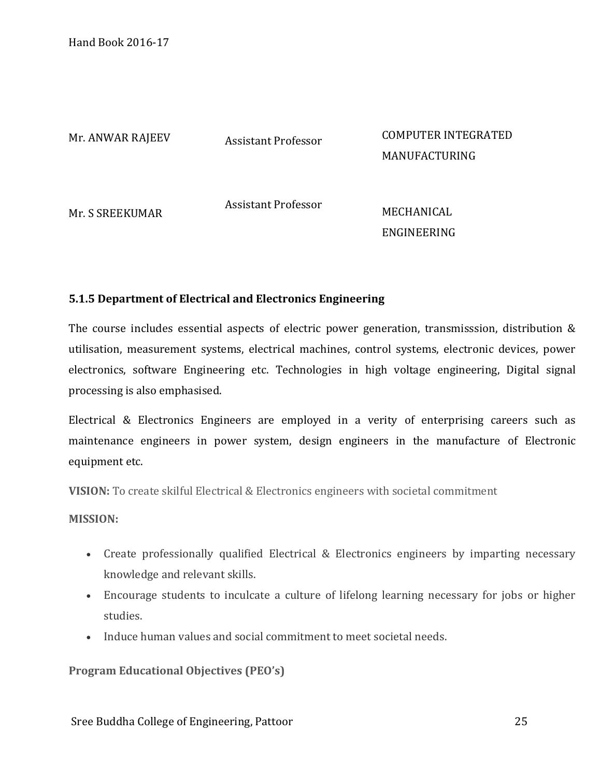Mr. ANWAR RAJEEV Assistant Professor COMPUTER INTEGRATED MANUFACTURING

Mr. S SREEKUMAR

Assistant Professor<br>MECHANICAL

ENGINEERING

# **5.1.5 Department of Electrical and Electronics Engineering**

The course includes essential aspects of electric power generation, transmisssion, distribution & utilisation, measurement systems, electrical machines, control systems, electronic devices, power electronics, software Engineering etc. Technologies in high voltage engineering, Digital signal processing is also emphasised.

Electrical & Electronics Engineers are employed in a verity of enterprising careers such as maintenance engineers in power system, design engineers in the manufacture of Electronic equipment etc.

**VISION:** To create skilful Electrical & Electronics engineers with societal commitment

**MISSION:**

- Create professionally qualified Electrical & Electronics engineers by imparting necessary knowledge and relevant skills.
- Encourage students to inculcate a culture of lifelong learning necessary for jobs or higher studies.
- Induce human values and social commitment to meet societal needs.

**Program Educational Objectives (PEO's)**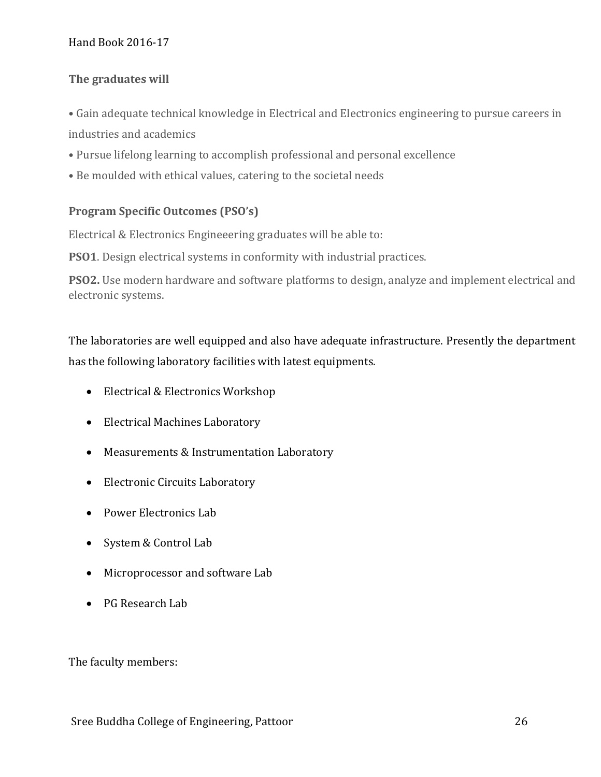# **The graduates will**

- Gain adequate technical knowledge in Electrical and Electronics engineering to pursue careers in industries and academics
- Pursue lifelong learning to accomplish professional and personal excellence
- Be moulded with ethical values, catering to the societal needs

## **Program Specific Outcomes (PSO's)**

Electrical & Electronics Engineeering graduates will be able to:

**PSO1**. Design electrical systems in conformity with industrial practices.

**PSO2.** Use modern hardware and software platforms to design, analyze and implement electrical and electronic systems.

The laboratories are well equipped and also have adequate infrastructure. Presently the department has the following laboratory facilities with latest equipments.

- Electrical & Electronics Workshop
- Electrical Machines Laboratory
- Measurements & Instrumentation Laboratory
- Electronic Circuits Laboratory
- Power Electronics Lab
- System & Control Lab
- Microprocessor and software Lab
- PG Research Lab

The faculty members: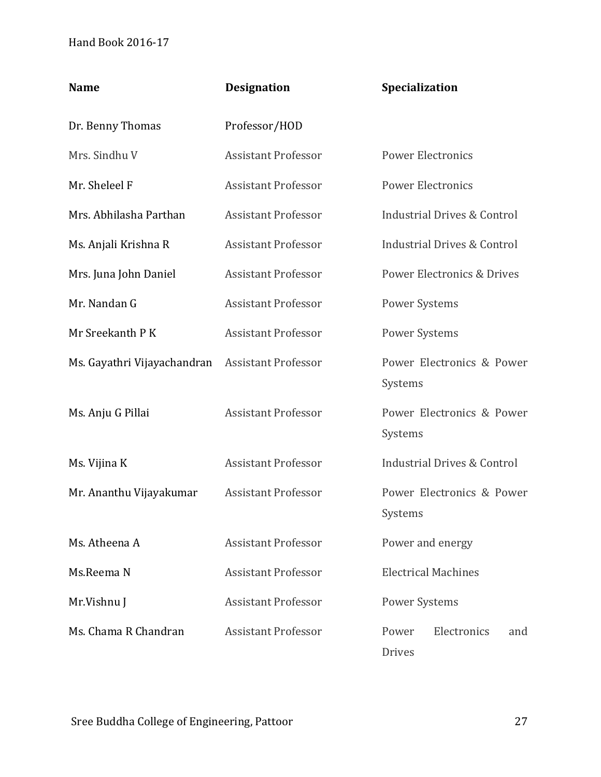| <b>Name</b>                 | <b>Designation</b>         | Specialization                         |  |
|-----------------------------|----------------------------|----------------------------------------|--|
| Dr. Benny Thomas            | Professor/HOD              |                                        |  |
| Mrs. Sindhu V               | <b>Assistant Professor</b> | <b>Power Electronics</b>               |  |
| Mr. Sheleel F               | <b>Assistant Professor</b> | <b>Power Electronics</b>               |  |
| Mrs. Abhilasha Parthan      | <b>Assistant Professor</b> | <b>Industrial Drives &amp; Control</b> |  |
| Ms. Anjali Krishna R        | <b>Assistant Professor</b> | <b>Industrial Drives &amp; Control</b> |  |
| Mrs. Juna John Daniel       | <b>Assistant Professor</b> | Power Electronics & Drives             |  |
| Mr. Nandan G                | <b>Assistant Professor</b> | <b>Power Systems</b>                   |  |
| Mr Sreekanth P K            | <b>Assistant Professor</b> | <b>Power Systems</b>                   |  |
| Ms. Gayathri Vijayachandran | <b>Assistant Professor</b> | Power Electronics & Power<br>Systems   |  |
| Ms. Anju G Pillai           | <b>Assistant Professor</b> | Power Electronics & Power<br>Systems   |  |
| Ms. Vijina K                | <b>Assistant Professor</b> | <b>Industrial Drives &amp; Control</b> |  |
| Mr. Ananthu Vijayakumar     | <b>Assistant Professor</b> | Power Electronics & Power<br>Systems   |  |
| Ms. Atheena A               | <b>Assistant Professor</b> | Power and energy                       |  |
| Ms.Reema N                  | <b>Assistant Professor</b> | <b>Electrical Machines</b>             |  |
| Mr.Vishnu J                 | <b>Assistant Professor</b> | <b>Power Systems</b>                   |  |
| Ms. Chama R Chandran        | <b>Assistant Professor</b> | Electronics<br>Power<br>and<br>Drives  |  |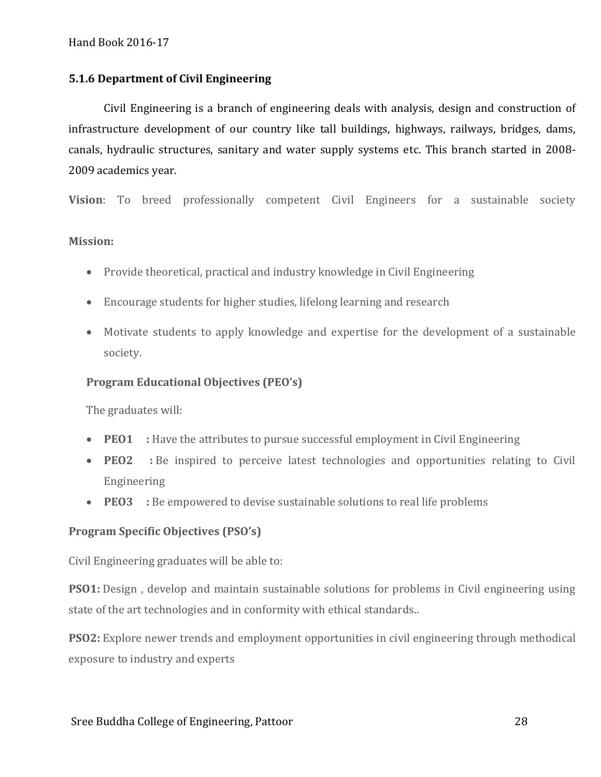### **5.1.6 Department of Civil Engineering**

Civil Engineering is a branch of engineering deals with analysis, design and construction of infrastructure development of our country like tall buildings, highways, railways, bridges, dams, canals, hydraulic structures, sanitary and water supply systems etc. This branch started in 2008- 2009 academics year.

**Vision**: To breed professionally competent Civil Engineers for a sustainable society

#### **Mission:**

- Provide theoretical, practical and industry knowledge in Civil Engineering
- Encourage students for higher studies, lifelong learning and research
- Motivate students to apply knowledge and expertise for the development of a sustainable society.

#### **Program Educational Objectives (PEO's)**

The graduates will:

- **PEO1** : Have the attributes to pursue successful employment in Civil Engineering
- **PEO2 :** Be inspired to perceive latest technologies and opportunities relating to Civil Engineering
- **PEO3** : Be empowered to devise sustainable solutions to real life problems

#### **Program Specific Objectives (PSO's)**

Civil Engineering graduates will be able to:

**PSO1:** Design, develop and maintain sustainable solutions for problems in Civil engineering using state of the art technologies and in conformity with ethical standards..

**PSO2:** Explore newer trends and employment opportunities in civil engineering through methodical exposure to industry and experts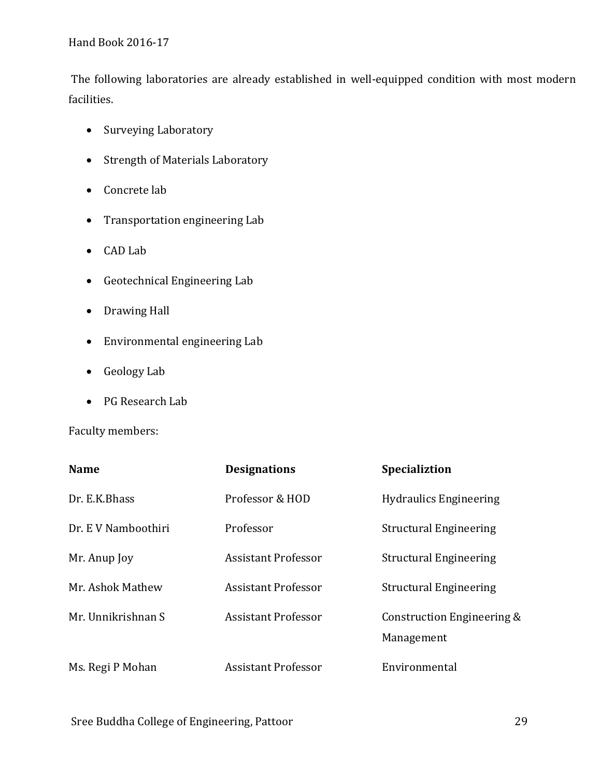The following laboratories are already established in well-equipped condition with most modern facilities.

- Surveying Laboratory
- Strength of Materials Laboratory
- Concrete lab
- Transportation engineering Lab
- CAD Lab
- Geotechnical Engineering Lab
- Drawing Hall
- Environmental engineering Lab
- Geology Lab
- PG Research Lab

Faculty members:

| <b>Name</b>         | <b>Designations</b>        | <b>Specializtion</b>                     |
|---------------------|----------------------------|------------------------------------------|
| Dr. E.K.Bhass       | Professor & HOD            | <b>Hydraulics Engineering</b>            |
| Dr. E V Namboothiri | Professor                  | <b>Structural Engineering</b>            |
| Mr. Anup Joy        | <b>Assistant Professor</b> | <b>Structural Engineering</b>            |
| Mr. Ashok Mathew    | <b>Assistant Professor</b> | <b>Structural Engineering</b>            |
| Mr. Unnikrishnan S  | <b>Assistant Professor</b> | Construction Engineering &<br>Management |
| Ms. Regi P Mohan    | <b>Assistant Professor</b> | Environmental                            |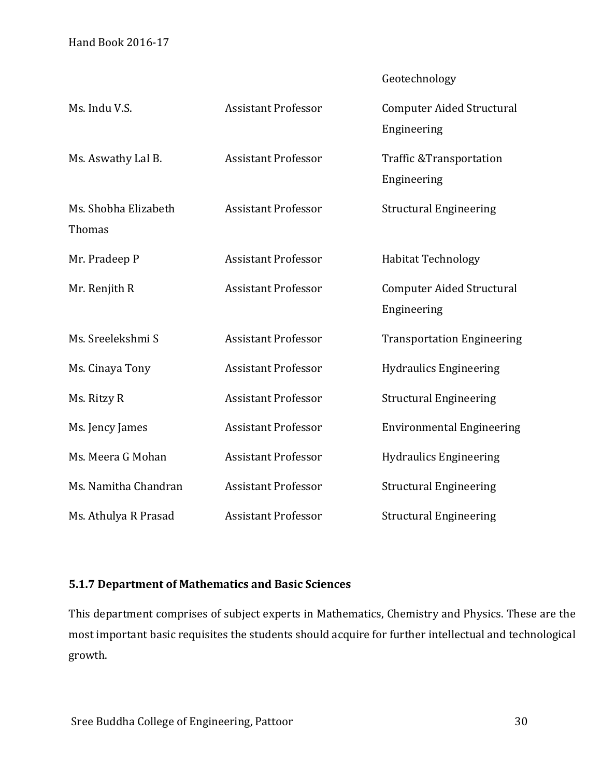| Geotechnology |  |
|---------------|--|
|               |  |

| Ms. Indu V.S.                         | <b>Assistant Professor</b> | <b>Computer Aided Structural</b><br>Engineering   |
|---------------------------------------|----------------------------|---------------------------------------------------|
| Ms. Aswathy Lal B.                    | <b>Assistant Professor</b> | <b>Traffic &amp;Transportation</b><br>Engineering |
| Ms. Shobha Elizabeth<br><b>Thomas</b> | <b>Assistant Professor</b> | <b>Structural Engineering</b>                     |
| Mr. Pradeep P                         | <b>Assistant Professor</b> | <b>Habitat Technology</b>                         |
| Mr. Renjith R                         | <b>Assistant Professor</b> | <b>Computer Aided Structural</b><br>Engineering   |
| Ms. Sreelekshmi S                     | <b>Assistant Professor</b> | <b>Transportation Engineering</b>                 |
| Ms. Cinaya Tony                       | <b>Assistant Professor</b> | <b>Hydraulics Engineering</b>                     |
| Ms. Ritzy R                           | <b>Assistant Professor</b> | <b>Structural Engineering</b>                     |
| Ms. Jency James                       | <b>Assistant Professor</b> | <b>Environmental Engineering</b>                  |
| Ms. Meera G Mohan                     | <b>Assistant Professor</b> | <b>Hydraulics Engineering</b>                     |
| Ms. Namitha Chandran                  | <b>Assistant Professor</b> | <b>Structural Engineering</b>                     |
| Ms. Athulya R Prasad                  | <b>Assistant Professor</b> | <b>Structural Engineering</b>                     |

# **5.1.7 Department of Mathematics and Basic Sciences**

This department comprises of subject experts in Mathematics, Chemistry and Physics. These are the most important basic requisites the students should acquire for further intellectual and technological growth.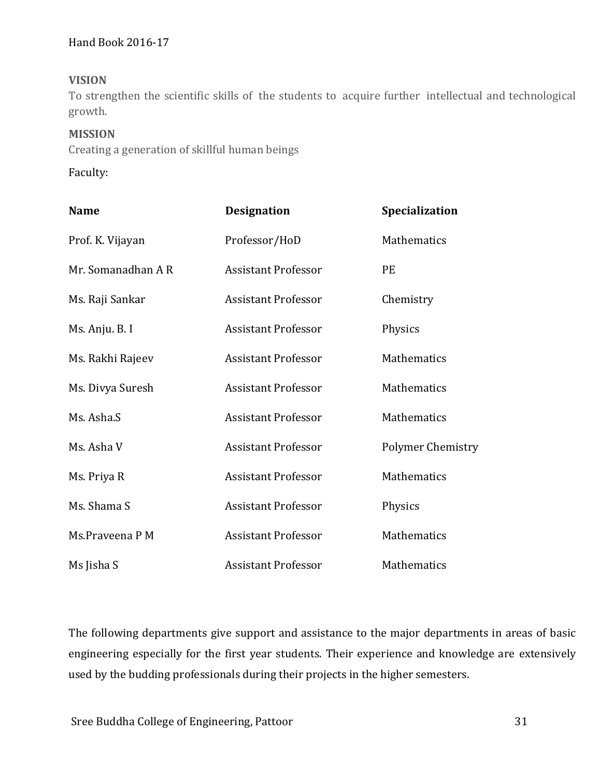## **VISION**

To strengthen the scientific skills of the students to acquire further intellectual and technological growth.

#### **MISSION**

Creating a generation of skillful human beings

Faculty:

| <b>Name</b>        | <b>Designation</b>         | Specialization    |
|--------------------|----------------------------|-------------------|
| Prof. K. Vijayan   | Professor/HoD              | Mathematics       |
| Mr. Somanadhan A R | <b>Assistant Professor</b> | <b>PE</b>         |
| Ms. Raji Sankar    | <b>Assistant Professor</b> | Chemistry         |
| Ms. Anju. B. I     | <b>Assistant Professor</b> | Physics           |
| Ms. Rakhi Rajeev   | <b>Assistant Professor</b> | Mathematics       |
| Ms. Divya Suresh   | <b>Assistant Professor</b> | Mathematics       |
| Ms. Asha.S         | <b>Assistant Professor</b> | Mathematics       |
| Ms. Asha V         | <b>Assistant Professor</b> | Polymer Chemistry |
| Ms. Priya R        | <b>Assistant Professor</b> | Mathematics       |
| Ms. Shama S        | <b>Assistant Professor</b> | Physics           |
| Ms.Praveena P M    | <b>Assistant Professor</b> | Mathematics       |
| Ms Jisha S         | <b>Assistant Professor</b> | Mathematics       |

The following departments give support and assistance to the major departments in areas of basic engineering especially for the first year students. Their experience and knowledge are extensively used by the budding professionals during their projects in the higher semesters.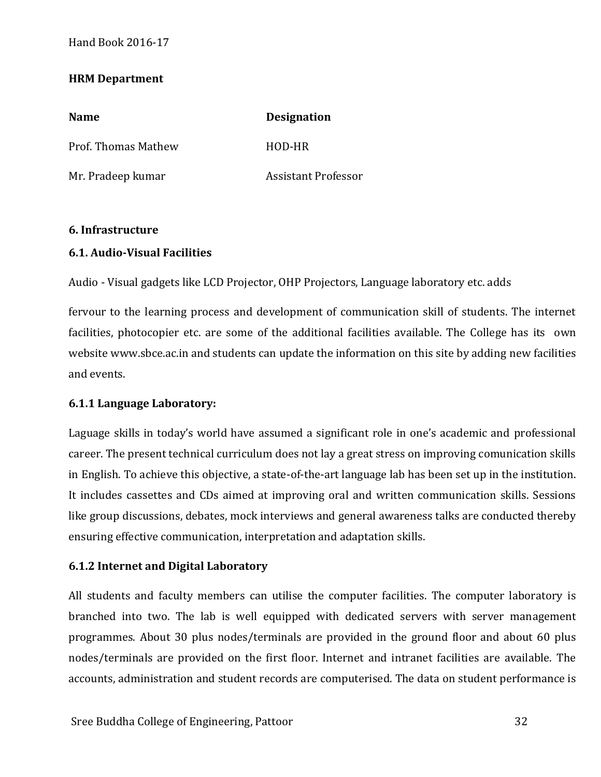### **HRM Department**

| <b>Name</b>                | <b>Designation</b>         |
|----------------------------|----------------------------|
| <b>Prof. Thomas Mathew</b> | HOD-HR                     |
| Mr. Pradeep kumar          | <b>Assistant Professor</b> |

#### **6. Infrastructure**

#### **6.1. Audio-Visual Facilities**

Audio - Visual gadgets like LCD Projector, OHP Projectors, Language laboratory etc. adds

fervour to the learning process and development of communication skill of students. The internet facilities, photocopier etc. are some of the additional facilities available. The College has its own website www.sbce.ac.in and students can update the information on this site by adding new facilities and events.

#### **6.1.1 Language Laboratory:**

Laguage skills in today's world have assumed a significant role in one's academic and professional career. The present technical curriculum does not lay a great stress on improving comunication skills in English. To achieve this objective, a state-of-the-art language lab has been set up in the institution. It includes cassettes and CDs aimed at improving oral and written communication skills. Sessions like group discussions, debates, mock interviews and general awareness talks are conducted thereby ensuring effective communication, interpretation and adaptation skills.

#### **6.1.2 Internet and Digital Laboratory**

All students and faculty members can utilise the computer facilities. The computer laboratory is branched into two. The lab is well equipped with dedicated servers with server management programmes. About 30 plus nodes/terminals are provided in the ground floor and about 60 plus nodes/terminals are provided on the first floor. Internet and intranet facilities are available. The accounts, administration and student records are computerised. The data on student performance is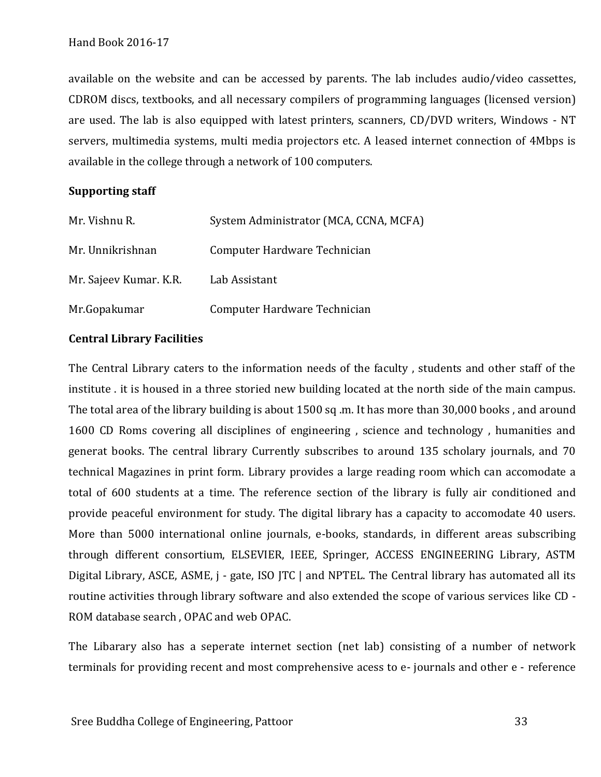available on the website and can be accessed by parents. The lab includes audio/video cassettes, CDROM discs, textbooks, and all necessary compilers of programming languages (licensed version) are used. The lab is also equipped with latest printers, scanners, CD/DVD writers, Windows - NT servers, multimedia systems, multi media projectors etc. A leased internet connection of 4Mbps is available in the college through a network of 100 computers.

#### **Supporting staff**

| Mr. Vishnu R.          | System Administrator (MCA, CCNA, MCFA) |
|------------------------|----------------------------------------|
| Mr. Unnikrishnan       | Computer Hardware Technician           |
| Mr. Sajeev Kumar. K.R. | Lab Assistant                          |
| Mr.Gopakumar           | Computer Hardware Technician           |

#### **Central Library Facilities**

The Central Library caters to the information needs of the faculty , students and other staff of the institute . it is housed in a three storied new building located at the north side of the main campus. The total area of the library building is about 1500 sq .m. It has more than 30,000 books , and around 1600 CD Roms covering all disciplines of engineering , science and technology , humanities and generat books. The central library Currently subscribes to around 135 scholary journals, and 70 technical Magazines in print form. Library provides a large reading room which can accomodate a total of 600 students at a time. The reference section of the library is fully air conditioned and provide peaceful environment for study. The digital library has a capacity to accomodate 40 users. More than 5000 international online journals, e-books, standards, in different areas subscribing through different consortium, ELSEVIER, IEEE, Springer, ACCESS ENGINEERING Library, ASTM Digital Library, ASCE, ASME, j - gate, ISO JTC | and NPTEL. The Central library has automated all its routine activities through library software and also extended the scope of various services like CD - ROM database search , OPAC and web OPAC.

The Libarary also has a seperate internet section (net lab) consisting of a number of network terminals for providing recent and most comprehensive acess to e- journals and other e - reference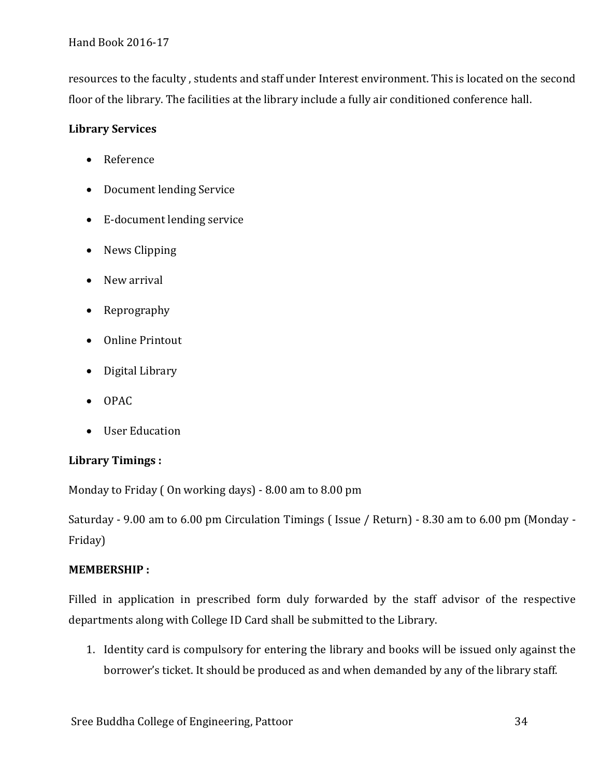resources to the faculty , students and staff under Interest environment. This is located on the second floor of the library. The facilities at the library include a fully air conditioned conference hall.

# **Library Services**

- Reference
- Document lending Service
- E-document lending service
- News Clipping
- New arrival
- Reprography
- Online Printout
- Digital Library
- OPAC
- User Education

# **Library Timings :**

Monday to Friday ( On working days) - 8.00 am to 8.00 pm

Saturday - 9.00 am to 6.00 pm Circulation Timings ( Issue / Return) - 8.30 am to 6.00 pm (Monday - Friday)

# **MEMBERSHIP :**

Filled in application in prescribed form duly forwarded by the staff advisor of the respective departments along with College ID Card shall be submitted to the Library.

1. Identity card is compulsory for entering the library and books will be issued only against the borrower's ticket. It should be produced as and when demanded by any of the library staff.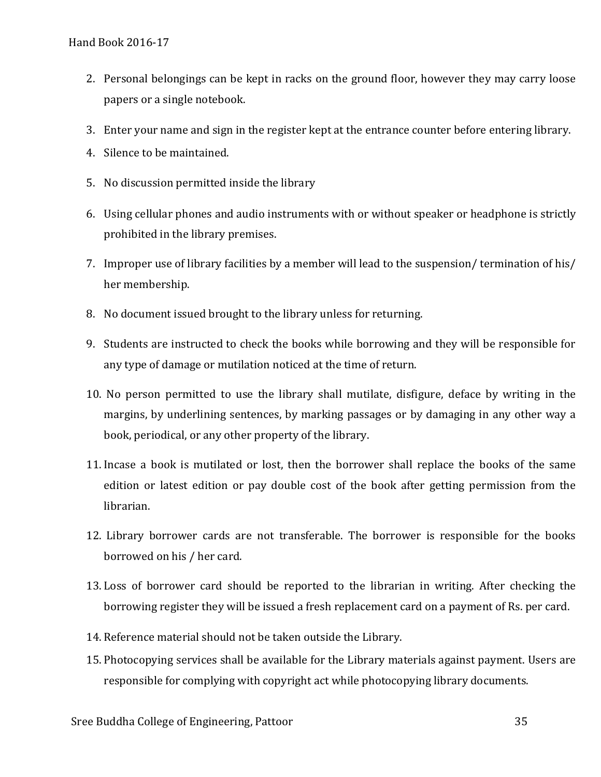- 2. Personal belongings can be kept in racks on the ground floor, however they may carry loose papers or a single notebook.
- 3. Enter your name and sign in the register kept at the entrance counter before entering library.
- 4. Silence to be maintained.
- 5. No discussion permitted inside the library
- 6. Using cellular phones and audio instruments with or without speaker or headphone is strictly prohibited in the library premises.
- 7. Improper use of library facilities by a member will lead to the suspension/ termination of his/ her membership.
- 8. No document issued brought to the library unless for returning.
- 9. Students are instructed to check the books while borrowing and they will be responsible for any type of damage or mutilation noticed at the time of return.
- 10. No person permitted to use the library shall mutilate, disfigure, deface by writing in the margins, by underlining sentences, by marking passages or by damaging in any other way a book, periodical, or any other property of the library.
- 11. Incase a book is mutilated or lost, then the borrower shall replace the books of the same edition or latest edition or pay double cost of the book after getting permission from the librarian.
- 12. Library borrower cards are not transferable. The borrower is responsible for the books borrowed on his / her card.
- 13. Loss of borrower card should be reported to the librarian in writing. After checking the borrowing register they will be issued a fresh replacement card on a payment of Rs. per card.
- 14. Reference material should not be taken outside the Library.
- 15. Photocopying services shall be available for the Library materials against payment. Users are responsible for complying with copyright act while photocopying library documents.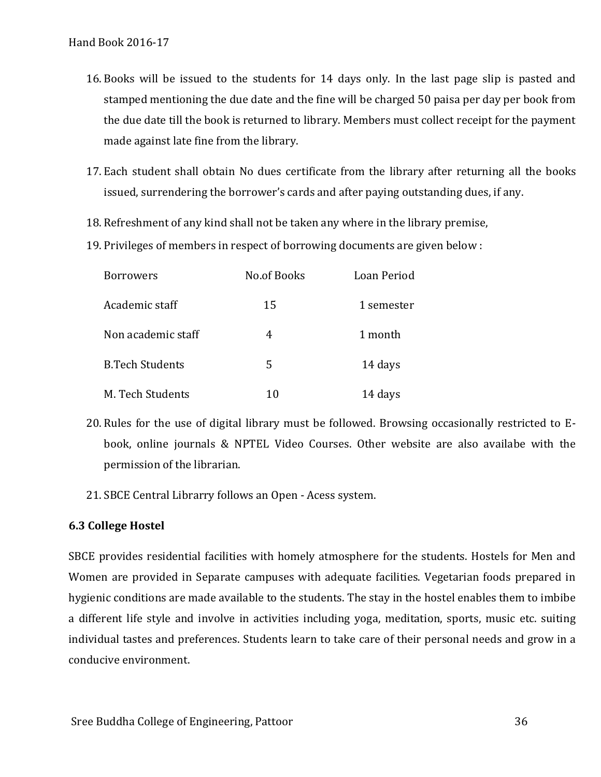- 16. Books will be issued to the students for 14 days only. In the last page slip is pasted and stamped mentioning the due date and the fine will be charged 50 paisa per day per book from the due date till the book is returned to library. Members must collect receipt for the payment made against late fine from the library.
- 17. Each student shall obtain No dues certificate from the library after returning all the books issued, surrendering the borrower's cards and after paying outstanding dues, if any.
- 18. Refreshment of any kind shall not be taken any where in the library premise,
- 19. Privileges of members in respect of borrowing documents are given below :

| Borrowers              | <b>No.of Books</b> | Loan Period |
|------------------------|--------------------|-------------|
| Academic staff         | 15                 | 1 semester  |
| Non academic staff     | 4                  | 1 month     |
| <b>B.Tech Students</b> | 5                  | 14 days     |
| M. Tech Students       | 10                 | 14 days     |

- 20. Rules for the use of digital library must be followed. Browsing occasionally restricted to Ebook, online journals & NPTEL Video Courses. Other website are also availabe with the permission of the librarian.
- 21. SBCE Central Librarry follows an Open Acess system.

#### **6.3 College Hostel**

SBCE provides residential facilities with homely atmosphere for the students. Hostels for Men and Women are provided in Separate campuses with adequate facilities. Vegetarian foods prepared in hygienic conditions are made available to the students. The stay in the hostel enables them to imbibe a different life style and involve in activities including yoga, meditation, sports, music etc. suiting individual tastes and preferences. Students learn to take care of their personal needs and grow in a conducive environment.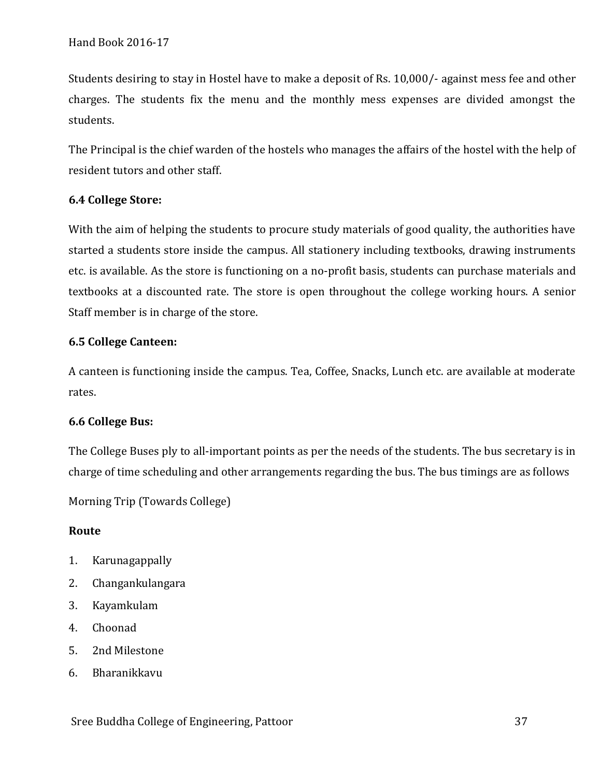Students desiring to stay in Hostel have to make a deposit of Rs. 10,000/- against mess fee and other charges. The students fix the menu and the monthly mess expenses are divided amongst the students.

The Principal is the chief warden of the hostels who manages the affairs of the hostel with the help of resident tutors and other staff.

# **6.4 College Store:**

With the aim of helping the students to procure study materials of good quality, the authorities have started a students store inside the campus. All stationery including textbooks, drawing instruments etc. is available. As the store is functioning on a no-profit basis, students can purchase materials and textbooks at a discounted rate. The store is open throughout the college working hours. A senior Staff member is in charge of the store.

# **6.5 College Canteen:**

A canteen is functioning inside the campus. Tea, Coffee, Snacks, Lunch etc. are available at moderate rates.

# **6.6 College Bus:**

The College Buses ply to all-important points as per the needs of the students. The bus secretary is in charge of time scheduling and other arrangements regarding the bus. The bus timings are as follows

Morning Trip (Towards College)

# **Route**

- 1. Karunagappally
- 2. Changankulangara
- 3. Kayamkulam
- 4. Choonad
- 5. 2nd Milestone
- 6. Bharanikkavu

Sree Buddha College of Engineering, Pattoor 37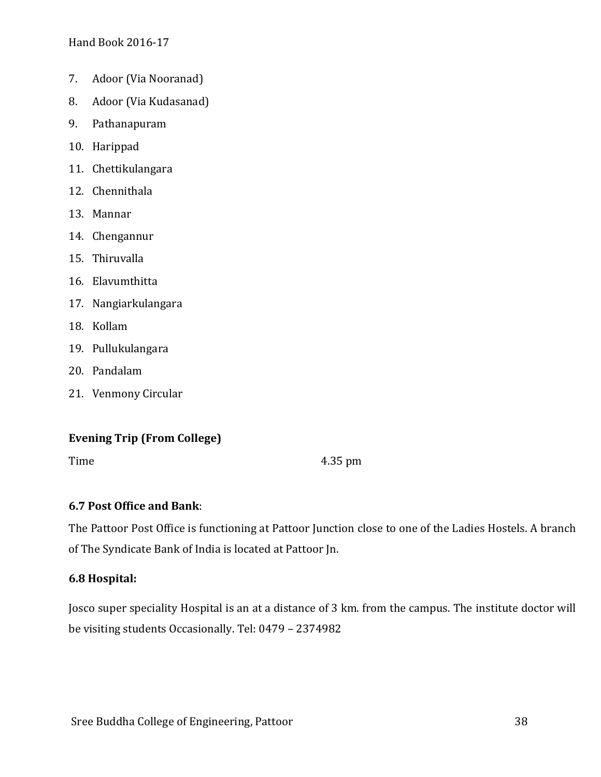- 7. Adoor (Via Nooranad)
- 8. Adoor (Via Kudasanad)
- 9. Pathanapuram
- 10. Harippad
- 11. Chettikulangara
- 12. Chennithala
- 13. Mannar
- 14. Chengannur
- 15. Thiruvalla
- 16. Elavumthitta
- 17. Nangiarkulangara
- 18. Kollam
- 19. Pullukulangara
- 20. Pandalam
- 21. Venmony Circular

# **Evening Trip (From College)**

Time 4.35 pm

# **6.7 Post Office and Bank**:

The Pattoor Post Office is functioning at Pattoor Junction close to one of the Ladies Hostels. A branch of The Syndicate Bank of India is located at Pattoor Jn.

# **6.8 Hospital:**

Josco super speciality Hospital is an at a distance of 3 km. from the campus. The institute doctor will be visiting students Occasionally. Tel: 0479 – 2374982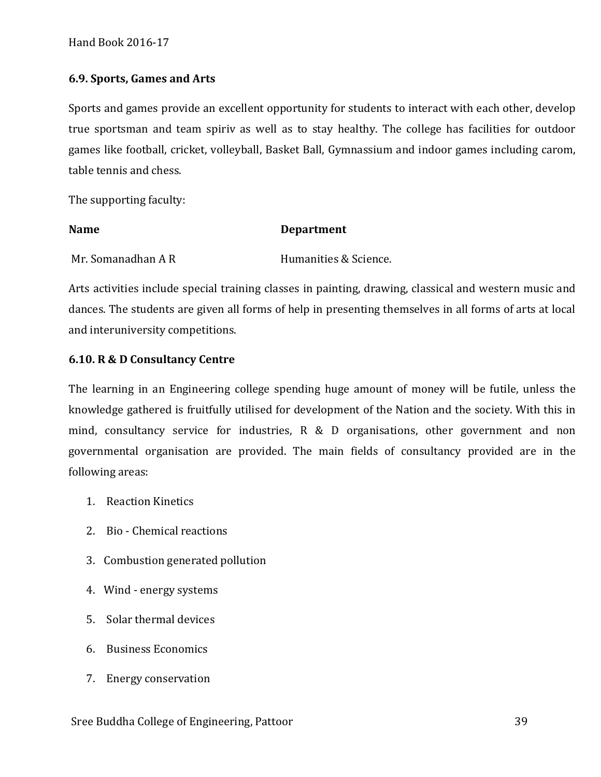#### **6.9. Sports, Games and Arts**

Sports and games provide an excellent opportunity for students to interact with each other, develop true sportsman and team spiriv as well as to stay healthy. The college has facilities for outdoor games like football, cricket, volleyball, Basket Ball, Gymnassium and indoor games including carom, table tennis and chess.

The supporting faculty:

# Name Department

Mr. Somanadhan A R Humanities & Science.

Arts activities include special training classes in painting, drawing, classical and western music and dances. The students are given all forms of help in presenting themselves in all forms of arts at local and interuniversity competitions.

#### **6.10. R & D Consultancy Centre**

The learning in an Engineering college spending huge amount of money will be futile, unless the knowledge gathered is fruitfully utilised for development of the Nation and the society. With this in mind, consultancy service for industries, R & D organisations, other government and non governmental organisation are provided. The main fields of consultancy provided are in the following areas:

- 1. Reaction Kinetics
- 2. Bio Chemical reactions
- 3. Combustion generated pollution
- 4. Wind energy systems
- 5. Solar thermal devices
- 6. Business Economics
- 7. Energy conservation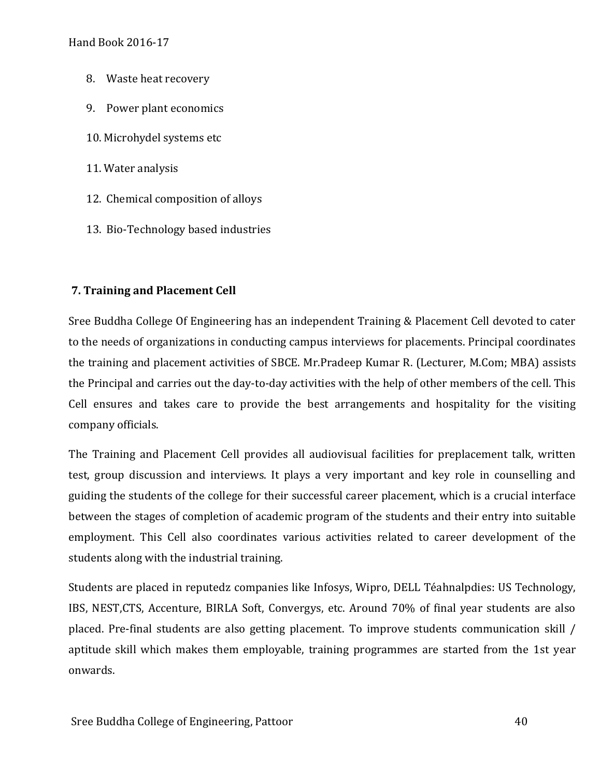- 8. Waste heat recovery
- 9. Power plant economics
- 10. Microhydel systems etc
- 11. Water analysis
- 12. Chemical composition of alloys
- 13. Bio-Technology based industries

#### **7. Training and Placement Cell**

Sree Buddha College Of Engineering has an independent Training & Placement Cell devoted to cater to the needs of organizations in conducting campus interviews for placements. Principal coordinates the training and placement activities of SBCE. Mr.Pradeep Kumar R. (Lecturer, M.Com; MBA) assists the Principal and carries out the day-to-day activities with the help of other members of the cell. This Cell ensures and takes care to provide the best arrangements and hospitality for the visiting company officials.

The Training and Placement Cell provides all audiovisual facilities for preplacement talk, written test, group discussion and interviews. It plays a very important and key role in counselling and guiding the students of the college for their successful career placement, which is a crucial interface between the stages of completion of academic program of the students and their entry into suitable employment. This Cell also coordinates various activities related to career development of the students along with the industrial training.

Students are placed in reputedz companies like Infosys, Wipro, DELL Téahnalpdies: US Technology, IBS, NEST,CTS, Accenture, BIRLA Soft, Convergys, etc. Around 70% of final year students are also placed. Pre-final students are also getting placement. To improve students communication skill / aptitude skill which makes them employable, training programmes are started from the 1st year onwards.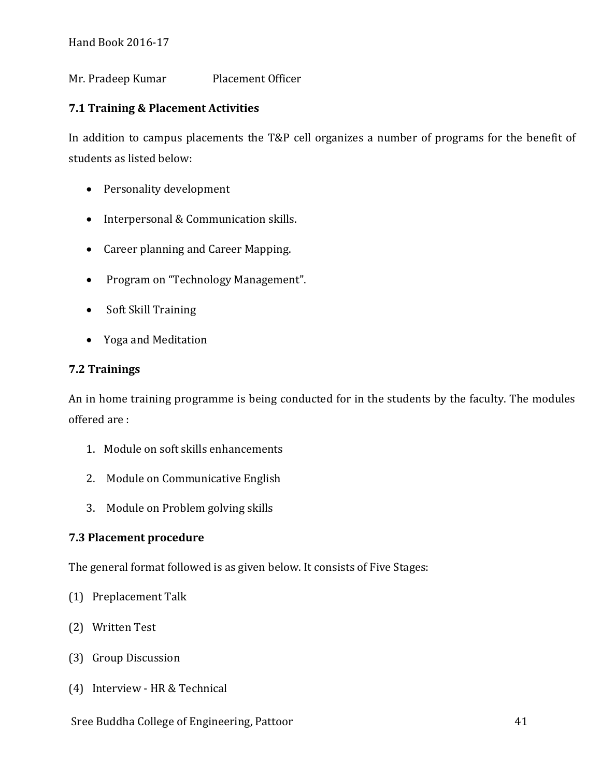Mr. Pradeep Kumar Placement Officer

# **7.1 Training & Placement Activities**

In addition to campus placements the T&P cell organizes a number of programs for the benefit of students as listed below:

- Personality development
- Interpersonal & Communication skills.
- Career planning and Career Mapping.
- Program on "Technology Management".
- Soft Skill Training
- Yoga and Meditation

# **7.2 Trainings**

An in home training programme is being conducted for in the students by the faculty. The modules offered are :

- 1. Module on soft skills enhancements
- 2. Module on Communicative English
- 3. Module on Problem golving skills

# **7.3 Placement procedure**

The general format followed is as given below. It consists of Five Stages:

- (1) Preplacement Talk
- (2) Written Test
- (3) Group Discussion
- (4) Interview HR & Technical

# Sree Buddha College of Engineering, Pattoor 41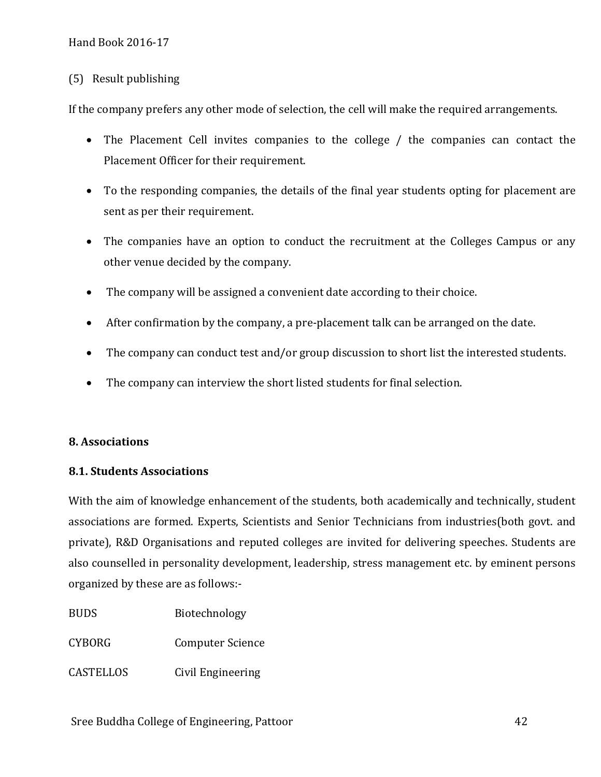#### (5) Result publishing

If the company prefers any other mode of selection, the cell will make the required arrangements.

- The Placement Cell invites companies to the college / the companies can contact the Placement Officer for their requirement.
- To the responding companies, the details of the final year students opting for placement are sent as per their requirement.
- The companies have an option to conduct the recruitment at the Colleges Campus or any other venue decided by the company.
- The company will be assigned a convenient date according to their choice.
- After confirmation by the company, a pre-placement talk can be arranged on the date.
- The company can conduct test and/or group discussion to short list the interested students.
- The company can interview the short listed students for final selection.

#### **8. Associations**

#### **8.1. Students Associations**

With the aim of knowledge enhancement of the students, both academically and technically, student associations are formed. Experts, Scientists and Senior Technicians from industries(both govt. and private), R&D Organisations and reputed colleges are invited for delivering speeches. Students are also counselled in personality development, leadership, stress management etc. by eminent persons organized by these are as follows:-

| <b>BUDS</b> | Biotechnology |
|-------------|---------------|
|             |               |

CYBORG Computer Science

CASTELLOS Civil Engineering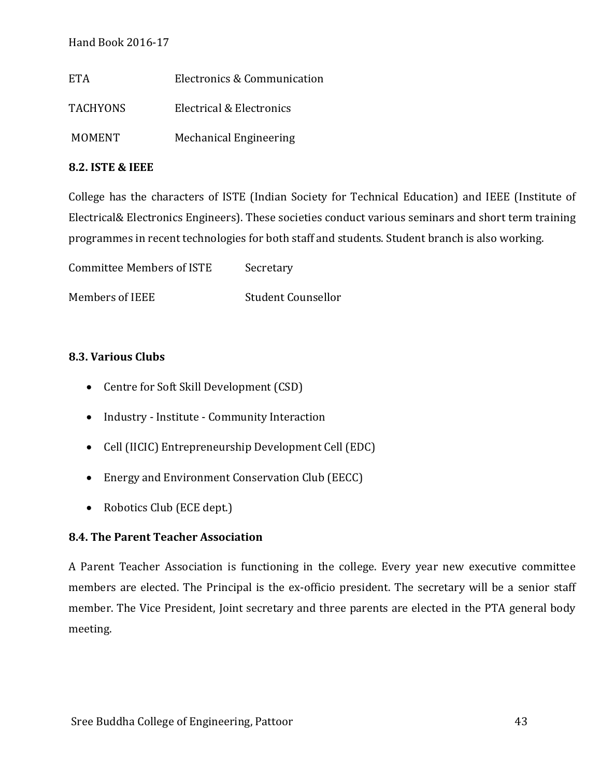| ETA.            | Electronics & Communication   |
|-----------------|-------------------------------|
| <b>TACHYONS</b> | Electrical & Electronics      |
| <b>MOMENT</b>   | <b>Mechanical Engineering</b> |

#### **8.2. ISTE & IEEE**

College has the characters of ISTE (Indian Society for Technical Education) and IEEE (Institute of Electrical& Electronics Engineers). These societies conduct various seminars and short term training programmes in recent technologies for both staff and students. Student branch is also working.

Committee Members of ISTE Secretary

Members of IEEE Student Counsellor

# **8.3. Various Clubs**

- Centre for Soft Skill Development (CSD)
- Industry Institute Community Interaction
- Cell (IICIC) Entrepreneurship Development Cell (EDC)
- Energy and Environment Conservation Club (EECC)
- Robotics Club (ECE dept.)

# **8.4. The Parent Teacher Association**

A Parent Teacher Association is functioning in the college. Every year new executive committee members are elected. The Principal is the ex-officio president. The secretary will be a senior staff member. The Vice President, Joint secretary and three parents are elected in the PTA general body meeting.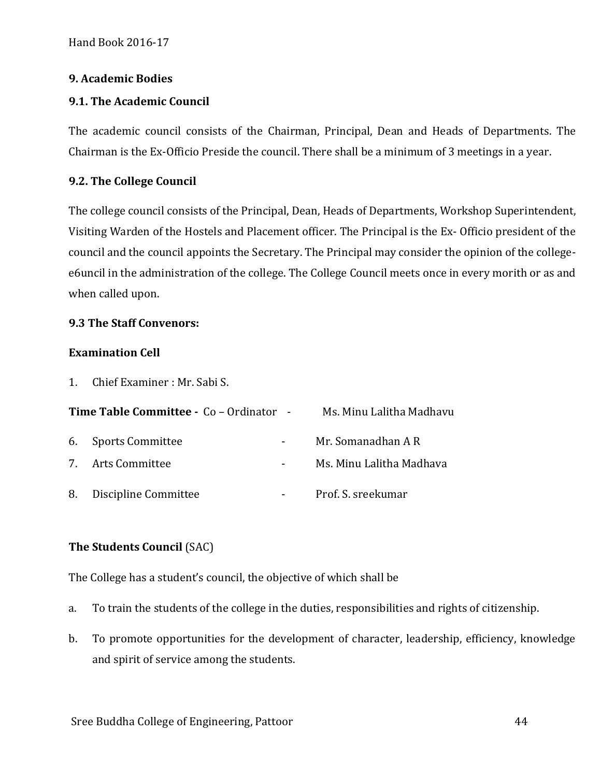#### **9. Academic Bodies**

## **9.1. The Academic Council**

The academic council consists of the Chairman, Principal, Dean and Heads of Departments. The Chairman is the Ex-Officio Preside the council. There shall be a minimum of 3 meetings in a year.

#### **9.2. The College Council**

The college council consists of the Principal, Dean, Heads of Departments, Workshop Superintendent, Visiting Warden of the Hostels and Placement officer. The Principal is the Ex- Officio president of the council and the council appoints the Secretary. The Principal may consider the opinion of the collegee6uncil in the administration of the college. The College Council meets once in every morith or as and when called upon.

#### **9.3 The Staff Convenors:**

#### **Examination Cell**

1. Chief Examiner : Mr. Sabi S.

| <b>Time Table Committee - Co - Ordinator -</b> |                         | Ms. Minu Lalitha Madhavu |  |  |
|------------------------------------------------|-------------------------|--------------------------|--|--|
|                                                | 6. Sports Committee     | Mr. Somanadhan A R       |  |  |
|                                                | 7. Arts Committee       | Ms. Minu Lalitha Madhava |  |  |
|                                                | 8. Discipline Committee | Prof. S. sreekumar       |  |  |

# **The Students Council** (SAC)

The College has a student's council, the objective of which shall be

- a. To train the students of the college in the duties, responsibilities and rights of citizenship.
- b. To promote opportunities for the development of character, leadership, efficiency, knowledge and spirit of service among the students.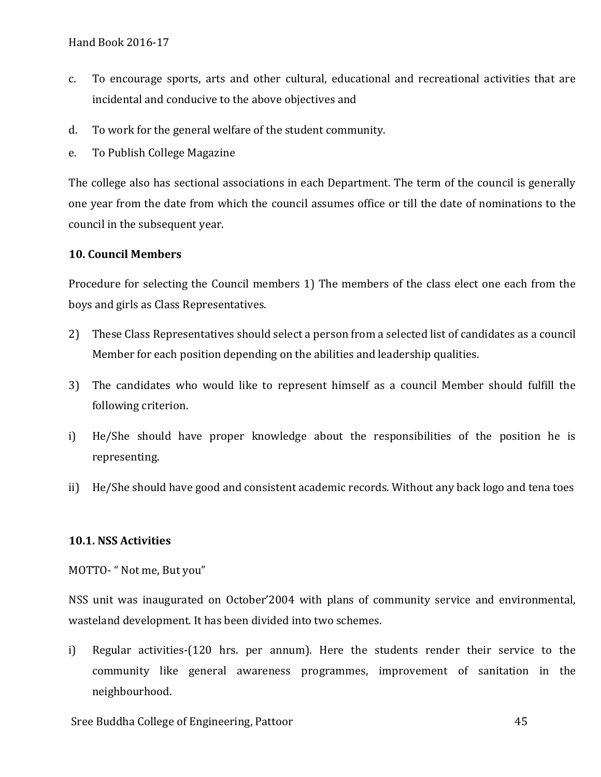- c. To encourage sports, arts and other cultural, educational and recreational activities that are incidental and conducive to the above objectives and
- d. To work for the general welfare of the student community.
- e. To Publish College Magazine

The college also has sectional associations in each Department. The term of the council is generally one year from the date from which the council assumes office or till the date of nominations to the council in the subsequent year.

#### **10. Council Members**

Procedure for selecting the Council members 1) The members of the class elect one each from the boys and girls as Class Representatives.

- 2) These Class Representatives should select a person from a selected list of candidates as a council Member for each position depending on the abilities and leadership qualities.
- 3) The candidates who would like to represent himself as a council Member should fulfill the following criterion.
- i) He/She should have proper knowledge about the responsibilities of the position he is representing.
- ii) He/She should have good and consistent academic records. Without any back logo and tena toes

#### **10.1. NSS Activities**

MOTTO- " Not me, But you"

NSS unit was inaugurated on October'2004 with plans of community service and environmental, wasteland development. It has been divided into two schemes.

i) Regular activities-(120 hrs. per annum). Here the students render their service to the community like general awareness programmes, improvement of sanitation in the neighbourhood.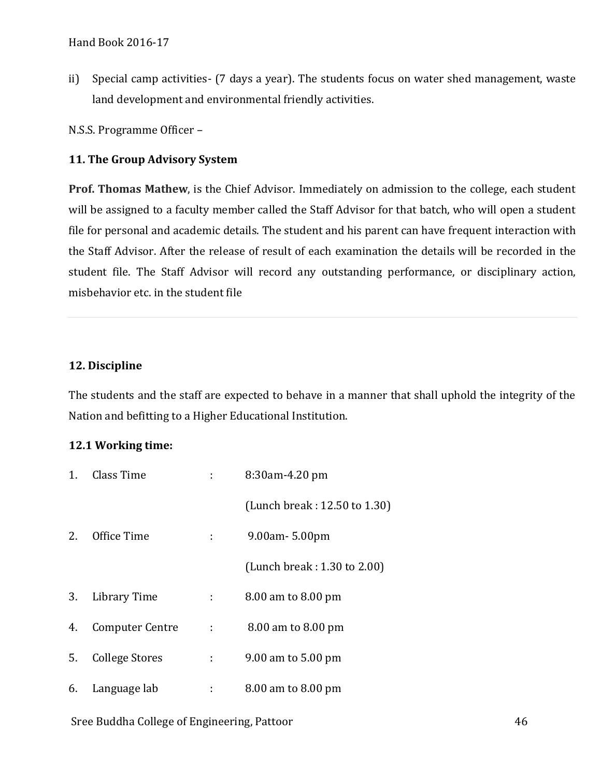ii) Special camp activities- (7 days a year). The students focus on water shed management, waste land development and environmental friendly activities.

N.S.S. Programme Officer –

#### **11. The Group Advisory System**

**Prof. Thomas Mathew**, is the Chief Advisor. Immediately on admission to the college, each student will be assigned to a faculty member called the Staff Advisor for that batch, who will open a student file for personal and academic details. The student and his parent can have frequent interaction with the Staff Advisor. After the release of result of each examination the details will be recorded in the student file. The Staff Advisor will record any outstanding performance, or disciplinary action, misbehavior etc. in the student file

#### **12. Discipline**

The students and the staff are expected to behave in a manner that shall uphold the integrity of the Nation and befitting to a Higher Educational Institution.

#### **12.1 Working time:**

| 1. | Class Time             |      | 8:30am-4.20 pm               |
|----|------------------------|------|------------------------------|
|    |                        |      | (Lunch break: 12.50 to 1.30) |
| 2. | Office Time            |      | 9.00am - 5.00pm              |
|    |                        |      | (Lunch break: 1.30 to 2.00)  |
| 3. | Library Time           | 20 O | 8.00 am to 8.00 pm           |
| 4. | <b>Computer Centre</b> | ÷    | 8.00 am to 8.00 pm           |
| 5. | <b>College Stores</b>  | ÷    | 9.00 am to 5.00 pm           |
| 6. | Language lab           | ÷    | 8.00 am to 8.00 pm           |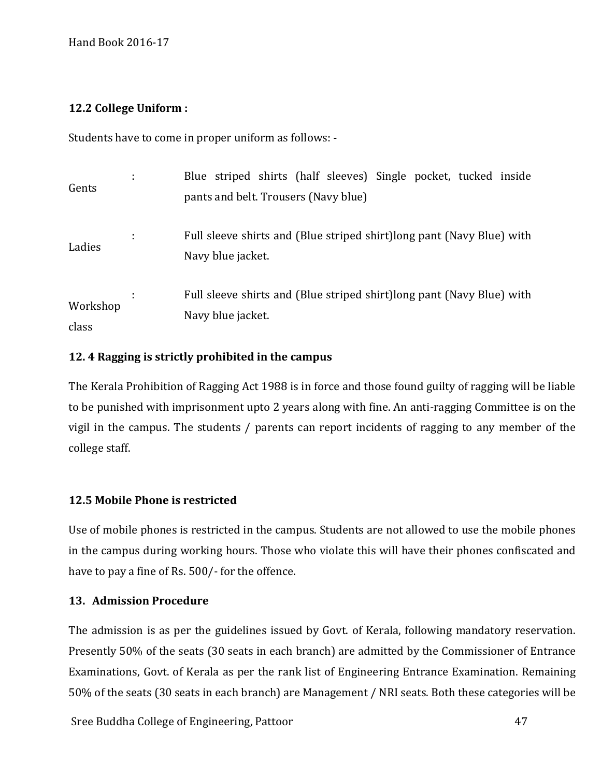# **12.2 College Uniform :**

Students have to come in proper uniform as follows: -

| Gents             | ÷       | Blue striped shirts (half sleeves) Single pocket, tucked inside<br>pants and belt. Trousers (Navy blue) |
|-------------------|---------|---------------------------------------------------------------------------------------------------------|
| Ladies            | ٠<br>٠. | Full sleeve shirts and (Blue striped shirt) long pant (Navy Blue) with<br>Navy blue jacket.             |
| Workshop<br>class |         | Full sleeve shirts and (Blue striped shirt) long pant (Navy Blue) with<br>Navy blue jacket.             |

# **12. 4 Ragging is strictly prohibited in the campus**

The Kerala Prohibition of Ragging Act 1988 is in force and those found guilty of ragging will be liable to be punished with imprisonment upto 2 years along with fine. An anti-ragging Committee is on the vigil in the campus. The students / parents can report incidents of ragging to any member of the college staff.

# **12.5 Mobile Phone is restricted**

Use of mobile phones is restricted in the campus. Students are not allowed to use the mobile phones in the campus during working hours. Those who violate this will have their phones confiscated and have to pay a fine of Rs. 500/- for the offence.

# **13. Admission Procedure**

The admission is as per the guidelines issued by Govt. of Kerala, following mandatory reservation. Presently 50% of the seats (30 seats in each branch) are admitted by the Commissioner of Entrance Examinations, Govt. of Kerala as per the rank list of Engineering Entrance Examination. Remaining 50% of the seats (30 seats in each branch) are Management / NRI seats. Both these categories will be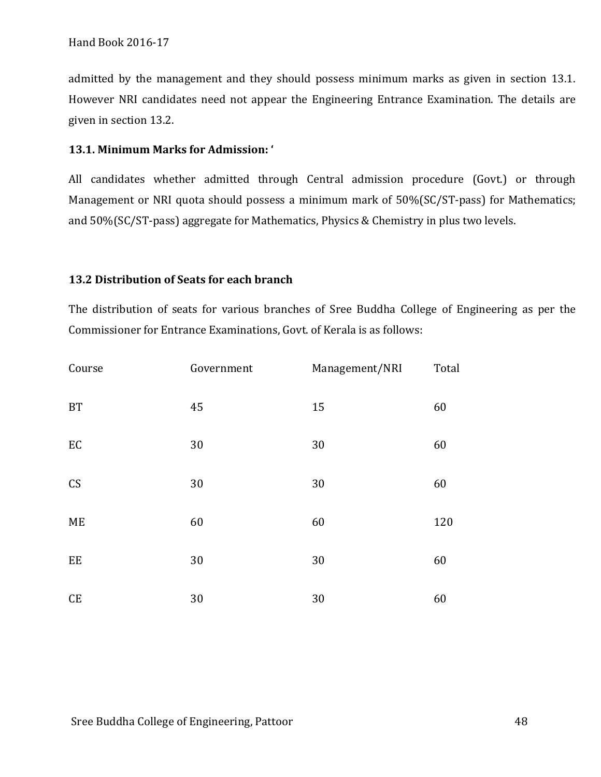admitted by the management and they should possess minimum marks as given in section 13.1. However NRI candidates need not appear the Engineering Entrance Examination. The details are given in section 13.2.

#### **13.1. Minimum Marks for Admission: '**

All candidates whether admitted through Central admission procedure (Govt.) or through Management or NRI quota should possess a minimum mark of 50%(SC/ST-pass) for Mathematics; and 50%(SC/ST-pass) aggregate for Mathematics, Physics & Chemistry in plus two levels.

#### **13.2 Distribution of Seats for each branch**

The distribution of seats for various branches of Sree Buddha College of Engineering as per the Commissioner for Entrance Examinations, Govt. of Kerala is as follows:

| Course              | Government | Management/NRI | Total |
|---------------------|------------|----------------|-------|
| <b>BT</b>           | 45         | 15             | 60    |
| $\operatorname{EC}$ | 30         | 30             | 60    |
| CS                  | 30         | 30             | 60    |
| ME                  | 60         | 60             | 120   |
| EE                  | 30         | 30             | 60    |
| CE                  | 30         | 30             | 60    |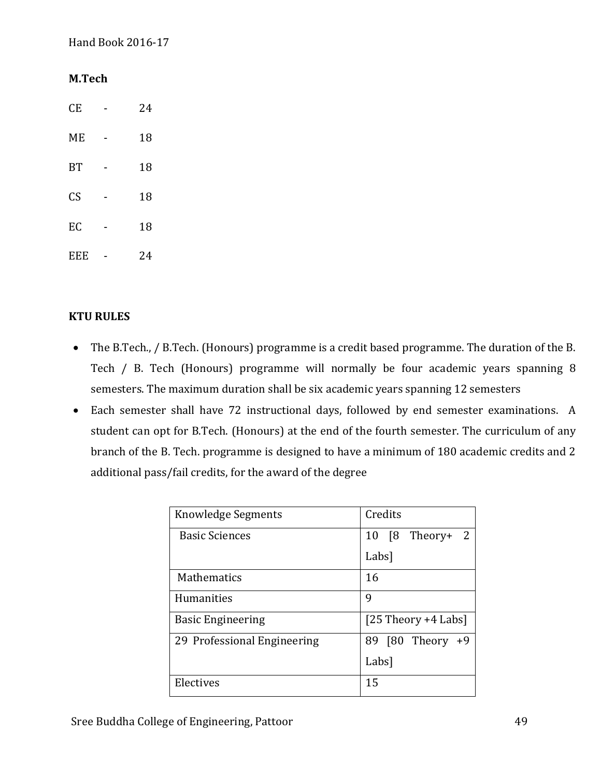#### **M.Tech**

CE - 24 ME - 18 BT - 18 CS - 18 EC - 18 EEE - 24

# **KTU RULES**

- The B.Tech., / B.Tech. (Honours) programme is a credit based programme. The duration of the B. Tech / B. Tech (Honours) programme will normally be four academic years spanning 8 semesters. The maximum duration shall be six academic years spanning 12 semesters
- Each semester shall have 72 instructional days, followed by end semester examinations. A student can opt for B.Tech. (Honours) at the end of the fourth semester. The curriculum of any branch of the B. Tech. programme is designed to have a minimum of 180 academic credits and 2 additional pass/fail credits, for the award of the degree

| Knowledge Segments          | Credits                      |
|-----------------------------|------------------------------|
| <b>Basic Sciences</b>       | Theory+<br>[8<br>2<br>10     |
|                             | Labs]                        |
| Mathematics                 | 16                           |
| <b>Humanities</b>           | 9                            |
| <b>Basic Engineering</b>    | $[25$ Theory +4 Labs]        |
| 29 Professional Engineering | Theory<br>[80]<br>89<br>$+9$ |
|                             | Labs]                        |
| Electives                   | 15                           |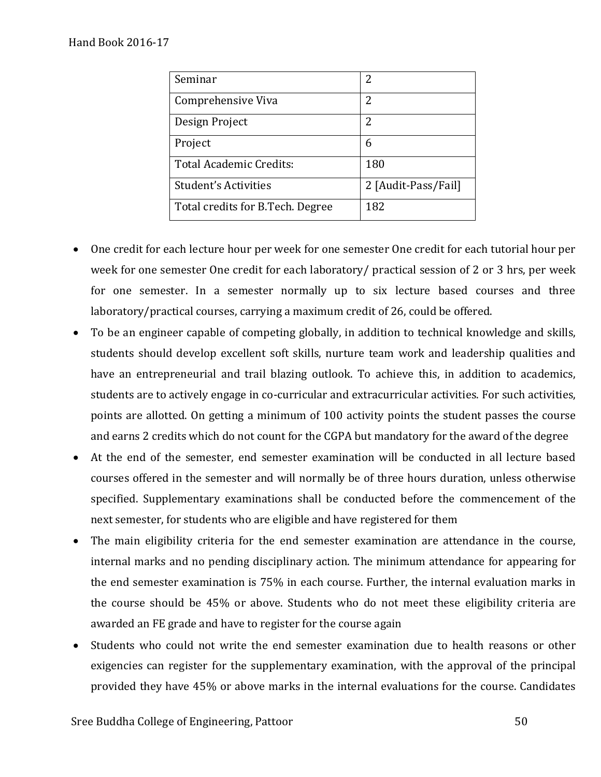| Seminar                          | 2                   |
|----------------------------------|---------------------|
| Comprehensive Viva               | 2                   |
| Design Project                   | 2                   |
| Project                          | 6                   |
| Total Academic Credits:          | 180                 |
| Student's Activities             | 2 [Audit-Pass/Fail] |
| Total credits for B.Tech. Degree | 182                 |

- One credit for each lecture hour per week for one semester One credit for each tutorial hour per week for one semester One credit for each laboratory/ practical session of 2 or 3 hrs, per week for one semester. In a semester normally up to six lecture based courses and three laboratory/practical courses, carrying a maximum credit of 26, could be offered.
- To be an engineer capable of competing globally, in addition to technical knowledge and skills, students should develop excellent soft skills, nurture team work and leadership qualities and have an entrepreneurial and trail blazing outlook. To achieve this, in addition to academics, students are to actively engage in co-curricular and extracurricular activities. For such activities, points are allotted. On getting a minimum of 100 activity points the student passes the course and earns 2 credits which do not count for the CGPA but mandatory for the award of the degree
- At the end of the semester, end semester examination will be conducted in all lecture based courses offered in the semester and will normally be of three hours duration, unless otherwise specified. Supplementary examinations shall be conducted before the commencement of the next semester, for students who are eligible and have registered for them
- The main eligibility criteria for the end semester examination are attendance in the course, internal marks and no pending disciplinary action. The minimum attendance for appearing for the end semester examination is 75% in each course. Further, the internal evaluation marks in the course should be 45% or above. Students who do not meet these eligibility criteria are awarded an FE grade and have to register for the course again
- Students who could not write the end semester examination due to health reasons or other exigencies can register for the supplementary examination, with the approval of the principal provided they have 45% or above marks in the internal evaluations for the course. Candidates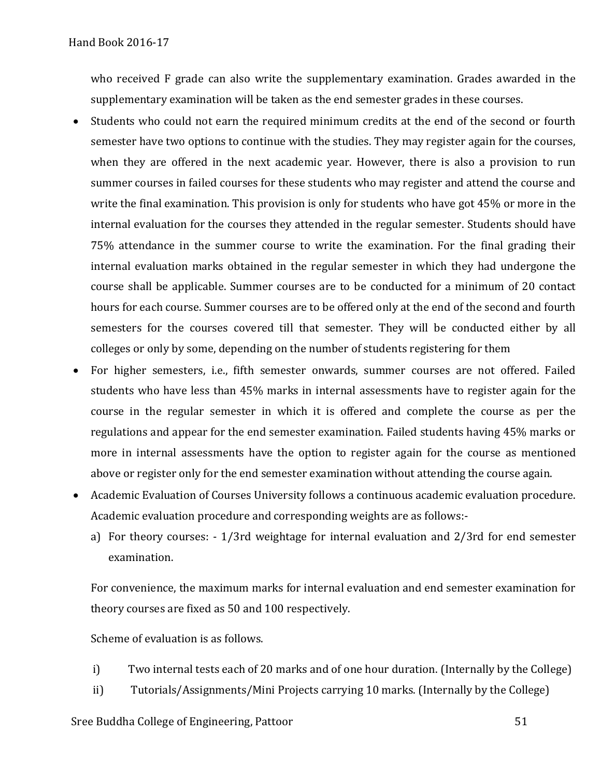who received F grade can also write the supplementary examination. Grades awarded in the supplementary examination will be taken as the end semester grades in these courses.

- Students who could not earn the required minimum credits at the end of the second or fourth semester have two options to continue with the studies. They may register again for the courses, when they are offered in the next academic year. However, there is also a provision to run summer courses in failed courses for these students who may register and attend the course and write the final examination. This provision is only for students who have got 45% or more in the internal evaluation for the courses they attended in the regular semester. Students should have 75% attendance in the summer course to write the examination. For the final grading their internal evaluation marks obtained in the regular semester in which they had undergone the course shall be applicable. Summer courses are to be conducted for a minimum of 20 contact hours for each course. Summer courses are to be offered only at the end of the second and fourth semesters for the courses covered till that semester. They will be conducted either by all colleges or only by some, depending on the number of students registering for them
- For higher semesters, i.e., fifth semester onwards, summer courses are not offered. Failed students who have less than 45% marks in internal assessments have to register again for the course in the regular semester in which it is offered and complete the course as per the regulations and appear for the end semester examination. Failed students having 45% marks or more in internal assessments have the option to register again for the course as mentioned above or register only for the end semester examination without attending the course again.
- Academic Evaluation of Courses University follows a continuous academic evaluation procedure. Academic evaluation procedure and corresponding weights are as follows:
	- a) For theory courses: 1/3rd weightage for internal evaluation and 2/3rd for end semester examination.

For convenience, the maximum marks for internal evaluation and end semester examination for theory courses are fixed as 50 and 100 respectively.

Scheme of evaluation is as follows.

- i) Two internal tests each of 20 marks and of one hour duration. (Internally by the College)
- ii) Tutorials/Assignments/Mini Projects carrying 10 marks. (Internally by the College)

#### Sree Buddha College of Engineering, Pattoor 51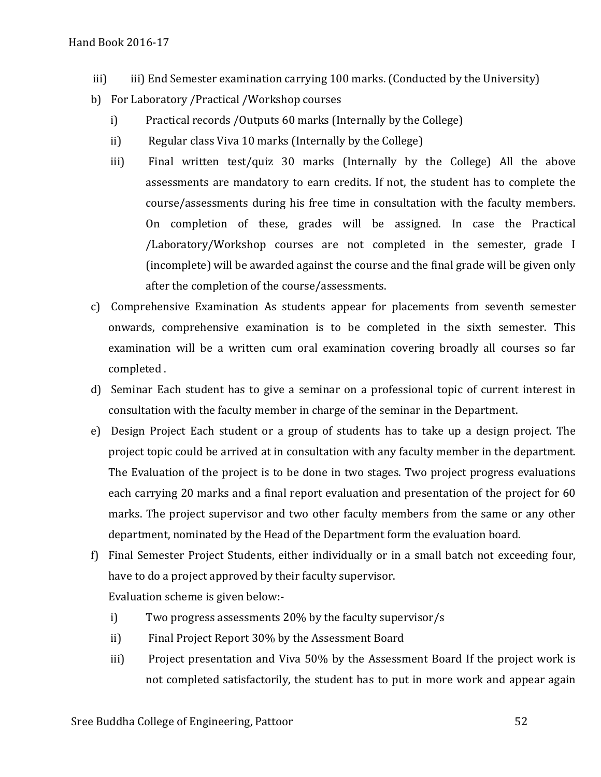- iii) iii) End Semester examination carrying 100 marks. (Conducted by the University)
- b) For Laboratory /Practical /Workshop courses
	- i) Practical records /Outputs 60 marks (Internally by the College)
	- ii) Regular class Viva 10 marks (Internally by the College)
	- iii) Final written test/quiz 30 marks (Internally by the College) All the above assessments are mandatory to earn credits. If not, the student has to complete the course/assessments during his free time in consultation with the faculty members. On completion of these, grades will be assigned. In case the Practical /Laboratory/Workshop courses are not completed in the semester, grade I (incomplete) will be awarded against the course and the final grade will be given only after the completion of the course/assessments.
- c) Comprehensive Examination As students appear for placements from seventh semester onwards, comprehensive examination is to be completed in the sixth semester. This examination will be a written cum oral examination covering broadly all courses so far completed .
- d) Seminar Each student has to give a seminar on a professional topic of current interest in consultation with the faculty member in charge of the seminar in the Department.
- e) Design Project Each student or a group of students has to take up a design project. The project topic could be arrived at in consultation with any faculty member in the department. The Evaluation of the project is to be done in two stages. Two project progress evaluations each carrying 20 marks and a final report evaluation and presentation of the project for 60 marks. The project supervisor and two other faculty members from the same or any other department, nominated by the Head of the Department form the evaluation board.
- f) Final Semester Project Students, either individually or in a small batch not exceeding four, have to do a project approved by their faculty supervisor. Evaluation scheme is given below:
	- i) Two progress assessments 20% by the faculty supervisor/s
	- ii) Final Project Report 30% by the Assessment Board
	- iii) Project presentation and Viva 50% by the Assessment Board If the project work is not completed satisfactorily, the student has to put in more work and appear again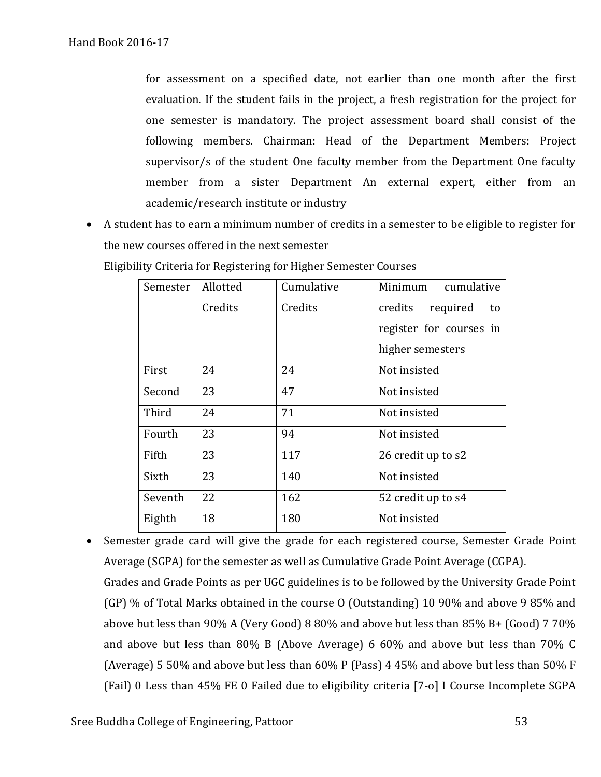for assessment on a specified date, not earlier than one month after the first evaluation. If the student fails in the project, a fresh registration for the project for one semester is mandatory. The project assessment board shall consist of the following members. Chairman: Head of the Department Members: Project supervisor/s of the student One faculty member from the Department One faculty member from a sister Department An external expert, either from an academic/research institute or industry

• A student has to earn a minimum number of credits in a semester to be eligible to register for the new courses offered in the next semester

| Semester | Allotted | Cumulative | Minimum<br>cumulative     |  |
|----------|----------|------------|---------------------------|--|
|          | Credits  | Credits    | credits<br>required<br>to |  |
|          |          |            | register for courses in   |  |
|          |          |            | higher semesters          |  |
| First    | 24       | 24         | Not insisted              |  |
| Second   | 23       | 47         | Not insisted              |  |
| Third    | 24       | 71         | Not insisted              |  |
| Fourth   | 23       | 94         | Not insisted              |  |
| Fifth    | 23       | 117        | 26 credit up to s2        |  |
| Sixth    | 23       | 140        | Not insisted              |  |
| Seventh  | 22       | 162        | 52 credit up to s4        |  |
| Eighth   | 18       | 180        | Not insisted              |  |

Eligibility Criteria for Registering for Higher Semester Courses

• Semester grade card will give the grade for each registered course, Semester Grade Point Average (SGPA) for the semester as well as Cumulative Grade Point Average (CGPA). Grades and Grade Points as per UGC guidelines is to be followed by the University Grade Point (GP) % of Total Marks obtained in the course O (Outstanding) 10 90% and above 9 85% and above but less than 90% A (Very Good) 8 80% and above but less than 85% B+ (Good) 7 70% and above but less than 80% B (Above Average) 6 60% and above but less than 70% C (Average) 5 50% and above but less than 60% P (Pass) 4 45% and above but less than 50% F (Fail) 0 Less than 45% FE 0 Failed due to eligibility criteria [7-o] I Course Incomplete SGPA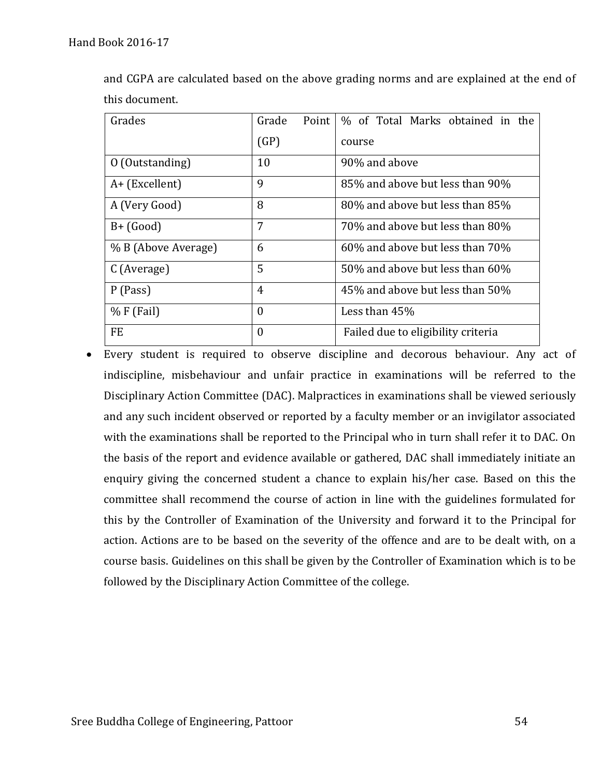| Grades              | Point<br>Grade | % of Total Marks obtained in the   |  |  |
|---------------------|----------------|------------------------------------|--|--|
|                     | (GP)           | course                             |  |  |
| 0 (Outstanding)     | 10             | 90% and above                      |  |  |
| $A+$ (Excellent)    | 9              | 85% and above but less than 90%    |  |  |
| A (Very Good)       | 8              | 80% and above but less than 85%    |  |  |
| $B+$ (Good)         | 7              | 70% and above but less than 80%    |  |  |
| % B (Above Average) | 6              | 60% and above but less than 70%    |  |  |
| C (Average)         | 5              | 50% and above but less than 60%    |  |  |
| P (Pass)            | $\overline{4}$ | 45% and above but less than 50%    |  |  |
| $% F$ (Fail)        | $\theta$       | Less than 45%                      |  |  |
| FE                  | $\overline{0}$ | Failed due to eligibility criteria |  |  |

and CGPA are calculated based on the above grading norms and are explained at the end of this document.

• Every student is required to observe discipline and decorous behaviour. Any act of indiscipline, misbehaviour and unfair practice in examinations will be referred to the Disciplinary Action Committee (DAC). Malpractices in examinations shall be viewed seriously and any such incident observed or reported by a faculty member or an invigilator associated with the examinations shall be reported to the Principal who in turn shall refer it to DAC. On the basis of the report and evidence available or gathered, DAC shall immediately initiate an enquiry giving the concerned student a chance to explain his/her case. Based on this the committee shall recommend the course of action in line with the guidelines formulated for this by the Controller of Examination of the University and forward it to the Principal for action. Actions are to be based on the severity of the offence and are to be dealt with, on a course basis. Guidelines on this shall be given by the Controller of Examination which is to be followed by the Disciplinary Action Committee of the college.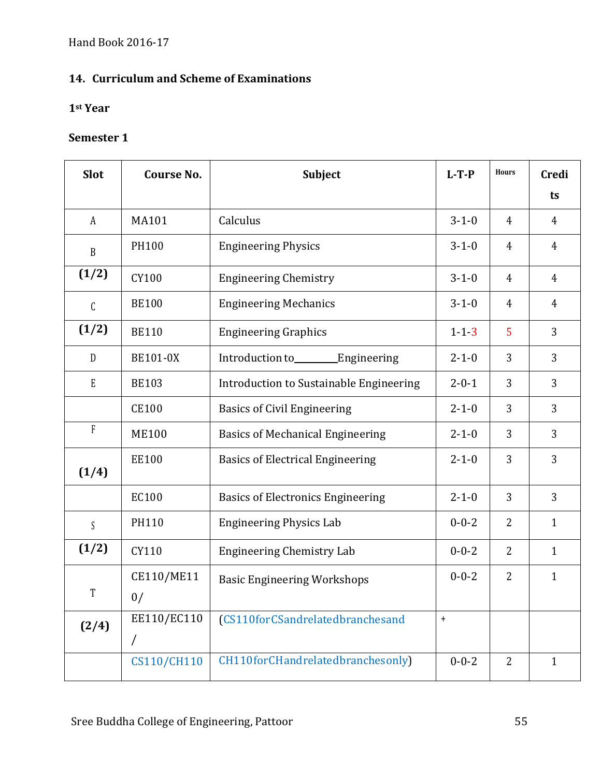# **14. Curriculum and Scheme of Examinations**

#### **1st Year**

| <b>Slot</b>               | <b>Course No.</b>         | <b>Subject</b>                           | $L-T-P$          | <b>Hours</b>   | <b>Credi</b>   |
|---------------------------|---------------------------|------------------------------------------|------------------|----------------|----------------|
|                           |                           |                                          |                  |                | ts             |
| $\boldsymbol{A}$          | MA101                     | Calculus                                 | $3 - 1 - 0$      | 4              | $\overline{4}$ |
| $\, {\bf B}$              | <b>PH100</b>              | <b>Engineering Physics</b>               | $3 - 1 - 0$      | 4              | 4              |
| (1/2)                     | CY100                     | <b>Engineering Chemistry</b>             | $3 - 1 - 0$      | 4              | 4              |
| $\mathsf C$               | <b>BE100</b>              | <b>Engineering Mechanics</b>             | $3 - 1 - 0$      | 4              | 4              |
| (1/2)                     | <b>BE110</b>              | <b>Engineering Graphics</b>              | $1 - 1 - 3$      | 5              | 3              |
| D                         | <b>BE101-0X</b>           | Introduction to________Engineering       | $2 - 1 - 0$      | 3              | 3              |
| $\boldsymbol{\mathrm{E}}$ | <b>BE103</b>              | Introduction to Sustainable Engineering  | $2 - 0 - 1$      | 3              | $\overline{3}$ |
|                           | <b>CE100</b>              | <b>Basics of Civil Engineering</b>       | $2 - 1 - 0$      | 3              | $\overline{3}$ |
| $\rm F$                   | <b>ME100</b>              | <b>Basics of Mechanical Engineering</b>  | $2 - 1 - 0$      | 3              | 3              |
| (1/4)                     | <b>EE100</b>              | <b>Basics of Electrical Engineering</b>  | $2 - 1 - 0$      | 3              | 3              |
|                           | EC100                     | <b>Basics of Electronics Engineering</b> | $2 - 1 - 0$      | 3              | 3              |
| $\mathsf S$               | PH110                     | <b>Engineering Physics Lab</b>           | $0 - 0 - 2$      | 2              | $\mathbf{1}$   |
| (1/2)                     | CY110                     | <b>Engineering Chemistry Lab</b>         | $0 - 0 - 2$      | 2              | $\mathbf{1}$   |
| T                         | CE110/ME11<br>0/          | <b>Basic Engineering Workshops</b>       | $0 - 0 - 2$      | $\overline{2}$ | $\mathbf{1}$   |
| (2/4)                     | EE110/EC110<br>$\sqrt{2}$ | (CS110forCSandrelatedbranchesand         | $\boldsymbol{+}$ |                |                |
|                           | <b>CS110/CH110</b>        | CH110forCHandrelatedbranchesonly)        | $0 - 0 - 2$      | $\overline{2}$ | $\mathbf{1}$   |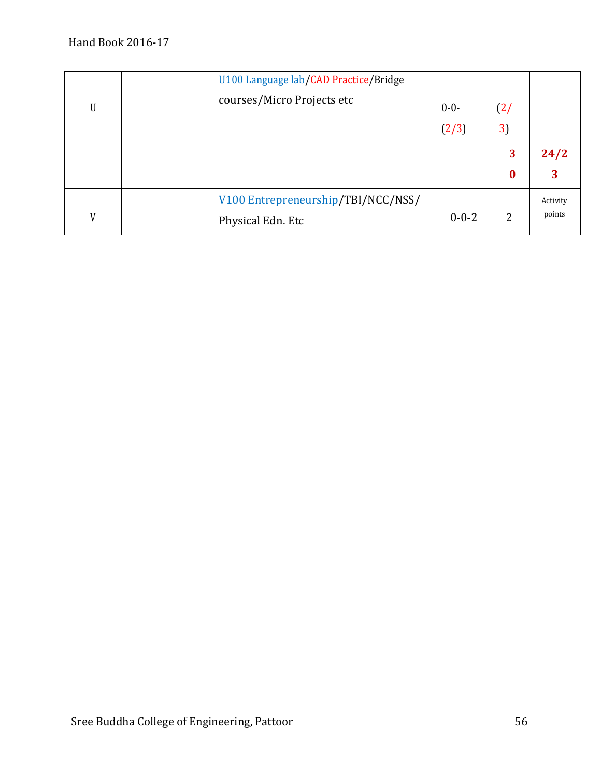| U | U100 Language lab/CAD Practice/Bridge<br>courses/Micro Projects etc | $0 - 0 -$<br>(2/3) | (2)<br>3)             |                    |
|---|---------------------------------------------------------------------|--------------------|-----------------------|--------------------|
|   |                                                                     |                    | 3<br>$\boldsymbol{0}$ | 24/2<br>3          |
| V | V100 Entrepreneurship/TBI/NCC/NSS/<br>Physical Edn. Etc             | $0 - 0 - 2$        | 2                     | Activity<br>points |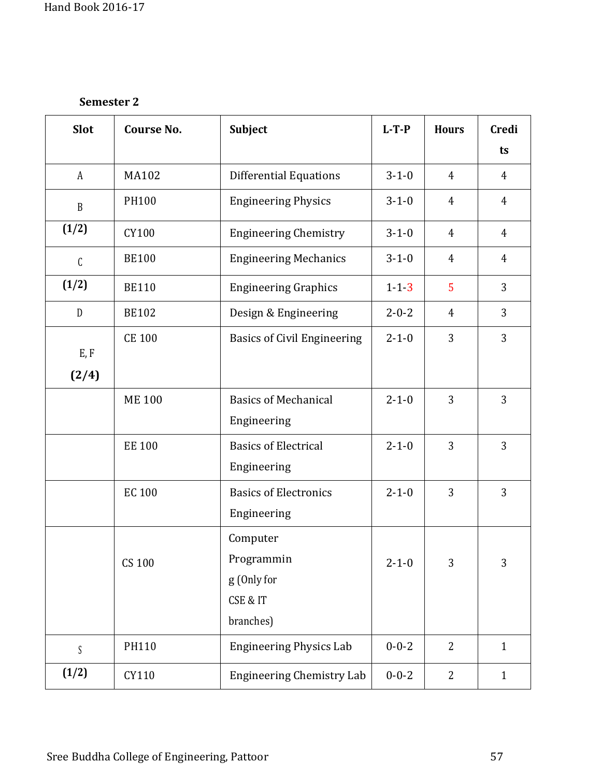| <b>Slot</b>      | <b>Course No.</b> | Subject                                                        | $L-T-P$     | <b>Hours</b>   | <b>Credi</b>   |
|------------------|-------------------|----------------------------------------------------------------|-------------|----------------|----------------|
|                  |                   |                                                                |             |                | ts             |
| A                | <b>MA102</b>      | <b>Differential Equations</b>                                  | $3 - 1 - 0$ | $\overline{4}$ | 4              |
| $\boldsymbol{B}$ | PH100             | <b>Engineering Physics</b>                                     | $3 - 1 - 0$ | 4              | 4              |
| (1/2)            | CY100             | <b>Engineering Chemistry</b>                                   | $3 - 1 - 0$ | $\overline{4}$ | $\overline{4}$ |
| $\mathcal{C}$    | <b>BE100</b>      | <b>Engineering Mechanics</b>                                   | $3 - 1 - 0$ | 4              | $\overline{4}$ |
| (1/2)            | <b>BE110</b>      | <b>Engineering Graphics</b>                                    | $1 - 1 - 3$ | 5              | 3              |
| $\mathbf D$      | <b>BE102</b>      | Design & Engineering                                           | $2 - 0 - 2$ | 4              | 3              |
| E, F<br>(2/4)    | <b>CE 100</b>     | <b>Basics of Civil Engineering</b>                             | $2 - 1 - 0$ | 3              | 3              |
|                  | <b>ME 100</b>     | <b>Basics of Mechanical</b><br>Engineering                     | $2 - 1 - 0$ | 3              | 3              |
|                  | <b>EE 100</b>     | <b>Basics of Electrical</b><br>Engineering                     | $2 - 1 - 0$ | 3              | 3              |
|                  | <b>EC 100</b>     | <b>Basics of Electronics</b><br>Engineering                    | $2 - 1 - 0$ | 3              | 3              |
|                  | CS 100            | Computer<br>Programmin<br>g (Only for<br>CSE & IT<br>branches) | $2 - 1 - 0$ | 3              | 3              |
| S                | PH110             | <b>Engineering Physics Lab</b>                                 | $0 - 0 - 2$ | $\overline{2}$ | $\mathbf{1}$   |
| (1/2)            | CY110             | <b>Engineering Chemistry Lab</b>                               | $0 - 0 - 2$ | $\overline{2}$ | $\mathbf{1}$   |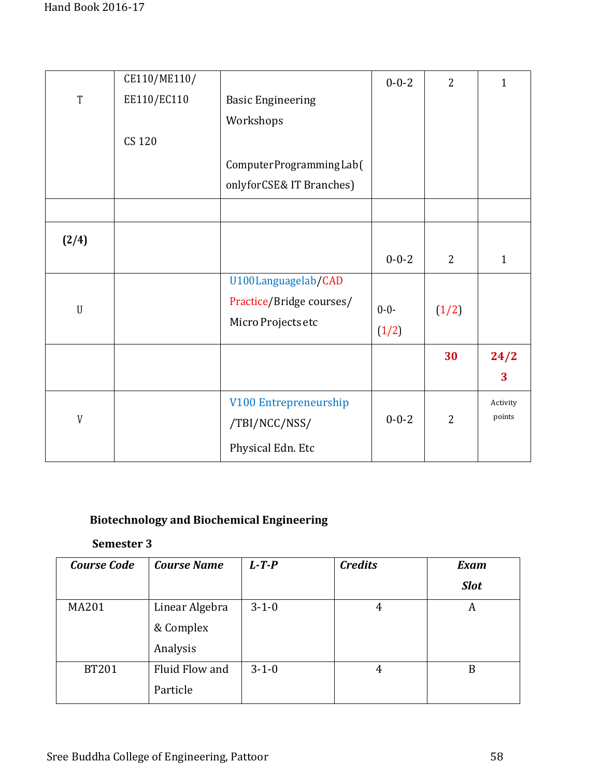|             | CE110/ME110/  |                          | $0 - 0 - 2$ | $\overline{2}$ | $\mathbf{1}$ |
|-------------|---------------|--------------------------|-------------|----------------|--------------|
| $\mathbf T$ | EE110/EC110   | <b>Basic Engineering</b> |             |                |              |
|             |               | Workshops                |             |                |              |
|             | <b>CS 120</b> |                          |             |                |              |
|             |               | ComputerProgrammingLab(  |             |                |              |
|             |               | onlyforCSE& IT Branches) |             |                |              |
|             |               |                          |             |                |              |
| (2/4)       |               |                          |             |                |              |
|             |               |                          | $0 - 0 - 2$ | $\overline{2}$ | $\mathbf{1}$ |
|             |               | U100Languagelab/CAD      |             |                |              |
| $\mathbf U$ |               | Practice/Bridge courses/ | $0 - 0 -$   | (1/2)          |              |
|             |               | Micro Projects etc       | (1/2)       |                |              |
|             |               |                          |             | 30             | 24/2         |
|             |               |                          |             |                | 3            |
|             |               | V100 Entrepreneurship    |             |                | Activity     |
| V           |               | /TBI/NCC/NSS/            | $0 - 0 - 2$ | $\overline{2}$ | points       |
|             |               | Physical Edn. Etc        |             |                |              |

# **Biotechnology and Biochemical Engineering**

| <b>Course Code</b> | <b>Course Name</b> | $L - T - P$ | <b>Credits</b> | <b>Exam</b> |
|--------------------|--------------------|-------------|----------------|-------------|
|                    |                    |             |                | <b>Slot</b> |
| <b>MA201</b>       | Linear Algebra     | $3 - 1 - 0$ | 4              | А           |
|                    | & Complex          |             |                |             |
|                    | Analysis           |             |                |             |
| <b>BT201</b>       | Fluid Flow and     | $3 - 1 - 0$ | 4              | B           |
|                    | Particle           |             |                |             |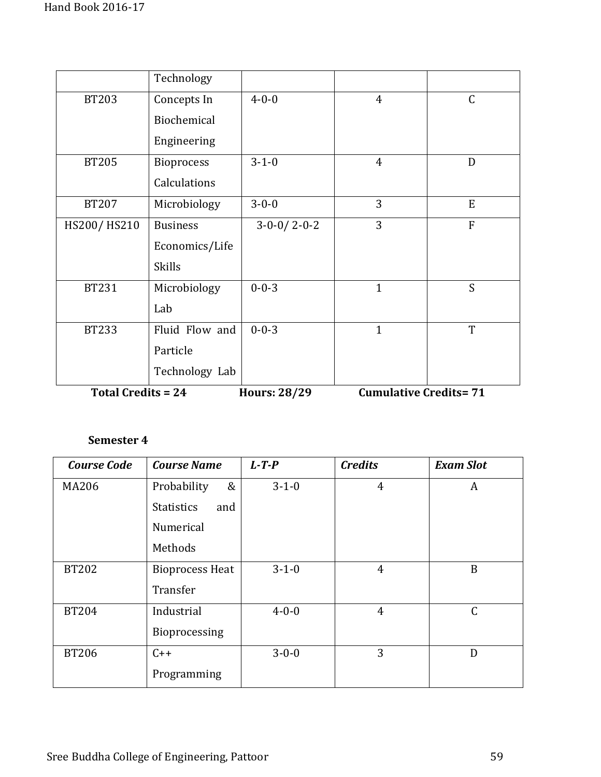|                           | Technology        |                     |                              |                |
|---------------------------|-------------------|---------------------|------------------------------|----------------|
| <b>BT203</b>              | Concepts In       | $4 - 0 - 0$         | $\overline{4}$               | $\mathsf C$    |
|                           | Biochemical       |                     |                              |                |
|                           | Engineering       |                     |                              |                |
| <b>BT205</b>              | <b>Bioprocess</b> | $3 - 1 - 0$         | $\overline{4}$               | D              |
|                           | Calculations      |                     |                              |                |
| <b>BT207</b>              | Microbiology      | $3 - 0 - 0$         | 3                            | E              |
| HS200/HS210               | <b>Business</b>   | $3-0-0/2-0-2$       | 3                            | $\overline{F}$ |
|                           | Economics/Life    |                     |                              |                |
|                           | <b>Skills</b>     |                     |                              |                |
| <b>BT231</b>              | Microbiology      | $0 - 0 - 3$         | $\mathbf{1}$                 | S              |
|                           | Lab               |                     |                              |                |
| <b>BT233</b>              | Fluid Flow and    | $0 - 0 - 3$         | $\mathbf{1}$                 | T              |
|                           | Particle          |                     |                              |                |
|                           | Technology Lab    |                     |                              |                |
| <b>Total Credits = 24</b> |                   | <b>Hours: 28/29</b> | <b>Cumulative Credits=71</b> |                |

| <b>Course Code</b> | <b>Course Name</b>       | $L$ -T-P    | <b>Credits</b> | <b>Exam Slot</b> |
|--------------------|--------------------------|-------------|----------------|------------------|
| <b>MA206</b>       | &<br>Probability         | $3 - 1 - 0$ | $\overline{4}$ | A                |
|                    | <b>Statistics</b><br>and |             |                |                  |
|                    | Numerical                |             |                |                  |
|                    | Methods                  |             |                |                  |
| <b>BT202</b>       | <b>Bioprocess Heat</b>   | $3 - 1 - 0$ | $\overline{4}$ | B                |
|                    | Transfer                 |             |                |                  |
| <b>BT204</b>       | Industrial               | $4 - 0 - 0$ | $\overline{4}$ | $\mathcal{C}$    |
|                    | Bioprocessing            |             |                |                  |
| <b>BT206</b>       | $C++$                    | $3 - 0 - 0$ | 3              | D                |
|                    | Programming              |             |                |                  |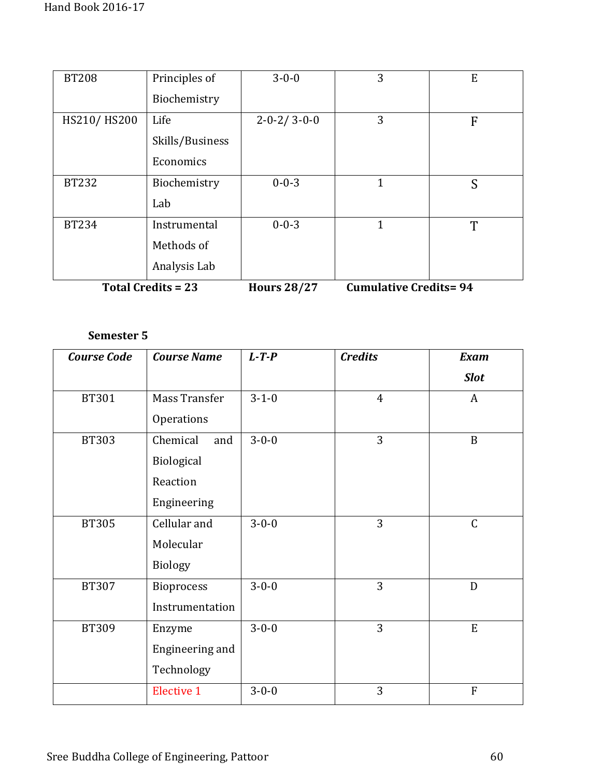| <b>BT208</b> | Principles of             | $3 - 0 - 0$             | 3                            | E |
|--------------|---------------------------|-------------------------|------------------------------|---|
|              | Biochemistry              |                         |                              |   |
| HS210/HS200  | Life                      | $2 - 0 - 2 / 3 - 0 - 0$ | 3                            | F |
|              | Skills/Business           |                         |                              |   |
|              | Economics                 |                         |                              |   |
| <b>BT232</b> | Biochemistry              | $0 - 0 - 3$             | 1                            | S |
|              | Lab                       |                         |                              |   |
| <b>BT234</b> | Instrumental              | $0 - 0 - 3$             | 1                            | T |
|              | Methods of                |                         |                              |   |
|              | Analysis Lab              |                         |                              |   |
|              | <b>Total Credits = 23</b> | <b>Hours 28/27</b>      | <b>Cumulative Credits=94</b> |   |

| <b>Course Code</b> | <b>Course Name</b> | $L$ -T-P    | <b>Credits</b> | <b>Exam</b>    |
|--------------------|--------------------|-------------|----------------|----------------|
|                    |                    |             |                | <b>Slot</b>    |
| <b>BT301</b>       | Mass Transfer      | $3 - 1 - 0$ | $\overline{4}$ | A              |
|                    | Operations         |             |                |                |
| <b>BT303</b>       | Chemical<br>and    | $3 - 0 - 0$ | 3              | $\mathbf{B}$   |
|                    | Biological         |             |                |                |
|                    | Reaction           |             |                |                |
|                    | Engineering        |             |                |                |
| <b>BT305</b>       | Cellular and       | $3 - 0 - 0$ | 3              | $\mathsf{C}$   |
|                    | Molecular          |             |                |                |
|                    | <b>Biology</b>     |             |                |                |
| <b>BT307</b>       | <b>Bioprocess</b>  | $3 - 0 - 0$ | 3              | D              |
|                    | Instrumentation    |             |                |                |
| <b>BT309</b>       | Enzyme             | $3 - 0 - 0$ | 3              | E              |
|                    | Engineering and    |             |                |                |
|                    | Technology         |             |                |                |
|                    | <b>Elective 1</b>  | $3 - 0 - 0$ | 3              | $\overline{F}$ |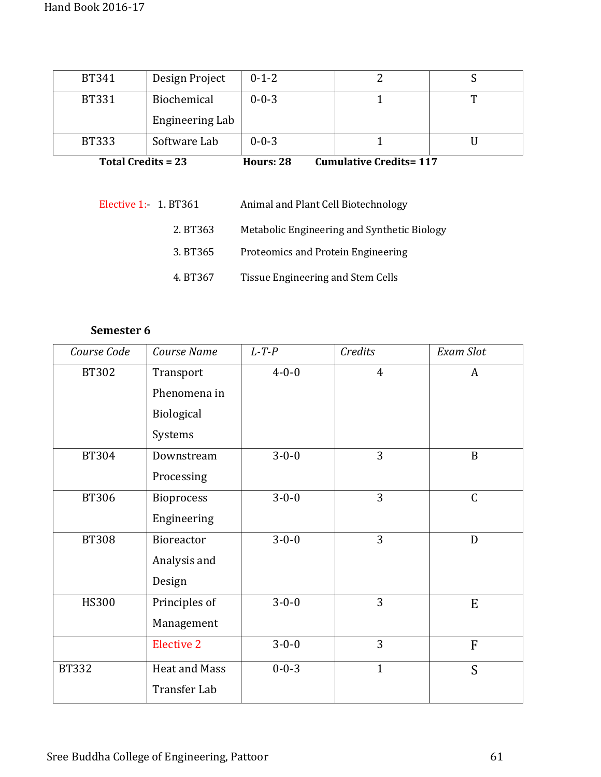| <b>BT341</b> | Design Project     | $0 - 1 - 2$ |                               |  |
|--------------|--------------------|-------------|-------------------------------|--|
| <b>BT331</b> | Biochemical        | $0 - 0 - 3$ |                               |  |
|              | Engineering Lab    |             |                               |  |
| <b>BT333</b> | Software Lab       | $0 - 0 - 3$ |                               |  |
|              | Total Credits = 23 | Hours: 28   | <b>Cumulative Credits=117</b> |  |

| Elective 1: 1. BT361 |          | Animal and Plant Cell Biotechnology         |
|----------------------|----------|---------------------------------------------|
|                      | 2. BT363 | Metabolic Engineering and Synthetic Biology |
|                      | 3. BT365 | Proteomics and Protein Engineering          |
|                      | 4. BT367 | Tissue Engineering and Stem Cells           |

| Course Code  | Course Name          | $L$ -T-P    | Credits        | <b>Exam Slot</b> |
|--------------|----------------------|-------------|----------------|------------------|
| <b>BT302</b> | Transport            | $4 - 0 - 0$ | $\overline{4}$ | A                |
|              | Phenomena in         |             |                |                  |
|              | Biological           |             |                |                  |
|              | Systems              |             |                |                  |
| <b>BT304</b> | Downstream           | $3 - 0 - 0$ | 3              | $\mathbf B$      |
|              | Processing           |             |                |                  |
| <b>BT306</b> | <b>Bioprocess</b>    | $3 - 0 - 0$ | 3              | $\mathsf{C}$     |
|              | Engineering          |             |                |                  |
| <b>BT308</b> | Bioreactor           | $3 - 0 - 0$ | 3              | D                |
|              | Analysis and         |             |                |                  |
|              | Design               |             |                |                  |
| <b>HS300</b> | Principles of        | $3 - 0 - 0$ | 3              | ${\bf E}$        |
|              | Management           |             |                |                  |
|              | <b>Elective 2</b>    | $3 - 0 - 0$ | 3              | $\overline{F}$   |
| <b>BT332</b> | <b>Heat and Mass</b> | $0 - 0 - 3$ | $\mathbf{1}$   | S                |
|              | Transfer Lab         |             |                |                  |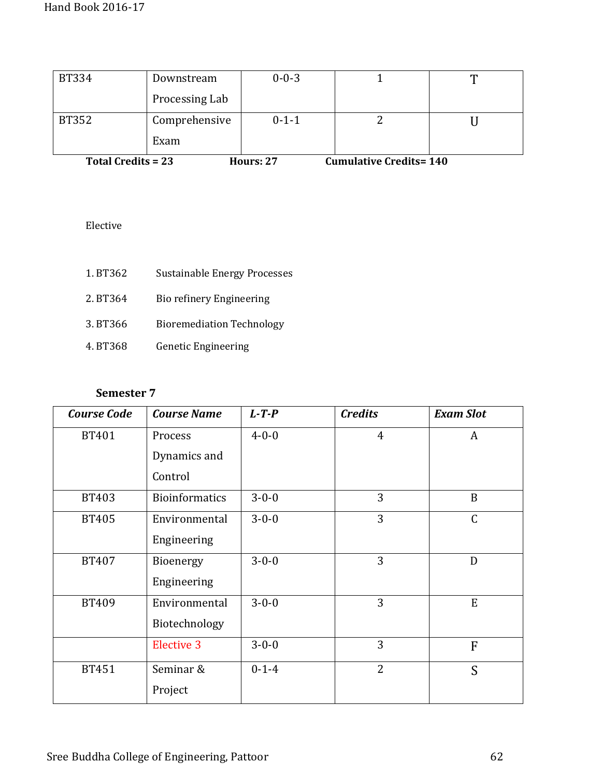| <b>BT334</b>              | Downstream     | $0 - 0 - 3$ |                               |  |
|---------------------------|----------------|-------------|-------------------------------|--|
|                           | Processing Lab |             |                               |  |
| BT352                     | Comprehensive  | $0 - 1 - 1$ |                               |  |
|                           | Exam           |             |                               |  |
| <b>Total Credits = 23</b> |                | Hours: 27   | <b>Cumulative Credits=140</b> |  |

Elective

| 1. BT362 | Sustainable Energy Processes     |
|----------|----------------------------------|
| 2. BT364 | Bio refinery Engineering         |
| 3. BT366 | <b>Bioremediation Technology</b> |
| 4. BT368 | <b>Genetic Engineering</b>       |

| <b>Course Code</b> | <b>Course Name</b>    | $L$ -T-P    | <b>Credits</b> | <b>Exam Slot</b> |
|--------------------|-----------------------|-------------|----------------|------------------|
| <b>BT401</b>       | Process               | $4 - 0 - 0$ | $\overline{4}$ | A                |
|                    | Dynamics and          |             |                |                  |
|                    | Control               |             |                |                  |
| <b>BT403</b>       | <b>Bioinformatics</b> | $3 - 0 - 0$ | 3              | B                |
| <b>BT405</b>       | Environmental         | $3 - 0 - 0$ | 3              | $\mathsf{C}$     |
|                    | Engineering           |             |                |                  |
| <b>BT407</b>       | Bioenergy             | $3 - 0 - 0$ | 3              | D                |
|                    | Engineering           |             |                |                  |
| <b>BT409</b>       | Environmental         | $3 - 0 - 0$ | 3              | ${\bf E}$        |
|                    | Biotechnology         |             |                |                  |
|                    | <b>Elective 3</b>     | $3 - 0 - 0$ | 3              | F                |
| <b>BT451</b>       | Seminar &             | $0 - 1 - 4$ | $\overline{2}$ | S                |
|                    | Project               |             |                |                  |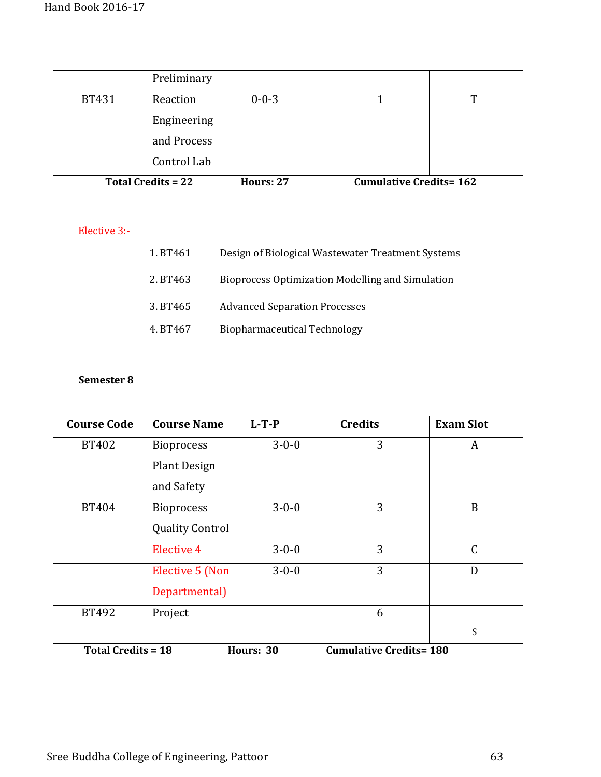|                           | Preliminary |             |                               |  |
|---------------------------|-------------|-------------|-------------------------------|--|
| <b>BT431</b>              | Reaction    | $0 - 0 - 3$ |                               |  |
|                           | Engineering |             |                               |  |
|                           | and Process |             |                               |  |
|                           | Control Lab |             |                               |  |
| <b>Total Credits = 22</b> |             | Hours: 27   | <b>Cumulative Credits=162</b> |  |

Elective 3:-

| 1. BT461 | Design of Biological Wastewater Treatment Systems |
|----------|---------------------------------------------------|
| 2. BT463 | Bioprocess Optimization Modelling and Simulation  |
| 3. BT465 | <b>Advanced Separation Processes</b>              |
| 4. BT467 | <b>Biopharmaceutical Technology</b>               |

| <b>Course Code</b>                                                      | <b>Course Name</b>     | $L-T-P$     | <b>Credits</b> | <b>Exam Slot</b> |
|-------------------------------------------------------------------------|------------------------|-------------|----------------|------------------|
| BT402                                                                   | <b>Bioprocess</b>      | $3 - 0 - 0$ | 3              | A                |
|                                                                         | <b>Plant Design</b>    |             |                |                  |
|                                                                         | and Safety             |             |                |                  |
| BT404                                                                   | <b>Bioprocess</b>      | $3 - 0 - 0$ | 3              | B                |
|                                                                         | <b>Quality Control</b> |             |                |                  |
|                                                                         | <b>Elective 4</b>      | $3 - 0 - 0$ | 3              | C                |
|                                                                         | <b>Elective 5 (Non</b> | $3 - 0 - 0$ | 3              | D                |
|                                                                         | Departmental)          |             |                |                  |
| BT492                                                                   | Project                |             | 6              |                  |
|                                                                         |                        |             |                | S                |
| <b>Cumulative Credits=180</b><br><b>Total Credits = 18</b><br>Hours: 30 |                        |             |                |                  |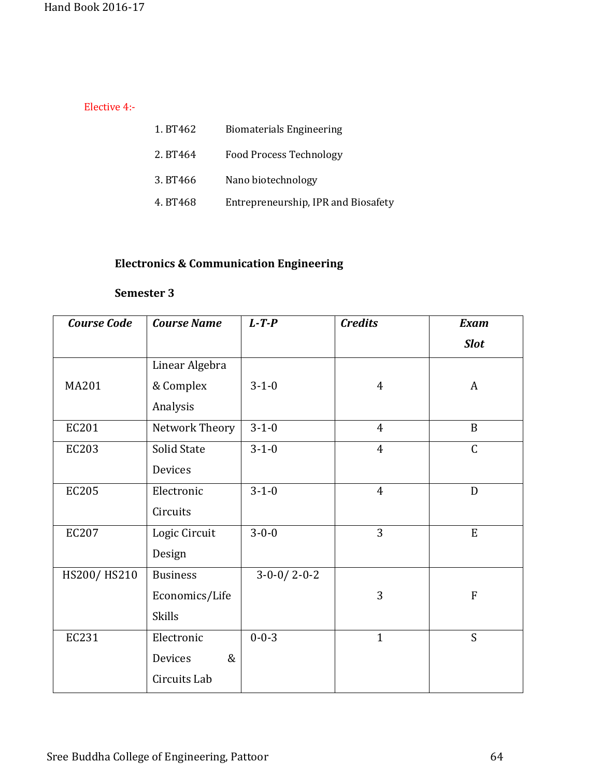Elective 4:-

| 1. BT462 | <b>Biomaterials Engineering</b>     |
|----------|-------------------------------------|
| 2. BT464 | <b>Food Process Technology</b>      |
| 3. BT466 | Nano biotechnology                  |
| 4. BT468 | Entrepreneurship, IPR and Biosafety |

# **Electronics & Communication Engineering**

| <b>Course Code</b> | <b>Course Name</b> | $L$ -T-P      | <b>Credits</b> | <b>Exam</b>    |
|--------------------|--------------------|---------------|----------------|----------------|
|                    |                    |               |                | <b>Slot</b>    |
|                    | Linear Algebra     |               |                |                |
| <b>MA201</b>       | & Complex          | $3 - 1 - 0$   | 4              | A              |
|                    | Analysis           |               |                |                |
| EC201              | Network Theory     | $3 - 1 - 0$   | $\overline{4}$ | $\overline{B}$ |
| <b>EC203</b>       | Solid State        | $3 - 1 - 0$   | $\overline{4}$ | $\overline{C}$ |
|                    | Devices            |               |                |                |
| <b>EC205</b>       | Electronic         | $3 - 1 - 0$   | $\overline{4}$ | D              |
|                    | Circuits           |               |                |                |
| <b>EC207</b>       | Logic Circuit      | $3 - 0 - 0$   | 3              | ${\bf E}$      |
|                    | Design             |               |                |                |
| HS200/HS210        | <b>Business</b>    | $3-0-0/2-0-2$ |                |                |
|                    | Economics/Life     |               | 3              | F              |
|                    | <b>Skills</b>      |               |                |                |
| <b>EC231</b>       | Electronic         | $0 - 0 - 3$   | $\mathbf{1}$   | S              |
|                    | $\&$<br>Devices    |               |                |                |
|                    | Circuits Lab       |               |                |                |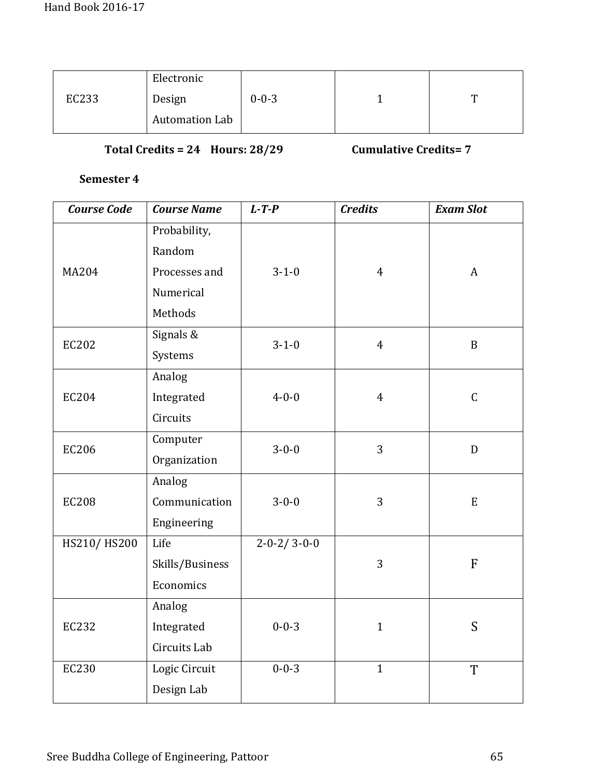|       | Electronic     |             |   |
|-------|----------------|-------------|---|
| EC233 | Design         | $0 - 0 - 3$ | m |
|       | Automation Lab |             |   |

# **Total Credits = 24 Hours: 28/29 Cumulative Credits= 7**

| <b>Course Code</b> | <b>Course Name</b> | $L$ -T-P                | <b>Credits</b> | <b>Exam Slot</b> |
|--------------------|--------------------|-------------------------|----------------|------------------|
|                    | Probability,       |                         |                |                  |
|                    | Random             |                         |                |                  |
| <b>MA204</b>       | Processes and      | $3 - 1 - 0$             | $\overline{4}$ | $\mathbf{A}$     |
|                    | Numerical          |                         |                |                  |
|                    | Methods            |                         |                |                  |
| <b>EC202</b>       | Signals &          | $3 - 1 - 0$             | $\overline{4}$ | $\mathbf B$      |
|                    | Systems            |                         |                |                  |
|                    | Analog             |                         |                |                  |
| <b>EC204</b>       | Integrated         | $4 - 0 - 0$             | $\overline{4}$ | $\mathcal{C}$    |
|                    | Circuits           |                         |                |                  |
| <b>EC206</b>       | Computer           | $3 - 0 - 0$             | $\overline{3}$ | D                |
|                    | Organization       |                         |                |                  |
|                    | Analog             |                         |                |                  |
| <b>EC208</b>       | Communication      | $3 - 0 - 0$             | 3              | ${\bf E}$        |
|                    | Engineering        |                         |                |                  |
| HS210/HS200        | Life               | $2 - 0 - 2 / 3 - 0 - 0$ |                |                  |
|                    | Skills/Business    |                         | 3              | ${\bf F}$        |
|                    | Economics          |                         |                |                  |
|                    | Analog             |                         |                |                  |
| EC232              | Integrated         | $0 - 0 - 3$             | $\mathbf{1}$   | S                |
|                    | Circuits Lab       |                         |                |                  |
| <b>EC230</b>       | Logic Circuit      | $0 - 0 - 3$             | $\mathbf{1}$   | T                |
|                    | Design Lab         |                         |                |                  |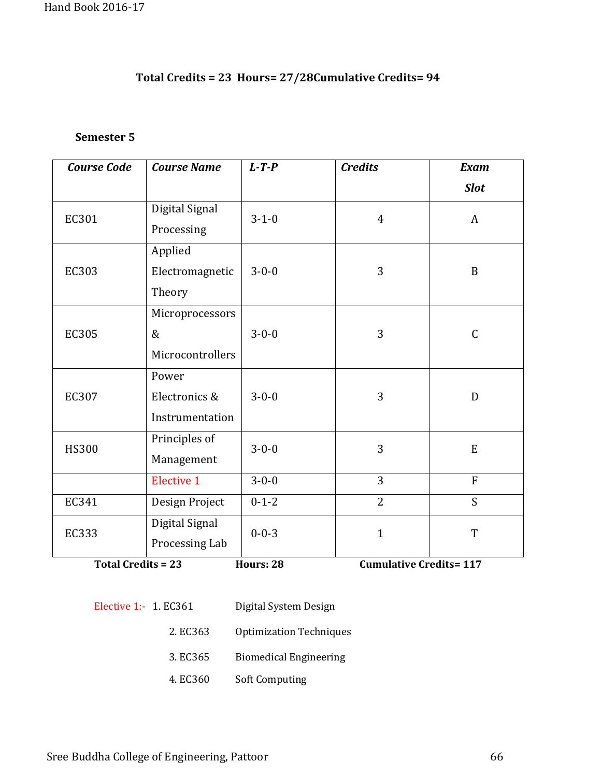# **Total Credits = 23 Hours= 27/28Cumulative Credits= 94**

#### **Semester 5**

| <b>Course Code</b> | <b>Course Name</b> | $L$ -T-P    | <b>Credits</b> | <b>Exam</b>    |
|--------------------|--------------------|-------------|----------------|----------------|
|                    |                    |             |                | <b>Slot</b>    |
| EC301              | Digital Signal     | $3 - 1 - 0$ | $\overline{4}$ | A              |
|                    | Processing         |             |                |                |
|                    | Applied            |             |                |                |
| EC303              | Electromagnetic    | $3 - 0 - 0$ | 3              | $\mathbf B$    |
|                    | Theory             |             |                |                |
|                    | Microprocessors    |             |                |                |
| EC305              | $\&$               | $3 - 0 - 0$ | 3              | $\mathsf C$    |
|                    | Microcontrollers   |             |                |                |
|                    | Power              |             |                |                |
| EC307              | Electronics &      | $3 - 0 - 0$ | 3              | D              |
|                    | Instrumentation    |             |                |                |
| <b>HS300</b>       | Principles of      | $3 - 0 - 0$ | 3              | E              |
|                    | Management         |             |                |                |
|                    | <b>Elective 1</b>  | $3 - 0 - 0$ | 3              | $\overline{F}$ |
| EC341              | Design Project     | $0 - 1 - 2$ | $\overline{2}$ | S              |
| EC333              | Digital Signal     | $0 - 0 - 3$ | $\mathbf{1}$   | T              |
|                    | Processing Lab     |             |                |                |

**Total Credits = 23 Hours: 28 Cumulative Credits= 117** 

- Elective 1:- 1. EC361 Digital System Design
	- 2. EC363 Optimization Techniques
	- 3. EC365 Biomedical Engineering
	- 4. EC360 Soft Computing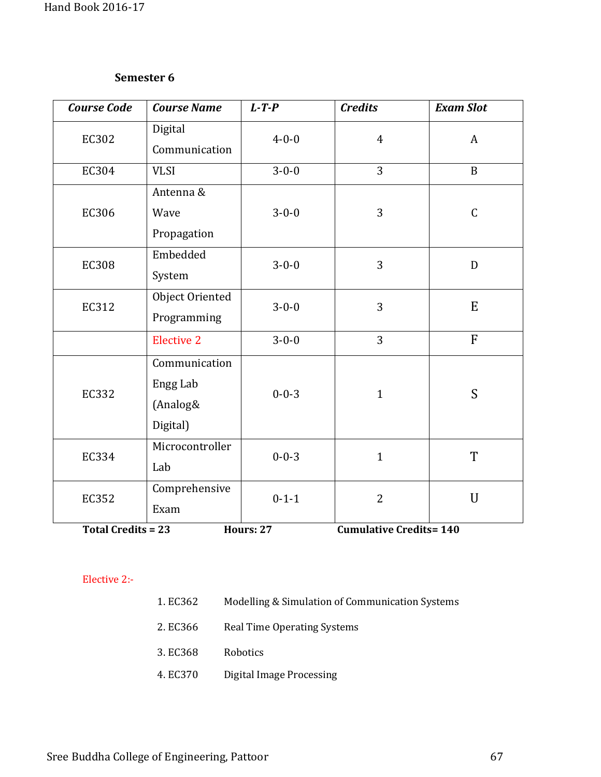| <b>Course Code</b>                    | <b>Course Name</b>  | $L$ -T-P    | <b>Credits</b>                                 | <b>Exam Slot</b> |
|---------------------------------------|---------------------|-------------|------------------------------------------------|------------------|
| EC302                                 | Digital             | $4 - 0 - 0$ | $\overline{4}$                                 | $\mathbf{A}$     |
|                                       | Communication       |             |                                                |                  |
| EC304                                 | <b>VLSI</b>         | $3 - 0 - 0$ | $\overline{3}$                                 | $\mathbf{B}$     |
|                                       | Antenna &           |             |                                                |                  |
| <b>EC306</b>                          | Wave                | $3 - 0 - 0$ | 3                                              | $\mathsf C$      |
|                                       | Propagation         |             |                                                |                  |
| <b>EC308</b>                          | Embedded            | $3 - 0 - 0$ | 3                                              | D                |
|                                       | System              |             |                                                |                  |
| EC312                                 | Object Oriented     | $3 - 0 - 0$ | 3                                              | E                |
|                                       | Programming         |             |                                                |                  |
|                                       | <b>Elective 2</b>   | $3 - 0 - 0$ | 3                                              | $\overline{F}$   |
|                                       | Communication       |             |                                                |                  |
| <b>EC332</b>                          | Engg Lab            | $0 - 0 - 3$ | $\mathbf{1}$                                   | S                |
|                                       | (Analog&            |             |                                                |                  |
|                                       | Digital)            |             |                                                |                  |
| <b>EC334</b>                          | Microcontroller     | $0 - 0 - 3$ | $\mathbf{1}$                                   | T                |
|                                       | Lab                 |             |                                                |                  |
| EC352                                 | Comprehensive       | $0 - 1 - 1$ | $\overline{2}$                                 | $\mathbf U$      |
|                                       | Exam                |             |                                                |                  |
| $T_{\text{total}}$ $C_{\text{total}}$ | TT.<br>$\mathbf{a}$ | 27          | $\mathbf{C}$<br>- ئەمل<br>$\mathcal{L}$<br>454 | 4A <sub>0</sub>  |

**Total Credits = 23** 

**Hours: 27 Cumulative Credits= 140** 

#### Elective 2:-

- 1. EC362 Modelling & Simulation of Communication Systems
- 2. EC366 Real Time Operating Systems
- 3. EC368 Robotics
- 4. EC370 Digital Image Processing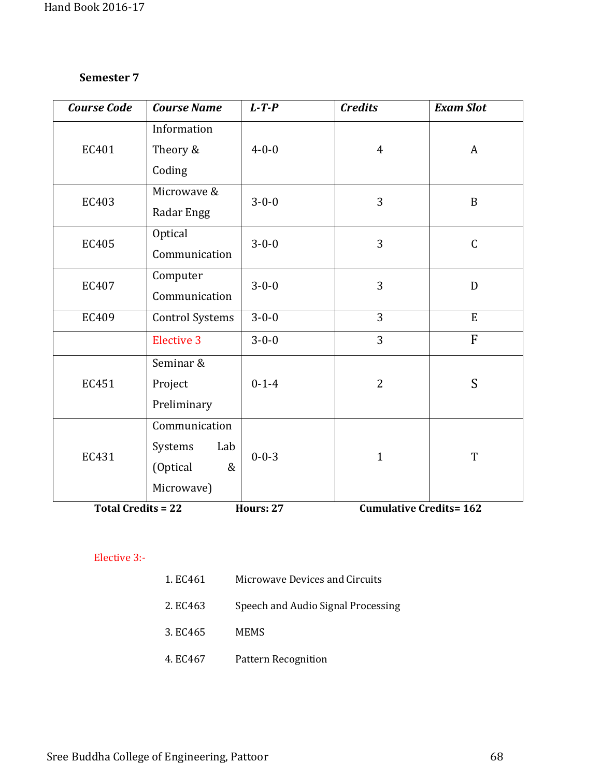| <b>Course Code</b>        | <b>Course Name</b>     | $L$ -T-P    | <b>Credits</b>                | <b>Exam Slot</b> |
|---------------------------|------------------------|-------------|-------------------------------|------------------|
|                           | Information            |             |                               |                  |
| EC401                     | Theory &               | $4 - 0 - 0$ | $\overline{4}$                | A                |
|                           | Coding                 |             |                               |                  |
| EC403                     | Microwave &            | $3 - 0 - 0$ | 3                             | $\, {\bf B}$     |
|                           | Radar Engg             |             |                               |                  |
| <b>EC405</b>              | Optical                | $3 - 0 - 0$ | 3                             | $\mathsf C$      |
|                           | Communication          |             |                               |                  |
| EC407                     | Computer               | $3 - 0 - 0$ | 3                             | $\mathbf{D}$     |
|                           | Communication          |             |                               |                  |
| EC409                     | <b>Control Systems</b> | $3 - 0 - 0$ | 3                             | E                |
|                           | <b>Elective 3</b>      | $3 - 0 - 0$ | 3                             | F                |
|                           | Seminar &              |             |                               |                  |
| EC451                     | Project                | $0 - 1 - 4$ | $\overline{2}$                | S                |
|                           | Preliminary            |             |                               |                  |
|                           | Communication          |             |                               |                  |
| EC431                     | Systems<br>Lab         | $0 - 0 - 3$ | $\mathbf{1}$                  | T                |
|                           | (Optical<br>&          |             |                               |                  |
|                           | Microwave)             |             |                               |                  |
| <b>Total Credits = 22</b> |                        | Hours: 27   | <b>Cumulative Credits=162</b> |                  |

#### Elective 3:-

| 1. EC461 | Microwave Devices and Circuits     |
|----------|------------------------------------|
| 2. EC463 | Speech and Audio Signal Processing |
| 3. EC465 | <b>MEMS</b>                        |
| 4. EC467 | Pattern Recognition                |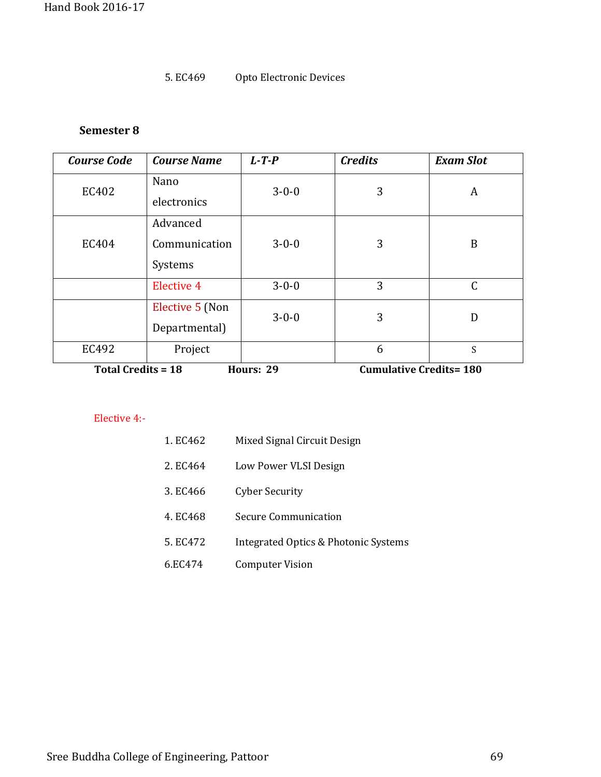#### 5. EC469 Opto Electronic Devices

#### **Semester 8**

| <b>Course Code</b>                     | <b>Course Name</b> | $L$ -T-P    | <b>Credits</b>                | <b>Exam Slot</b> |
|----------------------------------------|--------------------|-------------|-------------------------------|------------------|
| EC402                                  | Nano               | $3 - 0 - 0$ | 3                             | A                |
|                                        | electronics        |             |                               |                  |
|                                        | Advanced           |             |                               |                  |
| EC404                                  | Communication      | $3 - 0 - 0$ | 3                             | B                |
|                                        | Systems            |             |                               |                  |
|                                        | <b>Elective 4</b>  | $3 - 0 - 0$ | 3                             | C                |
|                                        | Elective 5 (Non    | $3 - 0 - 0$ | 3                             | D                |
|                                        | Departmental)      |             |                               |                  |
| EC492                                  | Project            |             | 6                             | S                |
| <b>Total Credits = 18</b><br>Hours: 29 |                    |             | <b>Cumulative Credits=180</b> |                  |

#### Elective 4:-

| 1. EC462 | Mixed Signal Circuit Design |
|----------|-----------------------------|
|          |                             |

- 2. EC464 Low Power VLSI Design
- 3. EC466 Cyber Security
- 4. EC468 Secure Communication
- 5. EC472 Integrated Optics & Photonic Systems
- 6.EC474 Computer Vision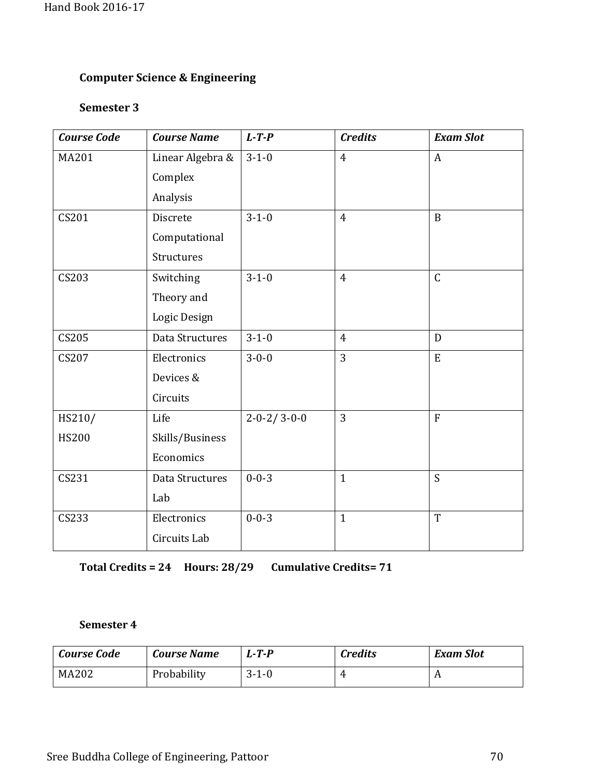# **Computer Science & Engineering**

# **Semester 3**

| <b>Course Code</b> | <b>Course Name</b> | $L$ -T-P                | <b>Credits</b> | <b>Exam Slot</b> |
|--------------------|--------------------|-------------------------|----------------|------------------|
| <b>MA201</b>       | Linear Algebra &   | $3 - 1 - 0$             | $\overline{4}$ | $\overline{A}$   |
|                    | Complex            |                         |                |                  |
|                    | Analysis           |                         |                |                  |
| CS201              | Discrete           | $3 - 1 - 0$             | $\overline{4}$ | $\mathbf{B}$     |
|                    | Computational      |                         |                |                  |
|                    | Structures         |                         |                |                  |
| CS203              | Switching          | $3 - 1 - 0$             | $\overline{4}$ | $\mathsf C$      |
|                    | Theory and         |                         |                |                  |
|                    | Logic Design       |                         |                |                  |
| CS205              | Data Structures    | $3 - 1 - 0$             | $\overline{4}$ | D                |
| CS207              | Electronics        | $3 - 0 - 0$             | 3              | E                |
|                    | Devices &          |                         |                |                  |
|                    | Circuits           |                         |                |                  |
| HS210/             | Life               | $2 - 0 - 2 / 3 - 0 - 0$ | 3              | $\overline{F}$   |
| <b>HS200</b>       | Skills/Business    |                         |                |                  |
|                    | Economics          |                         |                |                  |
| CS231              | Data Structures    | $0 - 0 - 3$             | $\overline{1}$ | $\overline{S}$   |
|                    | Lab                |                         |                |                  |
| CS233              | Electronics        | $0 - 0 - 3$             | $\mathbf{1}$   | $\overline{T}$   |
|                    | Circuits Lab       |                         |                |                  |

**Total Credits = 24 Hours: 28/29 Cumulative Credits= 71**

| <b>Course Code</b> | Course Name | $T - P$ | <b>Credits</b> | <b>Exam Slot</b> |
|--------------------|-------------|---------|----------------|------------------|
| MA202              | Probability | $3-1-0$ |                | 1 P              |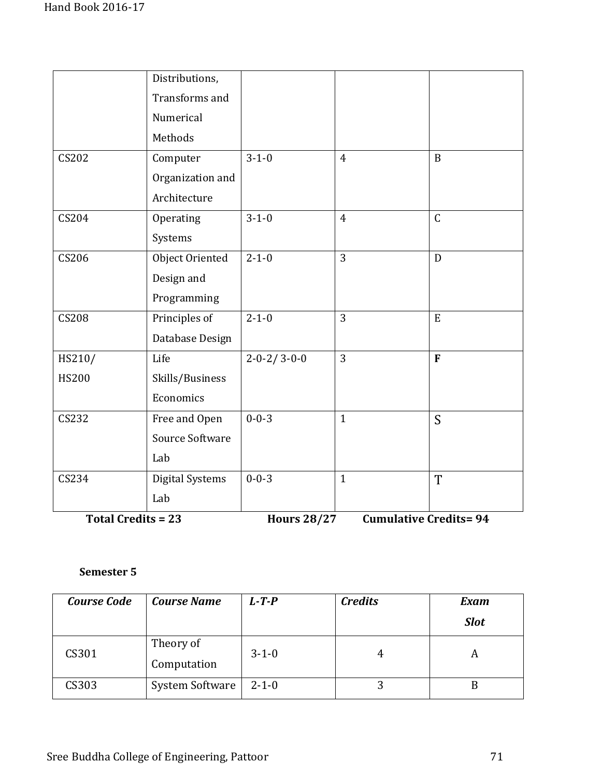| CS232        |                  | $0 - 0 - 3$             | $\mathbf{1}$   |              |
|--------------|------------------|-------------------------|----------------|--------------|
|              | Free and Open    |                         |                | S            |
|              | Economics        |                         |                |              |
| <b>HS200</b> | Skills/Business  |                         |                |              |
| HS210/       | Life             | $2 - 0 - 2 / 3 - 0 - 0$ | 3              | F            |
|              | Database Design  |                         |                |              |
| <b>CS208</b> | Principles of    | $2 - 1 - 0$             | $\overline{3}$ | E            |
|              | Programming      |                         |                |              |
|              | Design and       |                         |                |              |
| CS206        | Object Oriented  | $2 - 1 - 0$             | $\overline{3}$ | D            |
|              | Systems          |                         |                |              |
| CS204        | Operating        | $3 - 1 - 0$             | $\overline{4}$ | $\mathsf C$  |
|              | Architecture     |                         |                |              |
|              | Organization and |                         |                |              |
| CS202        | Computer         | $3 - 1 - 0$             | $\overline{4}$ | $\mathbf{B}$ |
|              | Methods          |                         |                |              |
|              | Numerical        |                         |                |              |
|              | Transforms and   |                         |                |              |
|              | Distributions,   |                         |                |              |

| <b>Course Code</b> | <b>Course Name</b>       | $L - T - P$ | <b>Credits</b> | <b>Exam</b> |
|--------------------|--------------------------|-------------|----------------|-------------|
|                    |                          |             |                | <b>Slot</b> |
| CS301              | Theory of<br>Computation | $3 - 1 - 0$ | 4              |             |
| CS303              | System Software          | $2 - 1 - 0$ |                |             |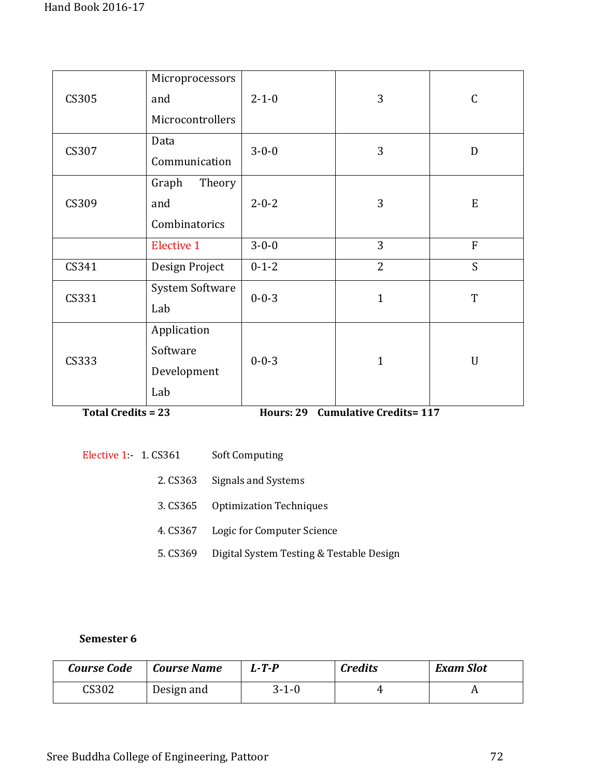| CS305 | Microprocessors<br>and<br>Microcontrollers    | $2 - 1 - 0$ | 3              | $\mathsf C$  |
|-------|-----------------------------------------------|-------------|----------------|--------------|
| CS307 | Data<br>Communication                         | $3 - 0 - 0$ | 3              | $\mathbf D$  |
| CS309 | Graph<br>Theory<br>and<br>Combinatorics       | $2 - 0 - 2$ | 3              | ${\bf E}$    |
|       | <b>Elective 1</b>                             | $3 - 0 - 0$ | 3              | ${\bf F}$    |
| CS341 | Design Project                                | $0 - 1 - 2$ | $\overline{2}$ | S            |
| CS331 | System Software<br>Lab                        | $0 - 0 - 3$ | $\mathbf{1}$   | T            |
| CS333 | Application<br>Software<br>Development<br>Lab | $0 - 0 - 3$ | $\mathbf{1}$   | $\mathbf{U}$ |

**Total Credits = 23 Hours: 29 Cumulative Credits= 117** 

| Elective $1 - 1$ . CS361 | <b>Soft Computing</b>                    |
|--------------------------|------------------------------------------|
|                          | 2. CS363 Signals and Systems             |
|                          | 3. CS365 Optimization Techniques         |
| 4. CS367                 | Logic for Computer Science               |
| 5. CS369                 | Digital System Testing & Testable Design |

| Course Code | <b>Course Name</b> | 1.-T.P      | <b>Credits</b> | <b>Exam Slot</b> |
|-------------|--------------------|-------------|----------------|------------------|
| CS302       | Design and         | $3 - 1 - 0$ |                |                  |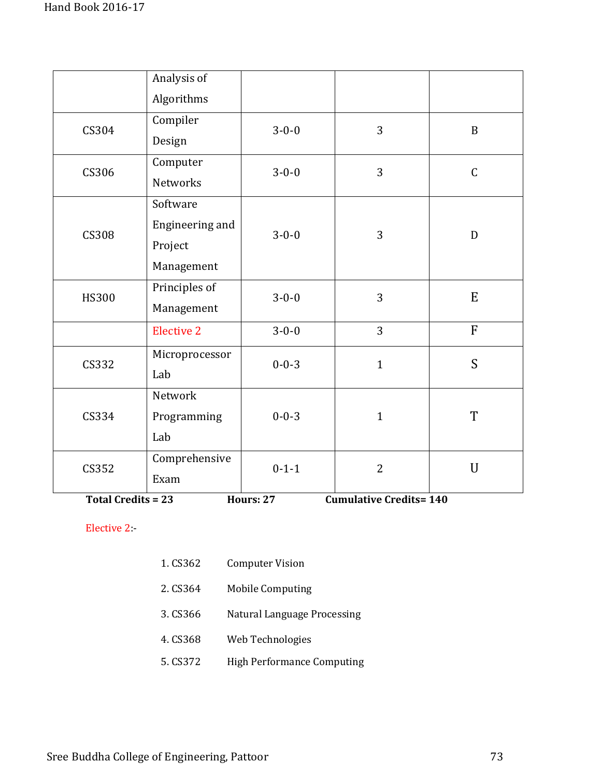|              | Analysis of       |             |                |              |
|--------------|-------------------|-------------|----------------|--------------|
|              | Algorithms        |             |                |              |
| CS304        | Compiler          | $3 - 0 - 0$ | 3              | $\mathbf B$  |
|              | Design            |             |                |              |
| CS306        | Computer          | $3 - 0 - 0$ | 3              | $\mathsf C$  |
|              | <b>Networks</b>   |             |                |              |
|              | Software          |             |                |              |
| <b>CS308</b> | Engineering and   | $3 - 0 - 0$ | 3              | D            |
|              | Project           |             |                |              |
|              | Management        |             |                |              |
| <b>HS300</b> | Principles of     | $3 - 0 - 0$ | 3              | E            |
|              | Management        |             |                |              |
|              | <b>Elective 2</b> | $3 - 0 - 0$ | $\overline{3}$ | $\mathbf{F}$ |
| CS332        | Microprocessor    | $0 - 0 - 3$ | $\mathbf{1}$   | S            |
|              | Lab               |             |                |              |
|              | Network           |             | $\mathbf{1}$   |              |
| CS334        | Programming       | $0 - 0 - 3$ |                | T            |
|              | Lab               |             |                |              |
| CS352        | Comprehensive     | $0 - 1 - 1$ | $\overline{2}$ | $\mathbf U$  |
|              | Exam              |             |                |              |

**Total Credits = 23** 

**Hours: 27 Cumulative Credits= 140** 

Elective 2:-

- 2. CS364 Mobile Computing
- 3. CS366 Natural Language Processing
- 4. CS368 Web Technologies
- 5. CS372 High Performance Computing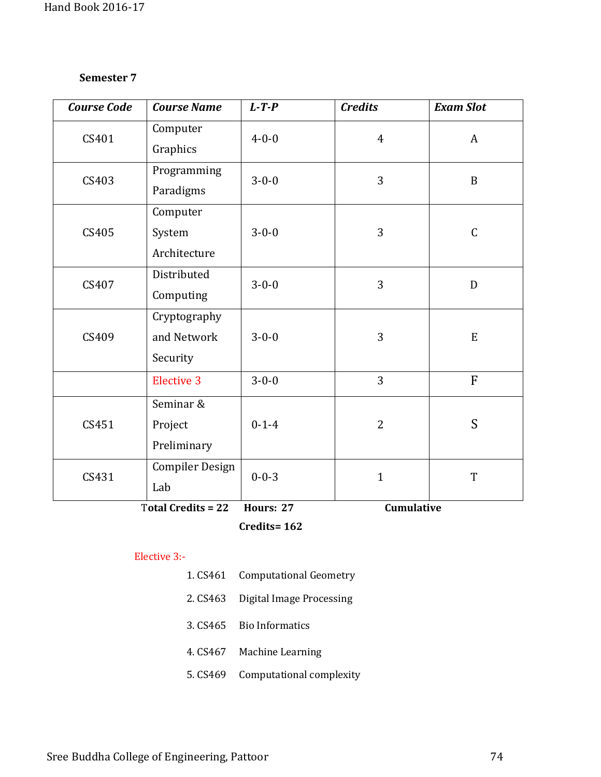| <b>Course Code</b> | <b>Course Name</b>        | $L$ -T-P    | <b>Credits</b> | <b>Exam Slot</b> |
|--------------------|---------------------------|-------------|----------------|------------------|
| CS401              | Computer                  | $4 - 0 - 0$ | $\overline{4}$ | $\mathbf{A}$     |
|                    | Graphics                  |             |                |                  |
| CS403              | Programming               | $3 - 0 - 0$ | 3              | B                |
|                    | Paradigms                 |             |                |                  |
|                    | Computer                  |             |                |                  |
| CS405              | System                    | $3 - 0 - 0$ | 3              | $\mathsf C$      |
|                    | Architecture              |             |                |                  |
| CS407              | Distributed               | $3 - 0 - 0$ | 3              | D                |
|                    | Computing                 |             |                |                  |
|                    | Cryptography              |             |                |                  |
| CS409              | and Network               | $3 - 0 - 0$ | 3              | ${\bf E}$        |
|                    | Security                  |             |                |                  |
|                    | <b>Elective 3</b>         | $3 - 0 - 0$ | 3              | $\overline{F}$   |
|                    | Seminar &                 |             |                |                  |
| CS451              | Project                   | $0 - 1 - 4$ | $\overline{2}$ | S                |
|                    | Preliminary               |             |                |                  |
| CS431              | Compiler Design           | $0 - 0 - 3$ | $\mathbf{1}$   | T                |
|                    | Lab                       |             |                |                  |
|                    | <b>Total Credits = 22</b> | Hours: 27   | Cumulative     |                  |

**Credits= 162** 

#### Elective 3:-

- 1. CS461 Computational Geometry
- 2. CS463 Digital Image Processing
- 3. CS465 Bio Informatics
- 4. CS467 Machine Learning
- 5. CS469 Computational complexity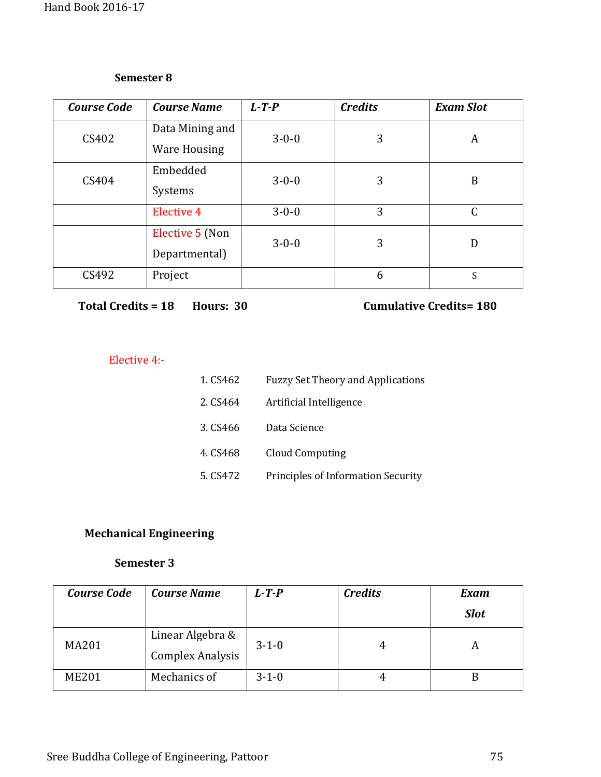| <b>Course Code</b> | <b>Course Name</b>  | $L$ -T-P    | <b>Credits</b> | <b>Exam Slot</b> |
|--------------------|---------------------|-------------|----------------|------------------|
| CS402              | Data Mining and     | $3 - 0 - 0$ | 3              | A                |
|                    | <b>Ware Housing</b> |             |                |                  |
| CS404              | Embedded            | $3 - 0 - 0$ | 3              | B                |
|                    | Systems             |             |                |                  |
|                    | <b>Elective 4</b>   | $3 - 0 - 0$ | 3              | $\mathsf{C}$     |
|                    | Elective 5 (Non     | $3 - 0 - 0$ | 3              | D                |
|                    | Departmental)       |             |                |                  |
| CS492              | Project             |             | 6              | S                |

```
Total Credits = 18 Hours: 30 Cumulative Credits = 180
```
# Elective 4:-

| 1. CS462 | <b>Fuzzy Set Theory and Applications</b>  |
|----------|-------------------------------------------|
| 2. CS464 | Artificial Intelligence                   |
| 3. CS466 | Data Science                              |
| 4. CS468 | <b>Cloud Computing</b>                    |
| 5. CS472 | <b>Principles of Information Security</b> |

# **Mechanical Engineering**

| <b>Course Code</b> | <b>Course Name</b>                          | $L - T - P$ | <b>Credits</b> | <b>Exam</b> |
|--------------------|---------------------------------------------|-------------|----------------|-------------|
|                    |                                             |             |                | <b>Slot</b> |
| <b>MA201</b>       | Linear Algebra &<br><b>Complex Analysis</b> | $3 - 1 - 0$ | 4              |             |
| <b>ME201</b>       | Mechanics of                                | $3 - 1 - 0$ | 4              | B           |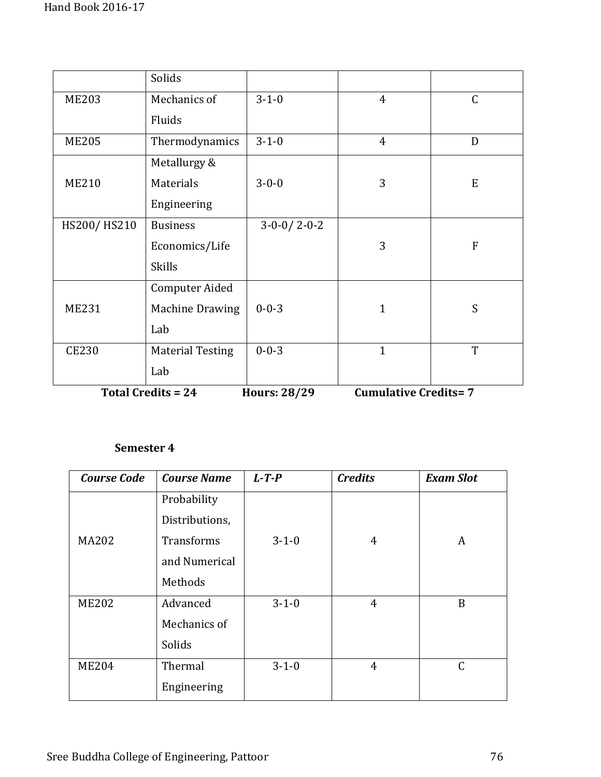|              | Solids                    |                     |                             |              |
|--------------|---------------------------|---------------------|-----------------------------|--------------|
| <b>ME203</b> | Mechanics of              | $3 - 1 - 0$         | $\overline{4}$              | $\mathsf C$  |
|              | Fluids                    |                     |                             |              |
| <b>ME205</b> | Thermodynamics            | $3 - 1 - 0$         | $\overline{4}$              | D            |
|              | Metallurgy &              |                     |                             |              |
| <b>ME210</b> | Materials                 | $3 - 0 - 0$         | 3                           | E            |
|              | Engineering               |                     |                             |              |
| HS200/HS210  | <b>Business</b>           | $3-0-0/2-0-2$       |                             |              |
|              | Economics/Life            |                     | 3                           | $\mathbf{F}$ |
|              | <b>Skills</b>             |                     |                             |              |
|              | Computer Aided            |                     |                             |              |
| <b>ME231</b> | <b>Machine Drawing</b>    | $0 - 0 - 3$         | $\overline{1}$              | S            |
|              | Lab                       |                     |                             |              |
| <b>CE230</b> | <b>Material Testing</b>   | $0 - 0 - 3$         | $\mathbf{1}$                | T            |
|              | Lab                       |                     |                             |              |
|              | <b>Total Credits = 24</b> | <b>Hours: 28/29</b> | <b>Cumulative Credits=7</b> |              |

| <b>Course Code</b> | <b>Course Name</b> | $L - T - P$ | <b>Credits</b> | <b>Exam Slot</b> |
|--------------------|--------------------|-------------|----------------|------------------|
|                    | Probability        |             |                |                  |
|                    | Distributions,     |             |                |                  |
| <b>MA202</b>       | Transforms         | $3 - 1 - 0$ | 4              | A                |
|                    | and Numerical      |             |                |                  |
|                    | Methods            |             |                |                  |
| <b>ME202</b>       | Advanced           | $3 - 1 - 0$ | 4              | B                |
|                    | Mechanics of       |             |                |                  |
|                    | Solids             |             |                |                  |
| <b>ME204</b>       | Thermal            | $3 - 1 - 0$ | $\overline{4}$ | $\mathsf{C}$     |
|                    | Engineering        |             |                |                  |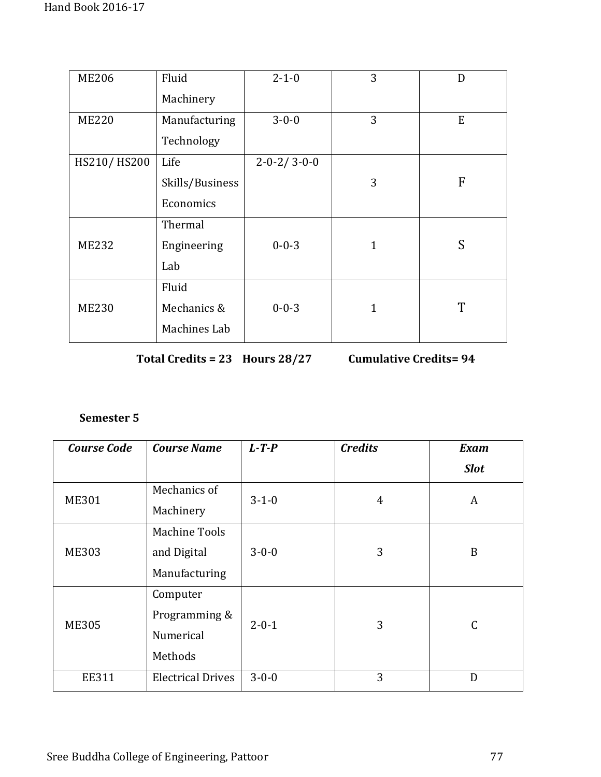| <b>ME206</b> | Fluid           | $2 - 1 - 0$             | 3            | D |
|--------------|-----------------|-------------------------|--------------|---|
|              | Machinery       |                         |              |   |
| <b>ME220</b> | Manufacturing   | $3 - 0 - 0$             | 3            | E |
|              | Technology      |                         |              |   |
| HS210/HS200  | Life            | $2 - 0 - 2 / 3 - 0 - 0$ |              |   |
|              | Skills/Business |                         | 3            | F |
|              | Economics       |                         |              |   |
|              | Thermal         |                         |              |   |
| <b>ME232</b> | Engineering     | $0 - 0 - 3$             | $\mathbf{1}$ | S |
|              | Lab             |                         |              |   |
|              | Fluid           |                         |              |   |
| <b>ME230</b> | Mechanics &     | $0 - 0 - 3$             | $\mathbf{1}$ | T |
|              | Machines Lab    |                         |              |   |

**Total Credits = 23 Hours 28/27 Cumulative Credits= 94**

| <b>Course Code</b> | <b>Course Name</b>       | $L$ -T-P    | <b>Credits</b> | <b>Exam</b>   |
|--------------------|--------------------------|-------------|----------------|---------------|
|                    |                          |             |                | <b>Slot</b>   |
| <b>ME301</b>       | Mechanics of             | $3 - 1 - 0$ | 4              | A             |
|                    | Machinery                |             |                |               |
| <b>ME303</b>       | <b>Machine Tools</b>     |             |                |               |
|                    | and Digital              | $3 - 0 - 0$ | 3              | B             |
|                    | Manufacturing            |             |                |               |
|                    | Computer                 |             |                |               |
| <b>ME305</b>       | Programming &            | $2 - 0 - 1$ | 3              | $\mathcal{C}$ |
|                    | Numerical                |             |                |               |
|                    | Methods                  |             |                |               |
| <b>EE311</b>       | <b>Electrical Drives</b> | $3 - 0 - 0$ | 3              | D             |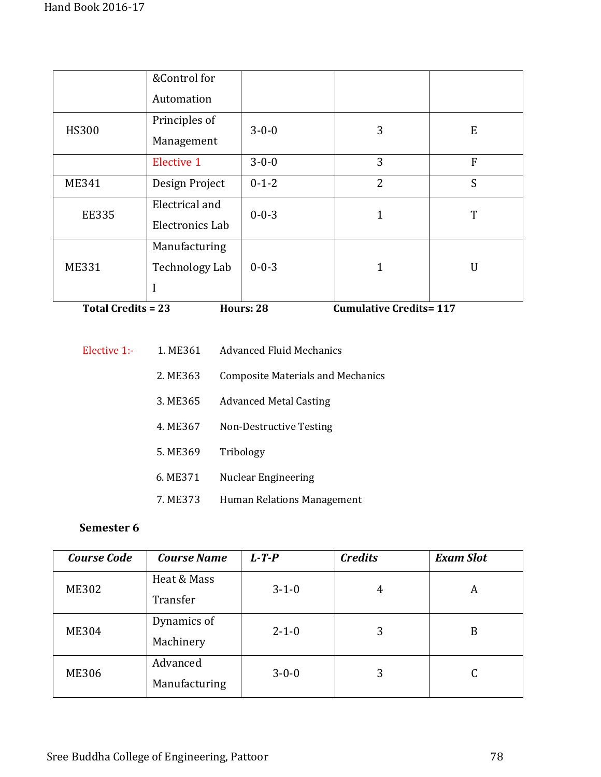|              | &Control for<br>Automation        |             |                |   |
|--------------|-----------------------------------|-------------|----------------|---|
| <b>HS300</b> | Principles of<br>Management       | $3 - 0 - 0$ | 3              | E |
|              | Elective 1                        | $3 - 0 - 0$ | 3              | F |
| <b>ME341</b> | Design Project                    | $0 - 1 - 2$ | $\overline{2}$ | S |
| <b>EE335</b> | Electrical and<br>Electronics Lab | $0 - 0 - 3$ |                | T |
| <b>ME331</b> | Manufacturing<br>Technology Lab   | $0 - 0 - 3$ |                | U |

**Total Credits = 23 Hours: 28 Cumulative Credits= 117** 

| Elective 1:- | 1. ME361 | Advanced Fluid Mechanics                 |
|--------------|----------|------------------------------------------|
|              | 2. ME363 | <b>Composite Materials and Mechanics</b> |
|              | 3. ME365 | <b>Advanced Metal Casting</b>            |
|              | 4. ME367 | Non-Destructive Testing                  |
|              | 5. ME369 | Tribology                                |
|              | 6. ME371 | Nuclear Engineering                      |
|              | 7. ME373 | Human Relations Management               |

| <b>Course Code</b> | <b>Course Name</b> | $L - T - P$ | <b>Credits</b> | <b>Exam Slot</b> |
|--------------------|--------------------|-------------|----------------|------------------|
| <b>ME302</b>       | Heat & Mass        | $3 - 1 - 0$ | 4              | A                |
|                    | Transfer           |             |                |                  |
| <b>ME304</b>       | Dynamics of        | $2 - 1 - 0$ | 3              | B                |
|                    | Machinery          |             |                |                  |
| <b>ME306</b>       | Advanced           | $3 - 0 - 0$ | 3              |                  |
|                    | Manufacturing      |             |                |                  |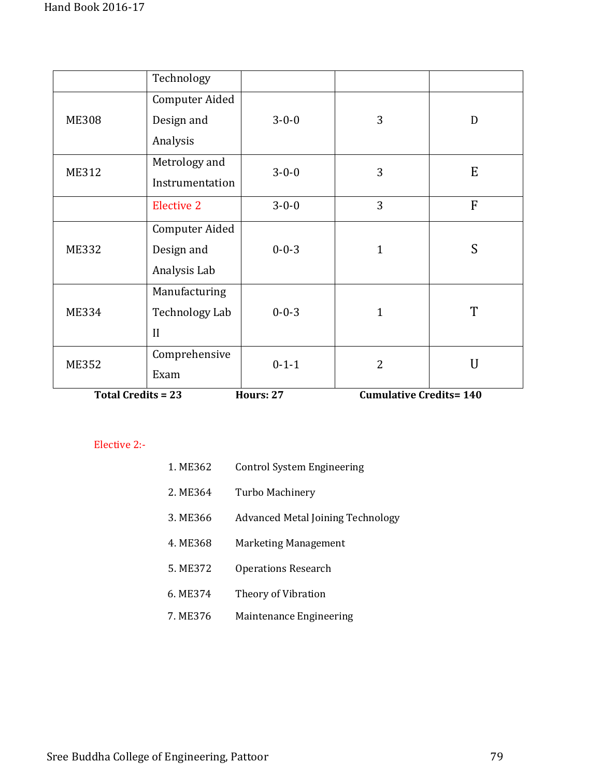|                        | Technology        |                          |                                  |                |
|------------------------|-------------------|--------------------------|----------------------------------|----------------|
|                        | Computer Aided    |                          |                                  |                |
| <b>ME308</b>           | Design and        | $3 - 0 - 0$              | 3                                | D              |
|                        | Analysis          |                          |                                  |                |
| <b>ME312</b>           | Metrology and     | $3 - 0 - 0$              | 3                                | E              |
|                        | Instrumentation   |                          |                                  |                |
|                        | <b>Elective 2</b> | $3 - 0 - 0$              | 3                                | F              |
|                        | Computer Aided    |                          |                                  |                |
| <b>ME332</b>           | Design and        | $0 - 0 - 3$              | $\mathbf{1}$                     | S              |
|                        | Analysis Lab      |                          |                                  |                |
|                        | Manufacturing     |                          |                                  |                |
| <b>ME334</b>           | Technology Lab    | $0 - 0 - 3$              | $\mathbf{1}$                     | T              |
|                        | $\mathbf{I}$      |                          |                                  |                |
| <b>ME352</b>           | Comprehensive     | $0 - 1 - 1$              | $\overline{2}$                   | $\overline{U}$ |
|                        | Exam              |                          |                                  |                |
| $Total Cradt + c = 22$ |                   | $U_{\text{OMPC}}$ , $27$ | $C$ umulative $C$ redite $= 140$ |                |

**Total Credits = 23** 

**Hours: 27 Cumulative Credits= 140** 

## Elective 2:-

|          | 1. ME362 | <b>Control System Engineering</b>        |
|----------|----------|------------------------------------------|
|          | 2. ME364 | Turbo Machinery                          |
|          | 3. ME366 | <b>Advanced Metal Joining Technology</b> |
|          | 4. ME368 | Marketing Management                     |
|          | 5. ME372 | <b>Operations Research</b>               |
| 6. ME374 |          | Theory of Vibration                      |
| 7. ME376 |          | Maintenance Engineering                  |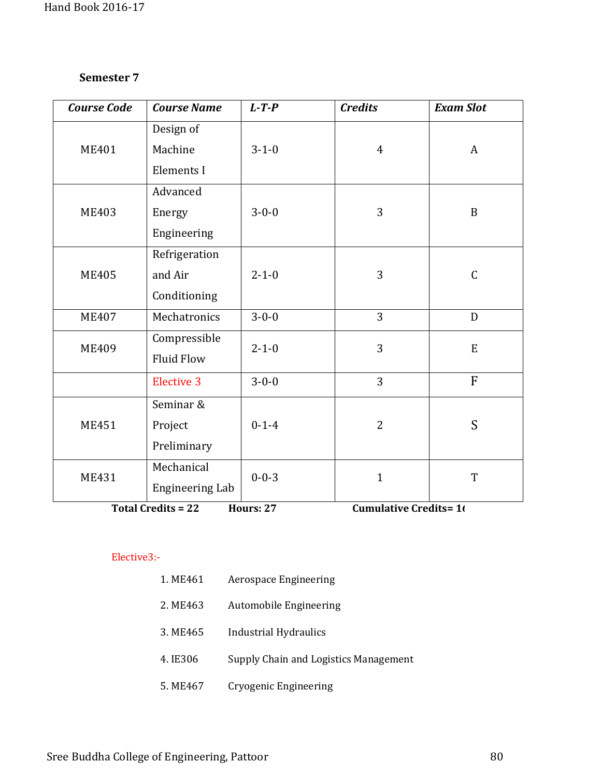| <b>Course Code</b>                                                            | <b>Course Name</b>     | $L$ -T-P    | <b>Credits</b> | <b>Exam Slot</b> |
|-------------------------------------------------------------------------------|------------------------|-------------|----------------|------------------|
|                                                                               | Design of              |             |                |                  |
| <b>ME401</b>                                                                  | Machine                | $3 - 1 - 0$ | $\overline{4}$ | A                |
|                                                                               | Elements I             |             |                |                  |
|                                                                               | Advanced               |             |                |                  |
| <b>ME403</b>                                                                  | Energy                 | $3 - 0 - 0$ | 3              | $\, {\bf B}$     |
|                                                                               | Engineering            |             |                |                  |
|                                                                               | Refrigeration          |             |                |                  |
| <b>ME405</b>                                                                  | and Air                | $2 - 1 - 0$ | 3              | $\mathsf C$      |
|                                                                               | Conditioning           |             |                |                  |
| <b>ME407</b>                                                                  | Mechatronics           | $3 - 0 - 0$ | 3              | D                |
| <b>ME409</b>                                                                  | Compressible           | $2 - 1 - 0$ | 3              | ${\bf E}$        |
|                                                                               | <b>Fluid Flow</b>      |             |                |                  |
|                                                                               | <b>Elective 3</b>      | $3 - 0 - 0$ | 3              | F                |
|                                                                               | Seminar &              |             |                |                  |
| <b>ME451</b>                                                                  | Project                | $0 - 1 - 4$ | $\overline{2}$ | S                |
|                                                                               | Preliminary            |             |                |                  |
| <b>ME431</b>                                                                  | Mechanical             | $0 - 0 - 3$ | $\mathbf{1}$   | T                |
|                                                                               | <b>Engineering Lab</b> |             |                |                  |
| <b>Hours: 27</b><br><b>Cumulative Credits=16</b><br><b>Total Credits = 22</b> |                        |             |                |                  |

#### Elective3:-

| 1. ME461 | Aerospace Engineering                 |
|----------|---------------------------------------|
| 2. ME463 | Automobile Engineering                |
| 3. ME465 | Industrial Hydraulics                 |
| 4. IE306 | Supply Chain and Logistics Management |
| 5. ME467 | Cryogenic Engineering                 |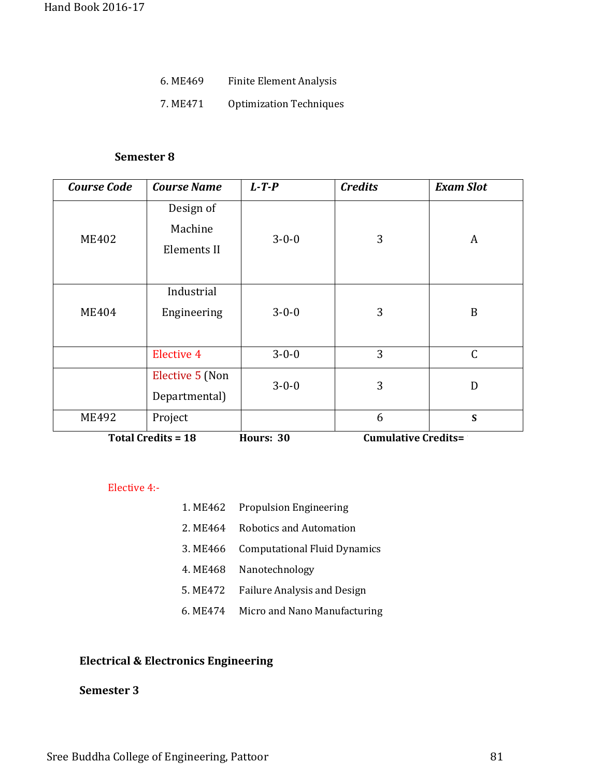- 6. ME469 Finite Element Analysis
- 7. ME471 Optimization Techniques

| <b>Course Code</b> | <b>Course Name</b>                  | $L$ -T-P    | <b>Credits</b> | <b>Exam Slot</b> |
|--------------------|-------------------------------------|-------------|----------------|------------------|
| <b>ME402</b>       | Design of<br>Machine<br>Elements II | $3 - 0 - 0$ | 3              | A                |
| <b>ME404</b>       | Industrial<br>Engineering           | $3 - 0 - 0$ | 3              | B                |
|                    | <b>Elective 4</b>                   | $3 - 0 - 0$ | 3              | $\mathsf C$      |
|                    | Elective 5 (Non<br>Departmental)    | $3 - 0 - 0$ | 3              | D                |
| <b>ME492</b>       | Project                             |             | 6              | S                |

**Total Credits = 18** 

**Cumulative Credits= 180** 

Elective 4:-

|          | 1. ME462 Propulsion Engineering       |
|----------|---------------------------------------|
| 2. ME464 | Robotics and Automation               |
|          | 3. ME466 Computational Fluid Dynamics |
| 4. ME468 | Nanotechnology                        |
| 5. ME472 | <b>Failure Analysis and Design</b>    |
| 6. ME474 | Micro and Nano Manufacturing          |

# **Electrical & Electronics Engineering**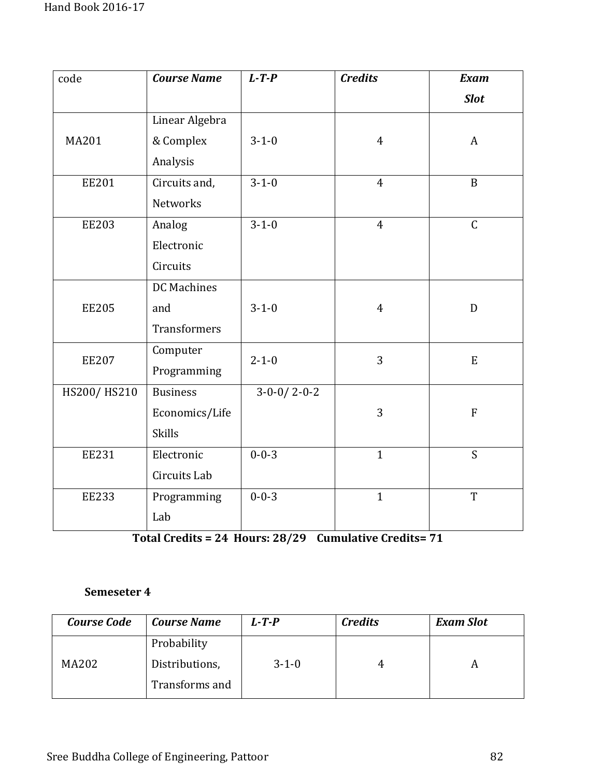| code         | <b>Course Name</b>  | $L$ -T-P                | <b>Credits</b> | <b>Exam</b>  |
|--------------|---------------------|-------------------------|----------------|--------------|
|              |                     |                         |                | <b>Slot</b>  |
|              | Linear Algebra      |                         |                |              |
| MA201        | & Complex           | $3 - 1 - 0$             | $\overline{4}$ | $\mathbf{A}$ |
|              | Analysis            |                         |                |              |
| <b>EE201</b> | Circuits and,       | $3 - 1 - 0$             | $\overline{4}$ | $\mathbf B$  |
|              | <b>Networks</b>     |                         |                |              |
| <b>EE203</b> | Analog              | $3 - 1 - 0$             | $\overline{4}$ | $\mathsf{C}$ |
|              | Electronic          |                         |                |              |
|              | Circuits            |                         |                |              |
|              | DC Machines         |                         |                |              |
| <b>EE205</b> | and                 | $3 - 1 - 0$             | $\overline{4}$ | $\mathbf{D}$ |
|              | <b>Transformers</b> |                         |                |              |
| <b>EE207</b> | Computer            | $2 - 1 - 0$             | 3              | $\mathbf E$  |
|              | Programming         |                         |                |              |
| HS200/HS210  | <b>Business</b>     | $3 - 0 - 0 / 2 - 0 - 2$ |                |              |
|              | Economics/Life      |                         | 3              | ${\bf F}$    |
|              | <b>Skills</b>       |                         |                |              |
| <b>EE231</b> | Electronic          | $0 - 0 - 3$             | $\mathbf{1}$   | S            |
|              | Circuits Lab        |                         |                |              |
| <b>EE233</b> | Programming         | $0 - 0 - 3$             | $\mathbf{1}$   | $\mathbf T$  |
|              | Lab                 |                         |                |              |

**Total Credits = 24 Hours: 28/29 Cumulative Credits= 71**

| <b>Course Code</b> | <b>Course Name</b> | $L$ -T-P    | <b>Credits</b> | <b>Exam Slot</b> |
|--------------------|--------------------|-------------|----------------|------------------|
|                    | Probability        |             |                |                  |
| MA202              | Distributions,     | $3 - 1 - 0$ |                |                  |
|                    | Transforms and     |             |                |                  |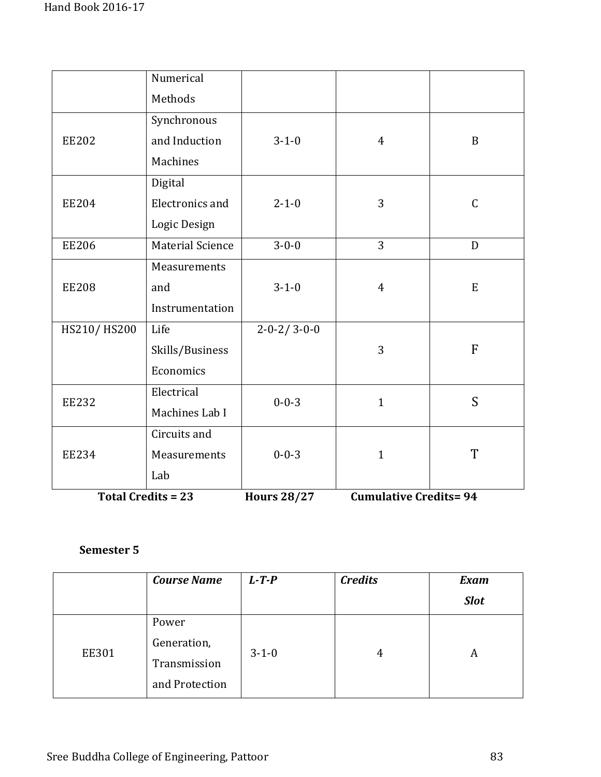|              | Numerical               |                         |                |               |
|--------------|-------------------------|-------------------------|----------------|---------------|
|              | Methods                 |                         |                |               |
|              | Synchronous             |                         |                |               |
| <b>EE202</b> | and Induction           | $3 - 1 - 0$             | $\overline{4}$ | $\mathbf B$   |
|              | Machines                |                         |                |               |
|              | Digital                 |                         |                |               |
| <b>EE204</b> | Electronics and         | $2 - 1 - 0$             | 3              | $\mathcal{C}$ |
|              | Logic Design            |                         |                |               |
| <b>EE206</b> | <b>Material Science</b> | $3 - 0 - 0$             | 3              | D             |
|              | Measurements            |                         |                |               |
| <b>EE208</b> | and                     | $3 - 1 - 0$             | $\overline{4}$ | E             |
|              | Instrumentation         |                         |                |               |
| HS210/HS200  | Life                    | $2 - 0 - 2 / 3 - 0 - 0$ |                |               |
|              | Skills/Business         |                         | 3              | $\mathbf{F}$  |
|              | Economics               |                         |                |               |
| <b>EE232</b> | Electrical              | $0 - 0 - 3$             | $\mathbf{1}$   | S             |
|              | Machines Lab I          |                         |                |               |
|              | Circuits and            |                         |                |               |
| <b>EE234</b> | Measurements            | $0 - 0 - 3$             | $\mathbf{1}$   | T             |
|              | Lab                     |                         |                |               |

**Total Credits = 23 Hours 28/27 Cumulative Credits= 94**

|              | <b>Course Name</b> | $L$ -T-P    | <b>Credits</b> | <b>Exam</b> |
|--------------|--------------------|-------------|----------------|-------------|
|              |                    |             |                | <b>Slot</b> |
|              | Power              |             |                |             |
| <b>EE301</b> | Generation,        |             |                |             |
|              | Transmission       | $3 - 1 - 0$ | 4              | A           |
|              | and Protection     |             |                |             |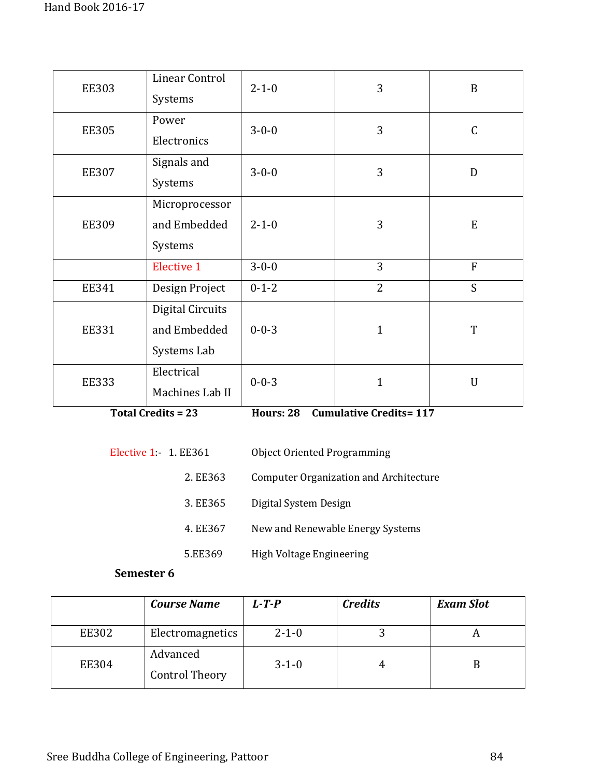| <b>EE303</b> | Linear Control<br>Systems                       | $2 - 1 - 0$ | 3              | $\mathbf B$    |
|--------------|-------------------------------------------------|-------------|----------------|----------------|
| <b>EE305</b> | Power<br>Electronics                            | $3 - 0 - 0$ | 3              | $\mathcal{C}$  |
| <b>EE307</b> | Signals and<br>Systems                          | $3 - 0 - 0$ | 3              | D              |
| <b>EE309</b> | Microprocessor<br>and Embedded<br>Systems       | $2 - 1 - 0$ | 3              | E              |
|              | <b>Elective 1</b>                               | $3 - 0 - 0$ | 3              | $\overline{F}$ |
| <b>EE341</b> | Design Project                                  | $0 - 1 - 2$ | $\overline{2}$ | S              |
| <b>EE331</b> | Digital Circuits<br>and Embedded<br>Systems Lab | $0 - 0 - 3$ | $\mathbf{1}$   | T              |
| <b>EE333</b> | Electrical<br>Machines Lab II                   | $0 - 0 - 3$ | $\mathbf{1}$   | U              |

**Total Credits = 23 Hours: 28 Cumulative Credits= 117** 

| Elective 1: 1. EE361 |          | <b>Object Oriented Programming</b>     |
|----------------------|----------|----------------------------------------|
|                      | 2. EE363 | Computer Organization and Architecture |
|                      | 3. EE365 | Digital System Design                  |
|                      | 4. EE367 | New and Renewable Energy Systems       |
|                      | 5.EE369  | High Voltage Engineering               |

|              | <b>Course Name</b>                | $L$ -T-P    | <b>Credits</b> | <b>Exam Slot</b> |
|--------------|-----------------------------------|-------------|----------------|------------------|
| <b>EE302</b> | Electromagnetics                  | $2 - 1 - 0$ |                |                  |
| <b>EE304</b> | Advanced<br><b>Control Theory</b> | $3 - 1 - 0$ |                |                  |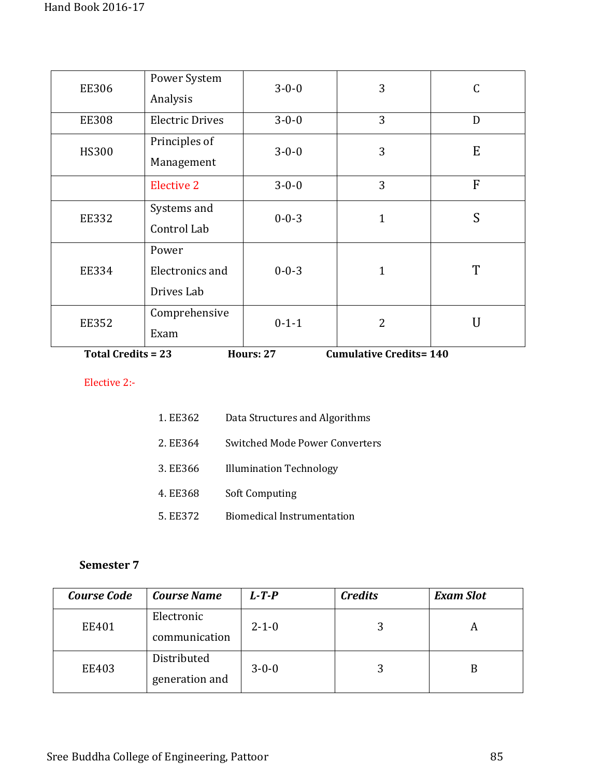| <b>Total Credits = 23</b><br><b>Cumulative Credits=140</b><br><b>Hours: 27</b> |                                        |             |                |   |
|--------------------------------------------------------------------------------|----------------------------------------|-------------|----------------|---|
| <b>EE352</b>                                                                   | Comprehensive<br>Exam                  | $0 - 1 - 1$ | $\overline{2}$ | U |
| <b>EE334</b>                                                                   | Power<br>Electronics and<br>Drives Lab | $0 - 0 - 3$ | $\mathbf{1}$   | T |
| <b>EE332</b>                                                                   | Systems and<br>Control Lab             | $0 - 0 - 3$ | $\mathbf{1}$   | S |
|                                                                                | <b>Elective 2</b>                      | $3 - 0 - 0$ | 3              | F |
| <b>HS300</b>                                                                   | Principles of<br>Management            | $3 - 0 - 0$ | 3              | E |
| <b>EE308</b>                                                                   | <b>Electric Drives</b>                 | $3 - 0 - 0$ | 3              | D |
| <b>EE306</b>                                                                   | Power System<br>Analysis               | $3 - 0 - 0$ | 3              | C |

**Total Credits = 23** 

#### Elective 2:-

| 1. EE362 | Data Structures and Algorithms        |
|----------|---------------------------------------|
| 2. EE364 | <b>Switched Mode Power Converters</b> |
| 3. EE366 | <b>Illumination Technology</b>        |
| 4. EE368 | <b>Soft Computing</b>                 |
| 5. EE372 | Biomedical Instrumentation            |

| <b>Course Code</b> | <b>Course Name</b> | $L$ -T-P    | <b>Credits</b> | <b>Exam Slot</b> |
|--------------------|--------------------|-------------|----------------|------------------|
| EE401              | Electronic         | $2 - 1 - 0$ | 3              | А                |
|                    | communication      |             |                |                  |
| <b>EE403</b>       | Distributed        | $3 - 0 - 0$ | 3              |                  |
|                    | generation and     |             |                |                  |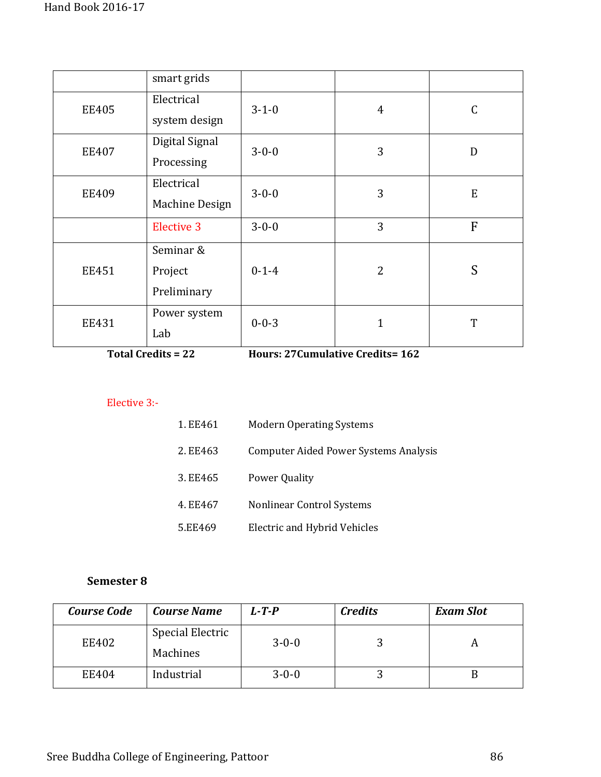|              | smart grids                         |             |                |                |
|--------------|-------------------------------------|-------------|----------------|----------------|
| <b>EE405</b> | Electrical<br>system design         | $3 - 1 - 0$ | $\overline{4}$ | $\mathsf C$    |
| <b>EE407</b> | Digital Signal<br>Processing        | $3 - 0 - 0$ | 3              | D              |
| <b>EE409</b> | Electrical<br>Machine Design        | $3 - 0 - 0$ | 3              | E              |
|              | <b>Elective 3</b>                   | $3 - 0 - 0$ | 3              | $\overline{F}$ |
| <b>EE451</b> | Seminar &<br>Project<br>Preliminary | $0 - 1 - 4$ | $\overline{2}$ | S              |
| <b>EE431</b> | Power system<br>Lab                 | $0 - 0 - 3$ | $\mathbf{1}$   | T              |

**Total Credits = 22 Hours: 27Cumulative Credits= 162**

## Elective 3:-

| 1. EE461 | <b>Modern Operating Systems</b>       |
|----------|---------------------------------------|
| 2. EE463 | Computer Aided Power Systems Analysis |
| 3. EE465 | <b>Power Quality</b>                  |
| 4. EE467 | Nonlinear Control Systems             |
| 5.EE469  | Electric and Hybrid Vehicles          |

| <b>Course Code</b> | <b>Course Name</b> | $L$ -T-P    | <b>Credits</b> | <b>Exam Slot</b> |
|--------------------|--------------------|-------------|----------------|------------------|
| EE402              | Special Electric   | $3 - 0 - 0$ |                |                  |
|                    | Machines           |             |                |                  |
| EE404              | Industrial         | $3 - 0 - 0$ |                |                  |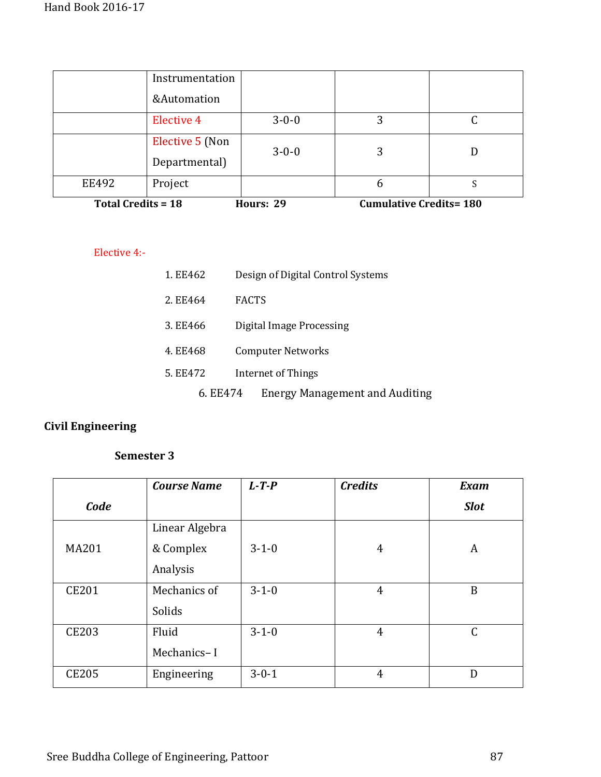| <b>Total Credits = 18</b> |                   | Hours: 29   | <b>Cumulative Credits=180</b> |  |
|---------------------------|-------------------|-------------|-------------------------------|--|
| <b>EE492</b>              | Project           |             | 6                             |  |
|                           | Departmental)     | $3 - 0 - 0$ | 3                             |  |
|                           | Elective 5 (Non   |             |                               |  |
|                           | <b>Elective 4</b> | $3 - 0 - 0$ | 3                             |  |
|                           | &Automation       |             |                               |  |
|                           | Instrumentation   |             |                               |  |

#### Elective 4:-

| 1. EE462 | Design of Digital Control Systems     |
|----------|---------------------------------------|
| 2. EE464 | <b>FACTS</b>                          |
| 3. EE466 | Digital Image Processing              |
| 4. EE468 | <b>Computer Networks</b>              |
| 5. EE472 | Internet of Things                    |
| 6. EE474 | <b>Energy Management and Auditing</b> |

# **Civil Engineering**

|              | <b>Course Name</b> | $L$ -T-P    | <b>Credits</b> | <b>Exam</b>      |
|--------------|--------------------|-------------|----------------|------------------|
| Code         |                    |             |                | <b>Slot</b>      |
|              | Linear Algebra     |             |                |                  |
| <b>MA201</b> | & Complex          | $3-1-0$     | 4              | A                |
|              | Analysis           |             |                |                  |
| <b>CE201</b> | Mechanics of       | $3 - 1 - 0$ | $\overline{4}$ | $\boldsymbol{B}$ |
|              | Solids             |             |                |                  |
| <b>CE203</b> | Fluid              | $3 - 1 - 0$ | $\overline{4}$ | $\mathsf C$      |
|              | Mechanics-I        |             |                |                  |
| <b>CE205</b> | Engineering        | $3 - 0 - 1$ | $\overline{4}$ | D                |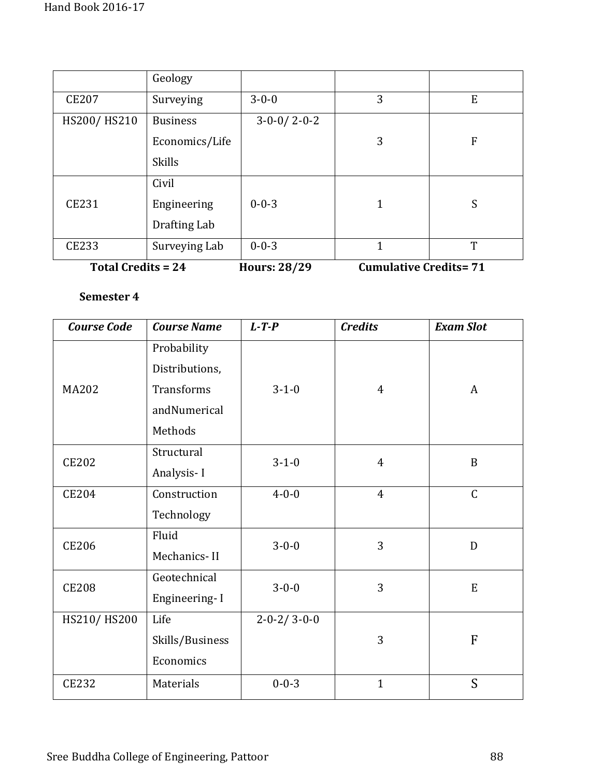|                           | Geology         |                     |                              |                |
|---------------------------|-----------------|---------------------|------------------------------|----------------|
| <b>CE207</b>              | Surveying       | $3 - 0 - 0$         | 3                            | E              |
| HS200/HS210               | <b>Business</b> | $3-0-0/2-0-2$       |                              |                |
|                           | Economics/Life  |                     | 3                            | $\overline{F}$ |
|                           | <b>Skills</b>   |                     |                              |                |
|                           | Civil           |                     |                              |                |
| <b>CE231</b>              | Engineering     | $0 - 0 - 3$         | 1                            | S              |
|                           | Drafting Lab    |                     |                              |                |
| <b>CE233</b>              | Surveying Lab   | $0 - 0 - 3$         | 1                            | T              |
| <b>Total Credits = 24</b> |                 | <b>Hours: 28/29</b> | <b>Cumulative Credits=71</b> |                |

| <b>Course Code</b> | <b>Course Name</b> | $L$ -T-P                | <b>Credits</b> | <b>Exam Slot</b> |
|--------------------|--------------------|-------------------------|----------------|------------------|
|                    | Probability        |                         |                |                  |
|                    | Distributions,     |                         |                |                  |
| <b>MA202</b>       | <b>Transforms</b>  | $3 - 1 - 0$             | $\overline{4}$ | A                |
|                    | andNumerical       |                         |                |                  |
|                    | Methods            |                         |                |                  |
| <b>CE202</b>       | Structural         | $3 - 1 - 0$             | $\overline{4}$ | B                |
|                    | Analysis-I         |                         |                |                  |
| <b>CE204</b>       | Construction       | $4 - 0 - 0$             | $\overline{4}$ | $\mathsf{C}$     |
|                    | Technology         |                         |                |                  |
| <b>CE206</b>       | Fluid              | $3 - 0 - 0$             | 3              | D                |
|                    | Mechanics-II       |                         |                |                  |
| <b>CE208</b>       | Geotechnical       | $3 - 0 - 0$             | 3              | ${\bf E}$        |
|                    | Engineering-I      |                         |                |                  |
| HS210/HS200        | Life               | $2 - 0 - 2 / 3 - 0 - 0$ |                |                  |
|                    | Skills/Business    |                         | 3              | F                |
|                    | Economics          |                         |                |                  |
| <b>CE232</b>       | Materials          | $0 - 0 - 3$             | $\mathbf{1}$   | S                |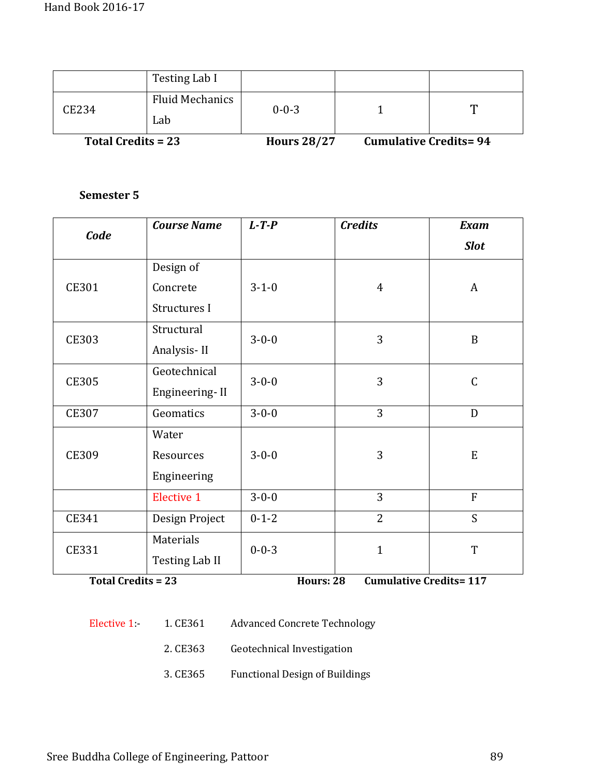|                           | Testing Lab I                 |                    |                                |   |
|---------------------------|-------------------------------|--------------------|--------------------------------|---|
| CE234                     | <b>Fluid Mechanics</b><br>Lab | $0 - 0 - 3$        |                                | m |
| <b>Total Credits = 23</b> |                               | <b>Hours 28/27</b> | <b>Cumulative Credits = 94</b> |   |

| Code         | <b>Course Name</b>    | $L$ -T-P    | <b>Credits</b> | <b>Exam</b>    |
|--------------|-----------------------|-------------|----------------|----------------|
|              |                       |             |                | <b>Slot</b>    |
|              | Design of             |             |                |                |
| <b>CE301</b> | Concrete              | $3 - 1 - 0$ | $\overline{4}$ | A              |
|              | Structures I          |             |                |                |
| <b>CE303</b> | Structural            | $3 - 0 - 0$ | 3              | $\mathbf B$    |
|              | Analysis-II           |             |                |                |
| <b>CE305</b> | Geotechnical          | $3 - 0 - 0$ | 3              | $\mathsf{C}$   |
|              | Engineering-II        |             |                |                |
| <b>CE307</b> | Geomatics             | $3 - 0 - 0$ | $\overline{3}$ | D              |
|              | Water                 |             |                |                |
| <b>CE309</b> | Resources             | $3 - 0 - 0$ | 3              | ${\bf E}$      |
|              | Engineering           |             |                |                |
|              | <b>Elective 1</b>     | $3 - 0 - 0$ | 3              | $\overline{F}$ |
| CE341        | Design Project        | $0 - 1 - 2$ | $\overline{2}$ | S              |
| <b>CE331</b> | Materials             | $0 - 0 - 3$ | $\mathbf{1}$   | T              |
|              | <b>Testing Lab II</b> |             |                |                |

**Total Credits = 23 Hours: 28 Cumulative Credits= 117** 

- Elective 1:- 1. CE361 Advanced Concrete Technology
	- 2. CE363 Geotechnical Investigation
	- 3. CE365 Functional Design of Buildings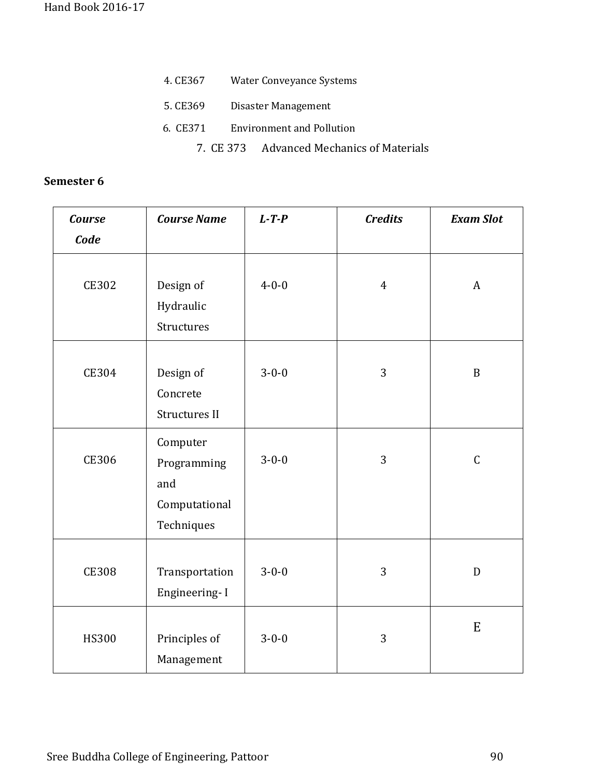| Water Conveyance Systems<br>4. CE367      |  |
|-------------------------------------------|--|
| Disaster Management<br>5. CE369           |  |
| 6. CE371 Environment and Pollution        |  |
| 7. CE 373 Advanced Mechanics of Materials |  |

| <b>Course</b> | <b>Course Name</b>                                            | $L$ -T-P    | <b>Credits</b> | <b>Exam Slot</b> |
|---------------|---------------------------------------------------------------|-------------|----------------|------------------|
| Code          |                                                               |             |                |                  |
| <b>CE302</b>  | Design of<br>Hydraulic<br>Structures                          | $4 - 0 - 0$ | $\overline{4}$ | $\boldsymbol{A}$ |
| <b>CE304</b>  | Design of<br>Concrete<br>Structures II                        | $3 - 0 - 0$ | 3              | $\, {\bf B}$     |
| <b>CE306</b>  | Computer<br>Programming<br>and<br>Computational<br>Techniques | $3 - 0 - 0$ | 3              | $\mathsf C$      |
| <b>CE308</b>  | Transportation<br>Engineering-I                               | $3 - 0 - 0$ | 3              | D                |
| <b>HS300</b>  | Principles of<br>Management                                   | $3 - 0 - 0$ | 3              | ${\bf E}$        |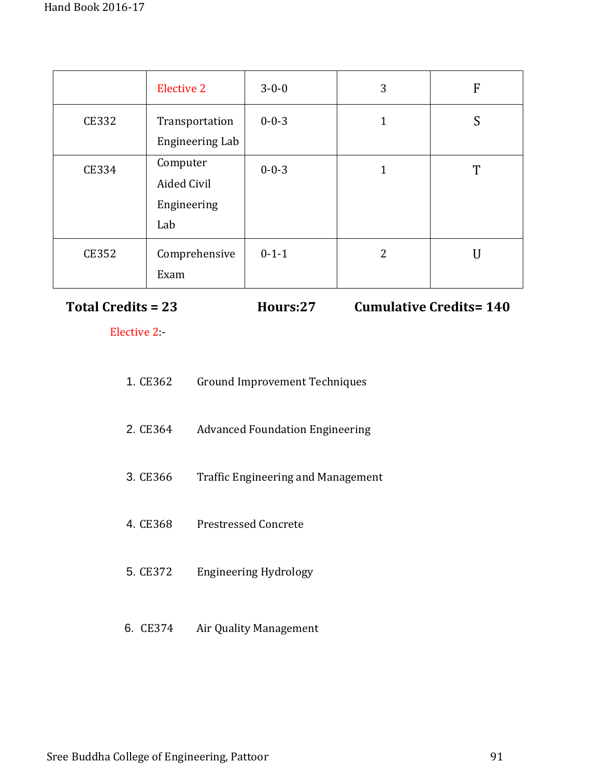|              | <b>Elective 2</b>                             | $3 - 0 - 0$ | 3 | F |
|--------------|-----------------------------------------------|-------------|---|---|
| <b>CE332</b> | Transportation<br><b>Engineering Lab</b>      | $0 - 0 - 3$ | 1 | S |
| <b>CE334</b> | Computer<br>Aided Civil<br>Engineering<br>Lab | $0 - 0 - 3$ | 1 | T |
| <b>CE352</b> | Comprehensive<br>Exam                         | $0 - 1 - 1$ | 2 | U |

**Total Credits = 23 Hours:27 Cumulative Credits= 140**

Elective 2:-

| 1. CE362 | Ground Improvement Techniques          |
|----------|----------------------------------------|
| 2. CE364 | <b>Advanced Foundation Engineering</b> |
| 3. CE366 | Traffic Engineering and Management     |
| 4. CE368 | Prestressed Concrete                   |
| 5. CE372 | Engineering Hydrology                  |

6. CE374 Air Quality Management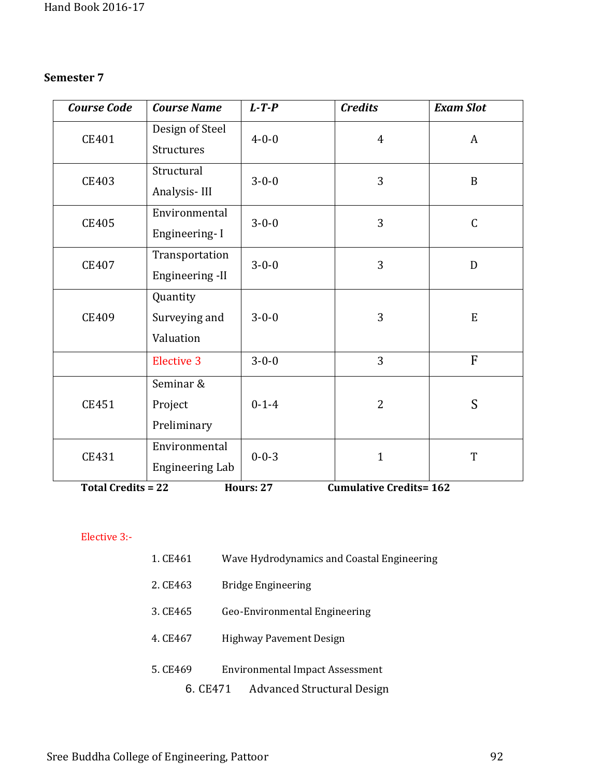| <b>Course Code</b> | <b>Course Name</b>     | $L$ -T-P    | <b>Credits</b> | <b>Exam Slot</b> |
|--------------------|------------------------|-------------|----------------|------------------|
| CE401              | Design of Steel        | $4 - 0 - 0$ | $\overline{4}$ | A                |
|                    | Structures             |             |                |                  |
| <b>CE403</b>       | Structural             | $3 - 0 - 0$ | 3              | $\mathbf B$      |
|                    | Analysis-III           |             |                |                  |
| <b>CE405</b>       | Environmental          | $3 - 0 - 0$ | 3              | $\mathsf C$      |
|                    | Engineering-I          |             |                |                  |
| CE407              | Transportation         | $3 - 0 - 0$ | 3              | D                |
|                    | Engineering -II        |             |                |                  |
|                    | Quantity               |             |                |                  |
| CE409              | Surveying and          | $3 - 0 - 0$ | 3              | E                |
|                    | Valuation              |             |                |                  |
|                    | <b>Elective 3</b>      | $3 - 0 - 0$ | 3              | F                |
|                    | Seminar &              |             |                |                  |
| CE451              | Project                | $0 - 1 - 4$ | $\overline{2}$ | S                |
|                    | Preliminary            |             |                |                  |
| CE431              | Environmental          | $0 - 0 - 3$ | $\mathbf{1}$   | T                |
|                    | <b>Engineering Lab</b> |             |                |                  |

**Total Credits = 22 Hours: 27 Cumulative Credits= 162** 

# Elective 3:-

| 1. CE461 | Wave Hydrodynamics and Coastal Engineering |
|----------|--------------------------------------------|
| 2. CE463 | Bridge Engineering                         |
| 3. CE465 | Geo-Environmental Engineering              |
| 4. CE467 | <b>Highway Pavement Design</b>             |
| 5. CE469 | <b>Environmental Impact Assessment</b>     |
| 6. CE471 | <b>Advanced Structural Design</b>          |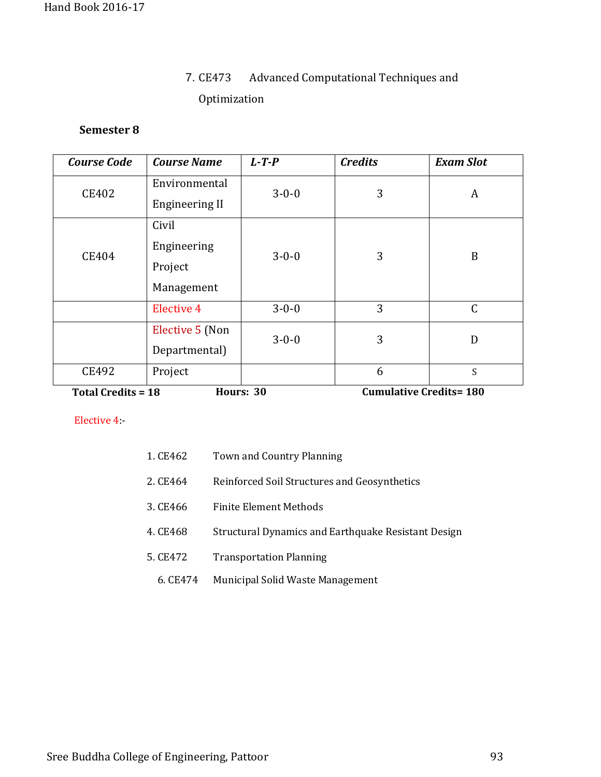# 7. CE473 Advanced Computational Techniques and Optimization

## **Semester 8**

| <b>Course Code</b>                     | <b>Course Name</b>    | $L$ -T-P    | <b>Credits</b>                | <b>Exam Slot</b> |
|----------------------------------------|-----------------------|-------------|-------------------------------|------------------|
| <b>CE402</b>                           | Environmental         | $3 - 0 - 0$ | 3                             | A                |
|                                        | <b>Engineering II</b> |             |                               |                  |
|                                        | Civil                 |             |                               |                  |
| CE404                                  | Engineering           | $3 - 0 - 0$ | 3                             | B                |
|                                        | Project               |             |                               |                  |
|                                        | Management            |             |                               |                  |
|                                        | <b>Elective 4</b>     | $3 - 0 - 0$ | 3                             | $\mathsf C$      |
|                                        | Elective 5 (Non       | $3 - 0 - 0$ | 3                             | D                |
|                                        | Departmental)         |             |                               |                  |
| CE492                                  | Project               |             | 6                             | S                |
| <b>Total Credits = 18</b><br>Hours: 30 |                       |             | <b>Cumulative Credits=180</b> |                  |

Elective 4:-

| 1. CE462 | Town and Country Planning                           |
|----------|-----------------------------------------------------|
| 2. CE464 | Reinforced Soil Structures and Geosynthetics        |
| 3. CE466 | <b>Finite Element Methods</b>                       |
| 4. CE468 | Structural Dynamics and Earthquake Resistant Design |
| 5. CE472 | <b>Transportation Planning</b>                      |
| 6. CE474 | Municipal Solid Waste Management                    |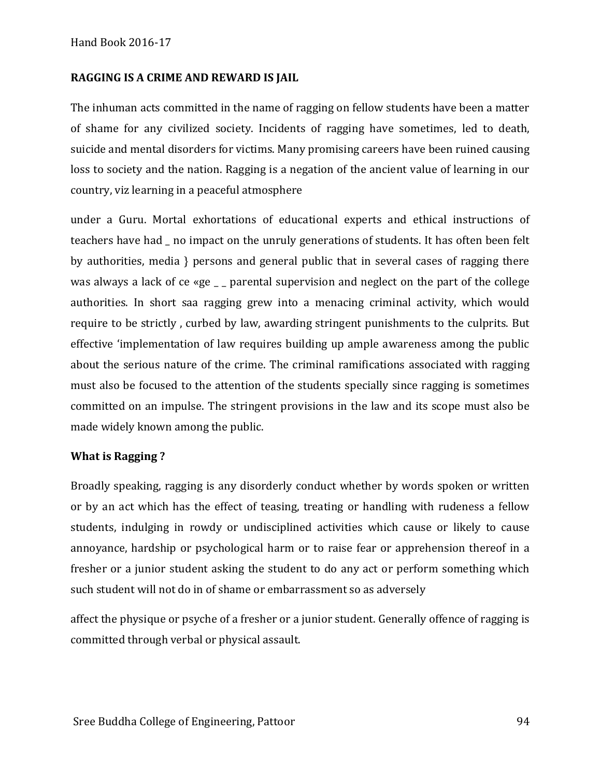#### **RAGGING IS A CRIME AND REWARD IS JAIL**

The inhuman acts committed in the name of ragging on fellow students have been a matter of shame for any civilized society. Incidents of ragging have sometimes, led to death, suicide and mental disorders for victims. Many promising careers have been ruined causing loss to society and the nation. Ragging is a negation of the ancient value of learning in our country, viz learning in a peaceful atmosphere

under a Guru. Mortal exhortations of educational experts and ethical instructions of teachers have had \_ no impact on the unruly generations of students. It has often been felt by authorities, media } persons and general public that in several cases of ragging there was always a lack of ce «ge  $\_$  parental supervision and neglect on the part of the college authorities. In short saa ragging grew into a menacing criminal activity, which would require to be strictly , curbed by law, awarding stringent punishments to the culprits. But effective 'implementation of law requires building up ample awareness among the public about the serious nature of the crime. The criminal ramifications associated with ragging must also be focused to the attention of the students specially since ragging is sometimes committed on an impulse. The stringent provisions in the law and its scope must also be made widely known among the public.

#### **What is Ragging ?**

Broadly speaking, ragging is any disorderly conduct whether by words spoken or written or by an act which has the effect of teasing, treating or handling with rudeness a fellow students, indulging in rowdy or undisciplined activities which cause or likely to cause annoyance, hardship or psychological harm or to raise fear or apprehension thereof in a fresher or a junior student asking the student to do any act or perform something which such student will not do in of shame or embarrassment so as adversely

affect the physique or psyche of a fresher or a junior student. Generally offence of ragging is committed through verbal or physical assault.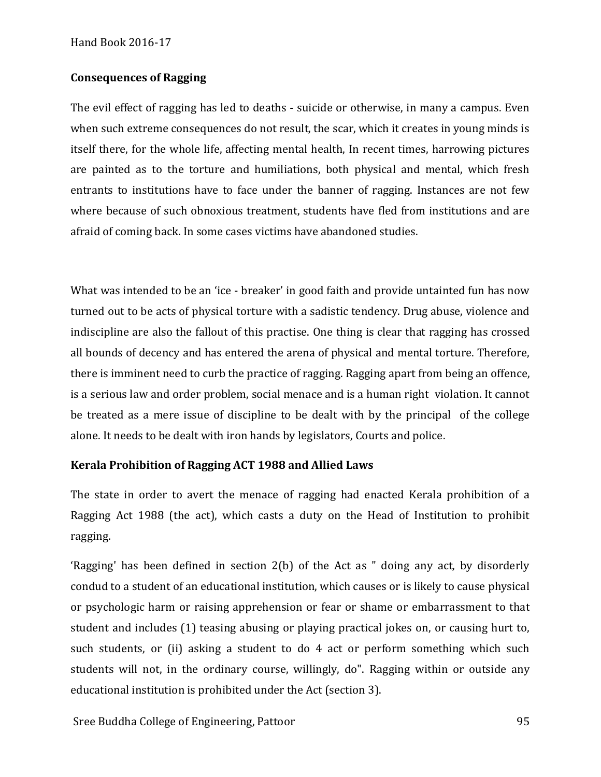#### Hand Book 2016-17

#### **Consequences of Ragging**

The evil effect of ragging has led to deaths - suicide or otherwise, in many a campus. Even when such extreme consequences do not result, the scar, which it creates in young minds is itself there, for the whole life, affecting mental health, In recent times, harrowing pictures are painted as to the torture and humiliations, both physical and mental, which fresh entrants to institutions have to face under the banner of ragging. Instances are not few where because of such obnoxious treatment, students have fled from institutions and are afraid of coming back. In some cases victims have abandoned studies.

What was intended to be an 'ice - breaker' in good faith and provide untainted fun has now turned out to be acts of physical torture with a sadistic tendency. Drug abuse, violence and indiscipline are also the fallout of this practise. One thing is clear that ragging has crossed all bounds of decency and has entered the arena of physical and mental torture. Therefore, there is imminent need to curb the practice of ragging. Ragging apart from being an offence, is a serious law and order problem, social menace and is a human right violation. It cannot be treated as a mere issue of discipline to be dealt with by the principal of the college alone. It needs to be dealt with iron hands by legislators, Courts and police.

#### **Kerala Prohibition of Ragging ACT 1988 and Allied Laws**

The state in order to avert the menace of ragging had enacted Kerala prohibition of a Ragging Act 1988 (the act), which casts a duty on the Head of Institution to prohibit ragging.

'Ragging' has been defined in section 2(b) of the Act as " doing any act, by disorderly condud to a student of an educational institution, which causes or is likely to cause physical or psychologic harm or raising apprehension or fear or shame or embarrassment to that student and includes (1) teasing abusing or playing practical jokes on, or causing hurt to, such students, or (ii) asking a student to do 4 act or perform something which such students will not, in the ordinary course, willingly, do". Ragging within or outside any educational institution is prohibited under the Act (section 3).

Sree Buddha College of Engineering, Pattoor 95